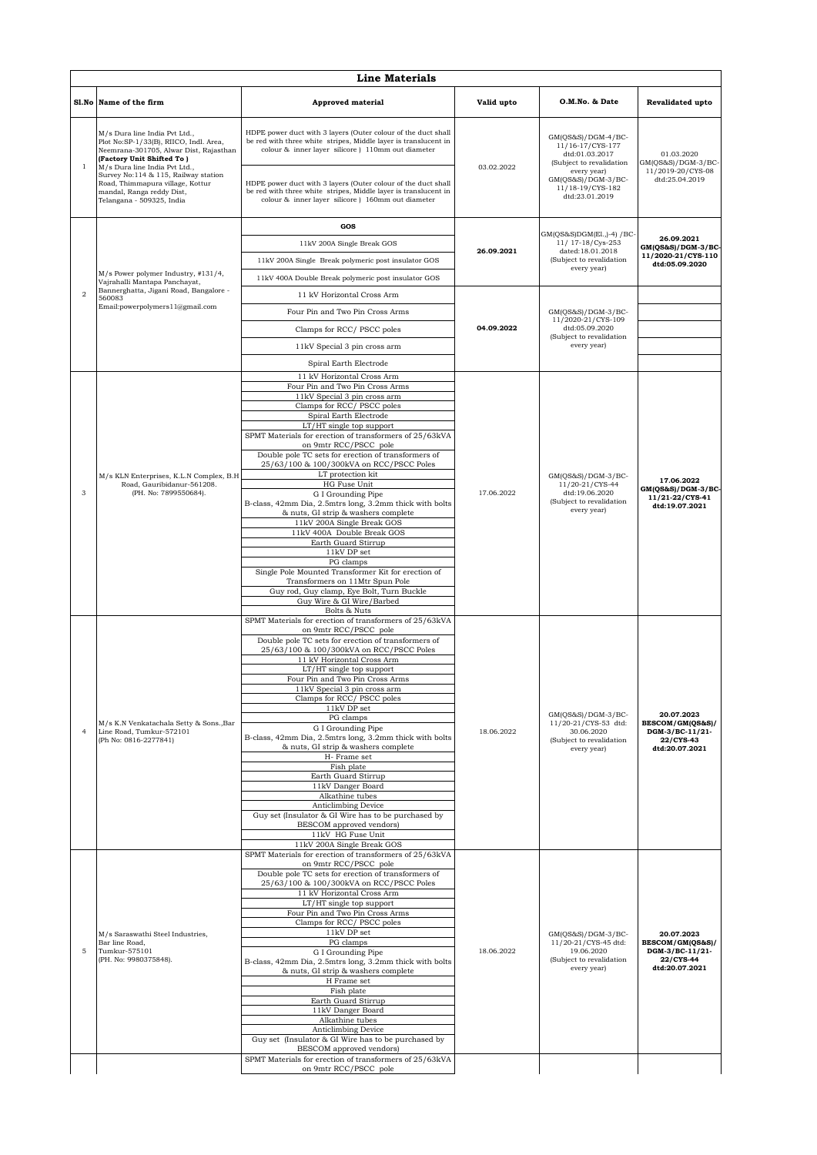|                |                                                                                                                                                                                                                         | <b>Line Materials</b>                                                                                                                                                                  |            |                                                                                                       |                                                                                  |  |
|----------------|-------------------------------------------------------------------------------------------------------------------------------------------------------------------------------------------------------------------------|----------------------------------------------------------------------------------------------------------------------------------------------------------------------------------------|------------|-------------------------------------------------------------------------------------------------------|----------------------------------------------------------------------------------|--|
|                | Sl.No Name of the firm                                                                                                                                                                                                  | <b>Approved material</b>                                                                                                                                                               | Valid upto | O.M.No. & Date                                                                                        | <b>Revalidated upto</b>                                                          |  |
| 1              | M/s Dura line India Pvt Ltd.,<br>Plot No:SP-1/33(B), RIICO, Indl. Area,<br>Neemrana-301705, Alwar Dist, Rajasthan<br>(Factory Unit Shifted To)<br>M/s Dura line India Pvt Ltd.,<br>Survey No:114 & 115, Railway station | HDPE power duct with 3 layers (Outer colour of the duct shall<br>be red with three white stripes, Middle layer is translucent in<br>colour & inner layer silicore ) 110mm out diameter | 03.02.2022 | $GM(QS&S)/DGM-4/BC-$<br>11/16-17/CYS-177<br>dtd:01.03.2017<br>(Subject to revalidation<br>every year) | 01.03.2020<br>GM(QS&S)/DGM-3/BC-<br>11/2019-20/CYS-08                            |  |
|                | Road, Thimmapura village, Kottur<br>mandal, Ranga reddy Dist,<br>Telangana - 509325, India                                                                                                                              | HDPE power duct with 3 layers (Outer colour of the duct shall<br>be red with three white stripes, Middle layer is translucent in<br>colour & inner layer silicore ) 160mm out diameter |            | $GM(QS&S)/DGM-3/BC-$<br>11/18-19/CYS-182<br>dtd:23.01.2019                                            | dtd:25.04.2019                                                                   |  |
|                |                                                                                                                                                                                                                         | GOS                                                                                                                                                                                    |            | GM(QS&S)DGM(El.,)-4) / BC-                                                                            |                                                                                  |  |
|                |                                                                                                                                                                                                                         | 11kV 200A Single Break GOS                                                                                                                                                             | 26.09.2021 | 11/ 17-18/Cys-253<br>dated:18.01.2018                                                                 | 26.09.2021<br>GM(QS&S)/DGM-3/BC-                                                 |  |
|                |                                                                                                                                                                                                                         | 11kV 200A Single Break polymeric post insulator GOS                                                                                                                                    |            | (Subject to revalidation                                                                              | every year)                                                                      |  |
|                | M/s Power polymer Industry, #131/4,<br>Vajrahalli Mantapa Panchayat,                                                                                                                                                    | 11kV 400A Double Break polymeric post insulator GOS                                                                                                                                    |            |                                                                                                       |                                                                                  |  |
| $\overline{a}$ | Bannerghatta, Jigani Road, Bangalore -<br>560083                                                                                                                                                                        | 11 kV Horizontal Cross Arm                                                                                                                                                             |            |                                                                                                       |                                                                                  |  |
|                | Email:powerpolymers11@gmail.com                                                                                                                                                                                         | Four Pin and Two Pin Cross Arms                                                                                                                                                        |            | $GM(QS&S)/DGM-3/BC-$<br>11/2020-21/CYS-109                                                            |                                                                                  |  |
|                |                                                                                                                                                                                                                         | Clamps for RCC/PSCC poles                                                                                                                                                              | 04.09.2022 | dtd:05.09.2020<br>(Subject to revalidation                                                            |                                                                                  |  |
|                |                                                                                                                                                                                                                         | 11kV Special 3 pin cross arm                                                                                                                                                           |            | every year)                                                                                           |                                                                                  |  |
|                |                                                                                                                                                                                                                         | Spiral Earth Electrode                                                                                                                                                                 |            |                                                                                                       |                                                                                  |  |
|                |                                                                                                                                                                                                                         | 11 kV Horizontal Cross Arm<br>Four Pin and Two Pin Cross Arms                                                                                                                          |            |                                                                                                       |                                                                                  |  |
|                |                                                                                                                                                                                                                         | 11kV Special 3 pin cross arm                                                                                                                                                           |            |                                                                                                       |                                                                                  |  |
|                |                                                                                                                                                                                                                         | Clamps for RCC/PSCC poles<br>Spiral Earth Electrode                                                                                                                                    |            |                                                                                                       |                                                                                  |  |
|                |                                                                                                                                                                                                                         | LT/HT single top support<br>SPMT Materials for erection of transformers of 25/63kVA                                                                                                    |            |                                                                                                       |                                                                                  |  |
|                |                                                                                                                                                                                                                         | on 9mtr RCC/PSCC pole                                                                                                                                                                  |            | $GM(QS&S)/DGM-3/BC-$<br>11/20-21/CYS-44<br>dtd:19.06.2020<br>(Subject to revalidation<br>every year)  |                                                                                  |  |
|                |                                                                                                                                                                                                                         | Double pole TC sets for erection of transformers of<br>25/63/100 & 100/300kVA on RCC/PSCC Poles                                                                                        |            |                                                                                                       |                                                                                  |  |
|                | M/s KLN Enterprises, K.L.N Complex, B.H<br>Road, Gauribidanur-561208.                                                                                                                                                   | LT protection kit<br>HG Fuse Unit                                                                                                                                                      | 17.06.2022 |                                                                                                       | 17.06.2022                                                                       |  |
| 3              | (PH. No: 7899550684).                                                                                                                                                                                                   | G I Grounding Pipe                                                                                                                                                                     |            |                                                                                                       | $GM(QS&S)/DGM-3/BC$<br>11/21-22/CYS-41                                           |  |
|                |                                                                                                                                                                                                                         | B-class, 42mm Dia, 2.5mtrs long, 3.2mm thick with bolts<br>& nuts, GI strip & washers complete                                                                                         |            |                                                                                                       | dtd:19.07.2021                                                                   |  |
|                |                                                                                                                                                                                                                         | 11kV 200A Single Break GOS<br>11kV 400A Double Break GOS                                                                                                                               |            |                                                                                                       |                                                                                  |  |
|                |                                                                                                                                                                                                                         | Earth Guard Stirrup<br>11kV DP set                                                                                                                                                     |            |                                                                                                       |                                                                                  |  |
|                |                                                                                                                                                                                                                         | PG clamps                                                                                                                                                                              |            |                                                                                                       |                                                                                  |  |
|                |                                                                                                                                                                                                                         | Single Pole Mounted Transformer Kit for erection of<br>Transformers on 11Mtr Spun Pole                                                                                                 |            |                                                                                                       |                                                                                  |  |
|                |                                                                                                                                                                                                                         | Guy rod, Guy clamp, Eye Bolt, Turn Buckle<br>Guy Wire & GI Wire/Barbed                                                                                                                 |            |                                                                                                       |                                                                                  |  |
|                |                                                                                                                                                                                                                         | Bolts & Nuts                                                                                                                                                                           |            |                                                                                                       |                                                                                  |  |
|                |                                                                                                                                                                                                                         | SPMT Materials for erection of transformers of 25/63kVA<br>on 9mtr RCC/PSCC pole                                                                                                       |            | $GM(QS&S)/DGM-3/BC-$<br>11/20-21/CYS-53 dtd:<br>30.06.2020<br>(Subject to revalidation<br>every year) |                                                                                  |  |
|                |                                                                                                                                                                                                                         | Double pole TC sets for erection of transformers of<br>25/63/100 & 100/300kVA on RCC/PSCC Poles                                                                                        |            |                                                                                                       |                                                                                  |  |
|                |                                                                                                                                                                                                                         | 11 kV Horizontal Cross Arm                                                                                                                                                             |            |                                                                                                       |                                                                                  |  |
|                |                                                                                                                                                                                                                         | LT/HT single top support<br>Four Pin and Two Pin Cross Arms                                                                                                                            |            |                                                                                                       |                                                                                  |  |
|                |                                                                                                                                                                                                                         | 11kV Special 3 pin cross arm<br>Clamps for RCC/PSCC poles                                                                                                                              |            |                                                                                                       |                                                                                  |  |
|                |                                                                                                                                                                                                                         | 11kV DP set<br>PG clamps                                                                                                                                                               |            |                                                                                                       | 20.07.2023<br>BESCOM/GM(QS&S)/<br>DGM-3/BC-11/21-<br>22/CYS-43<br>dtd:20.07.2021 |  |
| $\overline{4}$ | M/s K.N Venkatachala Setty & Sons., Bar<br>Line Road, Tumkur-572101                                                                                                                                                     | G I Grounding Pipe                                                                                                                                                                     | 18.06.2022 |                                                                                                       |                                                                                  |  |
|                | (Ph No: 0816-2277841)                                                                                                                                                                                                   | B-class, 42mm Dia, 2.5mtrs long, 3.2mm thick with bolts<br>& nuts, GI strip & washers complete<br>H- Frame set                                                                         |            |                                                                                                       |                                                                                  |  |
|                |                                                                                                                                                                                                                         | Fish plate                                                                                                                                                                             |            |                                                                                                       |                                                                                  |  |
|                |                                                                                                                                                                                                                         | Earth Guard Stirrup<br>11kV Danger Board                                                                                                                                               |            |                                                                                                       |                                                                                  |  |
|                |                                                                                                                                                                                                                         | Alkathine tubes<br>Anticlimbing Device                                                                                                                                                 |            |                                                                                                       |                                                                                  |  |
|                |                                                                                                                                                                                                                         | Guy set (Insulator & GI Wire has to be purchased by<br>BESCOM approved vendors)                                                                                                        |            |                                                                                                       |                                                                                  |  |
|                |                                                                                                                                                                                                                         | 11kV HG Fuse Unit                                                                                                                                                                      |            |                                                                                                       |                                                                                  |  |
|                |                                                                                                                                                                                                                         | 11kV 200A Single Break GOS<br>SPMT Materials for erection of transformers of 25/63kVA                                                                                                  |            |                                                                                                       |                                                                                  |  |
|                |                                                                                                                                                                                                                         | on 9mtr RCC/PSCC pole<br>Double pole TC sets for erection of transformers of                                                                                                           |            |                                                                                                       |                                                                                  |  |
|                |                                                                                                                                                                                                                         | 25/63/100 & 100/300kVA on RCC/PSCC Poles<br>11 kV Horizontal Cross Arm                                                                                                                 |            |                                                                                                       |                                                                                  |  |
|                |                                                                                                                                                                                                                         | LT/HT single top support<br>Four Pin and Two Pin Cross Arms                                                                                                                            |            |                                                                                                       |                                                                                  |  |
|                |                                                                                                                                                                                                                         | Clamps for RCC/PSCC poles                                                                                                                                                              |            |                                                                                                       |                                                                                  |  |
|                | M/s Saraswathi Steel Industries,<br>Bar line Road,                                                                                                                                                                      | 11kV DP set<br>PG clamps                                                                                                                                                               |            | GM(QS&S)/DGM-3/BC-<br>11/20-21/CYS-45 dtd:                                                            | 20.07.2023<br>BESCOM/GM(QS&S)/                                                   |  |
| 5              | Tumkur-575101<br>(PH. No: 9980375848).                                                                                                                                                                                  | G I Grounding Pipe<br>B-class, 42mm Dia, 2.5mtrs long, 3.2mm thick with bolts                                                                                                          | 18.06.2022 | 19.06.2020<br>(Subject to revalidation                                                                | DGM-3/BC-11/21-<br>22/CYS-44                                                     |  |
|                |                                                                                                                                                                                                                         | & nuts, GI strip & washers complete                                                                                                                                                    |            | every year)                                                                                           | dtd:20.07.2021                                                                   |  |
|                |                                                                                                                                                                                                                         | H Frame set<br>Fish plate                                                                                                                                                              |            |                                                                                                       |                                                                                  |  |
|                |                                                                                                                                                                                                                         | Earth Guard Stirrup<br>11kV Danger Board                                                                                                                                               |            |                                                                                                       |                                                                                  |  |
|                |                                                                                                                                                                                                                         | Alkathine tubes                                                                                                                                                                        |            |                                                                                                       |                                                                                  |  |
|                |                                                                                                                                                                                                                         | Anticlimbing Device<br>Guy set (Insulator & GI Wire has to be purchased by                                                                                                             |            |                                                                                                       |                                                                                  |  |
|                |                                                                                                                                                                                                                         | BESCOM approved vendors)<br>SPMT Materials for erection of transformers of 25/63kVA                                                                                                    |            |                                                                                                       |                                                                                  |  |
|                |                                                                                                                                                                                                                         |                                                                                                                                                                                        |            |                                                                                                       |                                                                                  |  |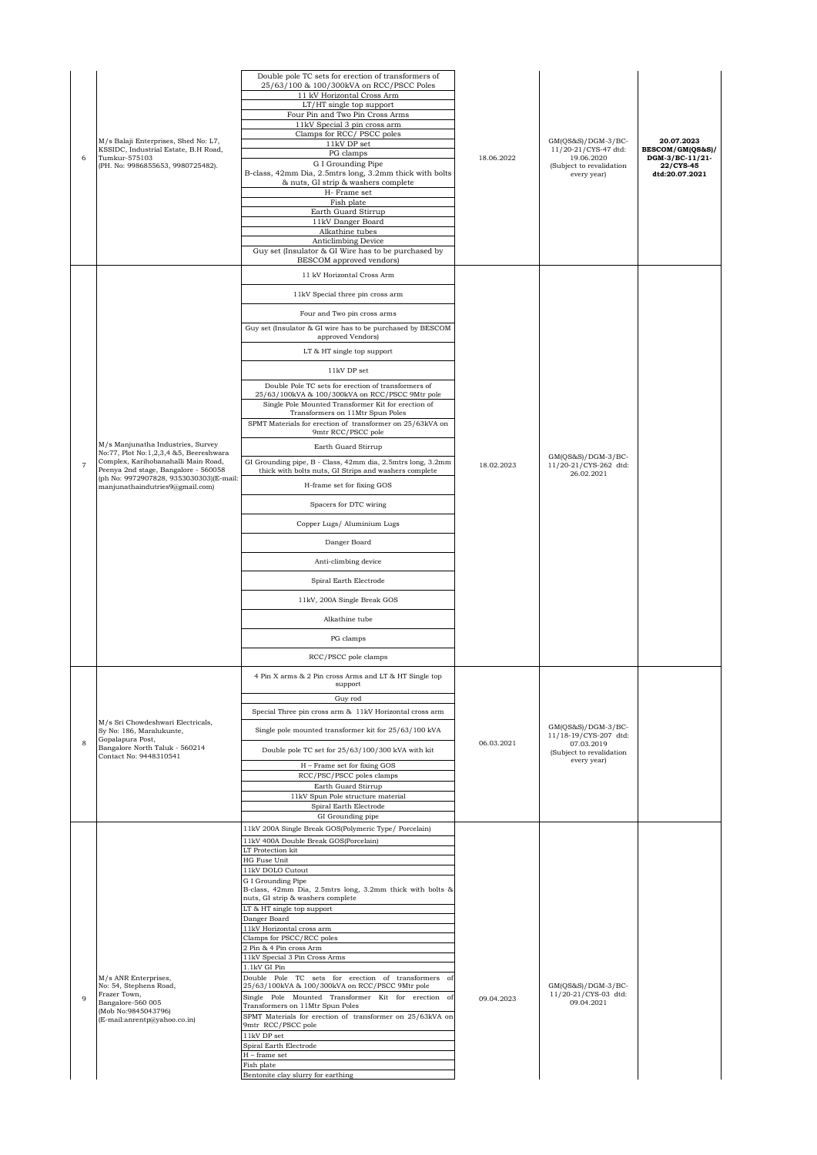| 6              | M/s Balaji Enterprises, Shed No: L7,<br>KSSIDC, Industrial Estate, B.H Road,<br>Tumkur-575103<br>(PH. No: 9986855653, 9980725482).                                                                                                       | Double pole TC sets for erection of transformers of<br>25/63/100 & 100/300kVA on RCC/PSCC Poles<br>11 kV Horizontal Cross Arm<br>LT/HT single top support<br>Four Pin and Two Pin Cross Arms<br>11kV Special 3 pin cross arm<br>Clamps for RCC/PSCC poles<br>11kV DP set<br>PG clamps<br>G I Grounding Pipe<br>B-class, 42mm Dia, 2.5mtrs long, 3.2mm thick with bolts<br>& nuts, GI strip & washers complete<br>H- Frame set<br>Fish plate<br>Earth Guard Stirrup<br>11kV Danger Board<br>Alkathine tubes<br>Anticlimbing Device<br>Guy set (Insulator & GI Wire has to be purchased by<br>BESCOM approved vendors)                                                                                                                                                                                                                                                                | 18.06.2022 | GM(QS&S)/DGM-3/BC-<br>11/20-21/CYS-47 dtd:<br>19.06.2020<br>(Subject to revalidation<br>every year)  | 20.07.2023<br>BESCOM/GM(QS&S)/<br>DGM-3/BC-11/21-<br>22/CYS-45<br>dtd:20.07.2021 |
|----------------|------------------------------------------------------------------------------------------------------------------------------------------------------------------------------------------------------------------------------------------|-------------------------------------------------------------------------------------------------------------------------------------------------------------------------------------------------------------------------------------------------------------------------------------------------------------------------------------------------------------------------------------------------------------------------------------------------------------------------------------------------------------------------------------------------------------------------------------------------------------------------------------------------------------------------------------------------------------------------------------------------------------------------------------------------------------------------------------------------------------------------------------|------------|------------------------------------------------------------------------------------------------------|----------------------------------------------------------------------------------|
|                |                                                                                                                                                                                                                                          | 11 kV Horizontal Cross Arm<br>11kV Special three pin cross arm<br>Four and Two pin cross arms<br>Guy set (Insulator & GI wire has to be purchased by BESCOM<br>approved Vendors)<br>LT & HT single top support<br>11kV DP set<br>Double Pole TC sets for erection of transformers of                                                                                                                                                                                                                                                                                                                                                                                                                                                                                                                                                                                                |            |                                                                                                      |                                                                                  |
| $\overline{7}$ | M/s Manjunatha Industries, Survey<br>No:77, Plot No:1,2,3,4 &5, Beereshwara<br>Complex, Karihobanahalli Main Road,<br>Peenya 2nd stage, Bangalore - 560058<br>(ph No: 9972907828, 9353030303)(E-mail:<br>manjunathaindutries9@gmail.com) | 25/63/100kVA & 100/300kVA on RCC/PSCC 9Mtr pole<br>Single Pole Mounted Transformer Kit for erection of<br>Transformers on 11Mtr Spun Poles<br>SPMT Materials for erection of transformer on 25/63kVA on<br>9mtr RCC/PSCC pole<br>Earth Guard Stirrup<br>GI Grounding pipe, B - Class, 42mm dia, 2.5mtrs long, 3.2mm<br>thick with bolts nuts, GI Strips and washers complete<br>H-frame set for fixing GOS<br>Spacers for DTC wiring                                                                                                                                                                                                                                                                                                                                                                                                                                                | 18.02.2023 | GM(QS&S)/DGM-3/BC-<br>11/20-21/CYS-262 dtd:<br>26.02.2021                                            |                                                                                  |
|                |                                                                                                                                                                                                                                          | Copper Lugs/ Aluminium Lugs<br>Danger Board<br>Anti-climbing device<br>Spiral Earth Electrode<br>11kV, 200A Single Break GOS<br>Alkathine tube<br>PG clamps<br>RCC/PSCC pole clamps                                                                                                                                                                                                                                                                                                                                                                                                                                                                                                                                                                                                                                                                                                 |            |                                                                                                      |                                                                                  |
| 8              | M/s Sri Chowdeshwari Electricals,<br>Sy No: 186, Maralukunte,<br>Gopalapura Post,<br>Bangalore North Taluk - 560214<br>Contact No: 9448310541                                                                                            | 4 Pin X arms & 2 Pin cross Arms and LT & HT Single top<br>support<br>Guy rod<br>Special Three pin cross arm & 11kV Horizontal cross arm<br>Single pole mounted transformer kit for 25/63/100 kVA<br>Double pole TC set for 25/63/100/300 kVA with kit<br>H - Frame set for fixing GOS<br>RCC/PSC/PSCC poles clamps<br>Earth Guard Stirrup<br>11kV Spun Pole structure material<br>Spiral Earth Electrode<br>GI Grounding pipe                                                                                                                                                                                                                                                                                                                                                                                                                                                       | 06.03.2021 | GM(QS&S)/DGM-3/BC-<br>11/18-19/CYS-207 dtd:<br>07.03.2019<br>(Subject to revalidation<br>every year) |                                                                                  |
| 9              | M/s ANR Enterprises,<br>No: 54, Stephens Road,<br>Frazer Town,<br>Bangalore-560 005<br>(Mob No:9845043796)<br>(E-mail:anrentp@yahoo.co.in)                                                                                               | 11kV 200A Single Break GOS(Polymeric Type/ Porcelain)<br>11kV 400A Double Break GOS(Porcelain)<br>LT Protection kit<br><b>HG Fuse Unit</b><br>11kV DOLO Cutout<br>G I Grounding Pipe<br>B-class, 42mm Dia, 2.5mtrs long, 3.2mm thick with bolts &<br>nuts, GI strip & washers complete<br>LT & HT single top support<br>Danger Board<br>11kV Horizontal cross arm<br>Clamps for PSCC/RCC poles<br>2 Pin & 4 Pin cross Arm<br>11kV Special 3 Pin Cross Arms<br>1.1kV GI Pin<br>Double Pole TC sets for erection of transformers<br>of<br>25/63/100kVA & 100/300kVA on RCC/PSCC 9Mtr pole<br>Single Pole Mounted Transformer Kit for erection of<br>Transformers on 11Mtr Spun Poles<br>SPMT Materials for erection of transformer on 25/63kVA on<br>9mtr RCC/PSCC pole<br>11kV DP set<br>Spiral Earth Electrode<br>H - frame set<br>Fish plate<br>Bentonite clay slurry for earthing | 09.04.2023 | GM(QS&S)/DGM-3/BC-<br>11/20-21/CYS-03 dtd:<br>09.04.2021                                             |                                                                                  |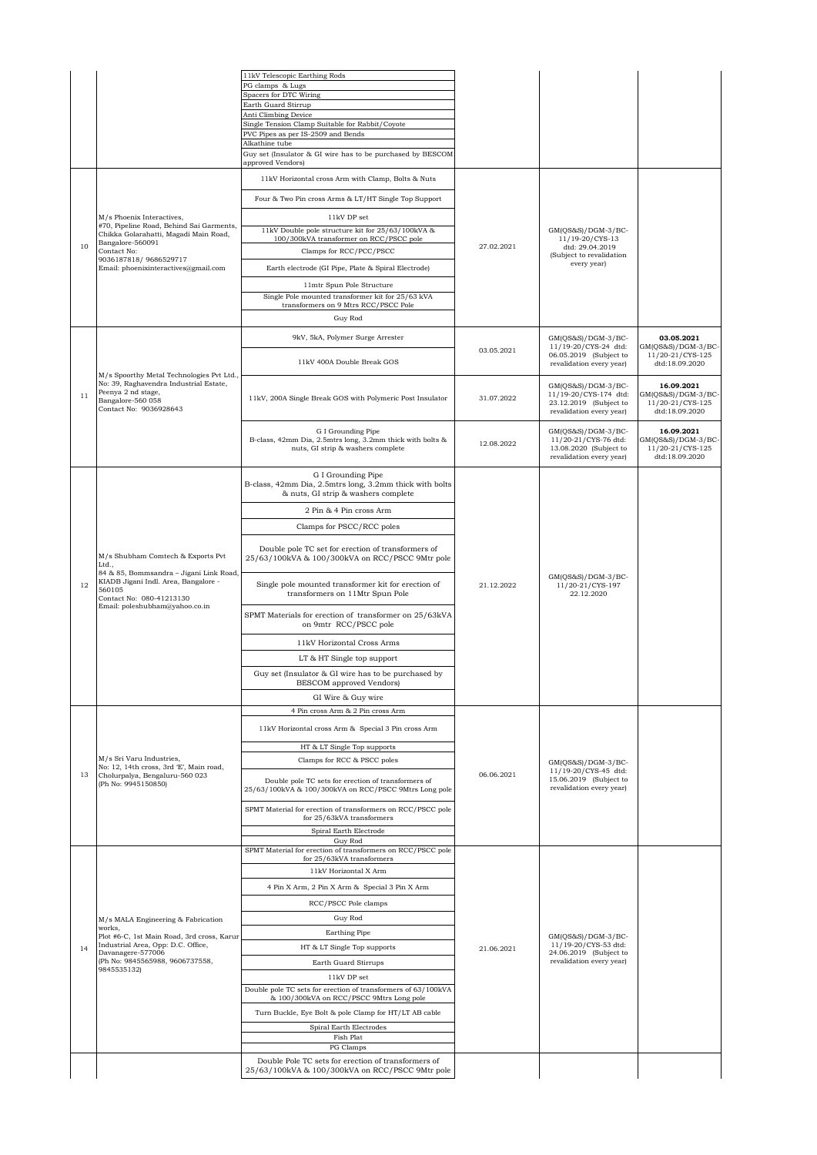|    |                                                                                                                                                                                                       | 11kV Telescopic Earthing Rods                                                                                |            |                                                                                                     |                                                                        |
|----|-------------------------------------------------------------------------------------------------------------------------------------------------------------------------------------------------------|--------------------------------------------------------------------------------------------------------------|------------|-----------------------------------------------------------------------------------------------------|------------------------------------------------------------------------|
|    |                                                                                                                                                                                                       | PG clamps & Lugs                                                                                             |            |                                                                                                     |                                                                        |
|    |                                                                                                                                                                                                       | Spacers for DTC Wiring<br>Earth Guard Stirrup                                                                |            |                                                                                                     |                                                                        |
|    |                                                                                                                                                                                                       | Anti Climbing Device                                                                                         |            |                                                                                                     |                                                                        |
|    |                                                                                                                                                                                                       | Single Tension Clamp Suitable for Rabbit/Coyote                                                              |            |                                                                                                     |                                                                        |
|    |                                                                                                                                                                                                       | PVC Pipes as per IS-2509 and Bends<br>Alkathine tube                                                         |            |                                                                                                     |                                                                        |
|    |                                                                                                                                                                                                       | Guy set (Insulator & GI wire has to be purchased by BESCOM                                                   |            |                                                                                                     |                                                                        |
|    |                                                                                                                                                                                                       | approved Vendors)                                                                                            |            |                                                                                                     |                                                                        |
|    |                                                                                                                                                                                                       | 11kV Horizontal cross Arm with Clamp, Bolts & Nuts                                                           |            |                                                                                                     |                                                                        |
|    |                                                                                                                                                                                                       | Four & Two Pin cross Arms & LT/HT Single Top Support                                                         |            |                                                                                                     |                                                                        |
|    | M/s Phoenix Interactives,<br>#70, Pipeline Road, Behind Sai Garments,                                                                                                                                 | 11kV DP set                                                                                                  |            |                                                                                                     |                                                                        |
|    | Chikka Golarahatti, Magadi Main Road,                                                                                                                                                                 | 11kV Double pole structure kit for 25/63/100kVA &<br>100/300kVA transformer on RCC/PSCC pole                 |            | GM(QS&S)/DGM-3/BC-<br>11/19-20/CYS-13                                                               |                                                                        |
| 10 | Bangalore-560091<br>Contact No:                                                                                                                                                                       | Clamps for RCC/PCC/PSCC                                                                                      | 27.02.2021 | dtd: 29.04.2019                                                                                     |                                                                        |
|    | 9036187818/9686529717                                                                                                                                                                                 |                                                                                                              |            | (Subject to revalidation<br>every year)                                                             |                                                                        |
|    | Email: phoenixinteractives@gmail.com                                                                                                                                                                  | Earth electrode (GI Pipe, Plate & Spiral Electrode)                                                          |            |                                                                                                     |                                                                        |
|    |                                                                                                                                                                                                       | 11mtr Spun Pole Structure                                                                                    |            |                                                                                                     |                                                                        |
|    |                                                                                                                                                                                                       | Single Pole mounted transformer kit for 25/63 kVA<br>transformers on 9 Mtrs RCC/PSCC Pole                    |            |                                                                                                     |                                                                        |
|    |                                                                                                                                                                                                       | Guy Rod                                                                                                      |            |                                                                                                     |                                                                        |
|    |                                                                                                                                                                                                       |                                                                                                              |            |                                                                                                     |                                                                        |
|    |                                                                                                                                                                                                       | 9kV, 5kA, Polymer Surge Arrester                                                                             | 03.05.2021 | GM(OS&S)/DGM-3/BC-<br>11/19-20/CYS-24 dtd:                                                          | 03.05.2021<br>GM(QS&S)/DGM-3/BC-                                       |
|    |                                                                                                                                                                                                       | 11kV 400A Double Break GOS                                                                                   |            | 06.05.2019 (Subject to<br>revalidation every year)                                                  | 11/20-21/CYS-125<br>dtd:18.09.2020                                     |
|    | M/s Spoorthy Metal Technologies Pvt Ltd.,                                                                                                                                                             |                                                                                                              |            |                                                                                                     |                                                                        |
| 11 | No: 39, Raghavendra Industrial Estate,<br>Peenya 2 nd stage,<br>Bangalore-560 058<br>Contact No: 9036928643                                                                                           | 11kV, 200A Single Break GOS with Polymeric Post Insulator                                                    | 31.07.2022 | $GM(QS&S)/DGM-3/BC-$<br>11/19-20/CYS-174 dtd:<br>23.12.2019 (Subject to<br>revalidation every year) | 16.09.2021<br>GM(QS&S)/DGM-3/BC-<br>11/20-21/CYS-125<br>dtd:18.09.2020 |
|    |                                                                                                                                                                                                       | G I Grounding Pipe                                                                                           |            | GM(QS&S)/DGM-3/BC-                                                                                  | 16.09.2021                                                             |
|    |                                                                                                                                                                                                       | B-class, 42mm Dia, 2.5mtrs long, 3.2mm thick with bolts &<br>nuts, GI strip & washers complete               | 12.08.2022 | 11/20-21/CYS-76 dtd:<br>13.08.2020 (Subject to                                                      | GM(QS&S)/DGM-3/BC-<br>11/20-21/CYS-125                                 |
|    |                                                                                                                                                                                                       |                                                                                                              |            | revalidation every year)                                                                            | dtd:18.09.2020                                                         |
|    |                                                                                                                                                                                                       | G I Grounding Pipe                                                                                           |            |                                                                                                     |                                                                        |
|    | M/s Shubham Comtech & Exports Pvt<br>Ltd.,<br>84 & 85, Bommsandra - Jigani Link Road,<br>KIADB Jigani Indl. Area, Bangalore -<br>560105<br>Contact No: 080-41213130<br>Email: poleshubham@yahoo.co.in | B-class, 42mm Dia, 2.5mtrs long, 3.2mm thick with bolts<br>& nuts, GI strip & washers complete               |            |                                                                                                     |                                                                        |
|    |                                                                                                                                                                                                       |                                                                                                              |            |                                                                                                     |                                                                        |
|    |                                                                                                                                                                                                       | 2 Pin & 4 Pin cross Arm                                                                                      |            |                                                                                                     |                                                                        |
|    |                                                                                                                                                                                                       | Clamps for PSCC/RCC poles                                                                                    |            |                                                                                                     |                                                                        |
|    |                                                                                                                                                                                                       | Double pole TC set for erection of transformers of<br>25/63/100kVA & 100/300kVA on RCC/PSCC 9Mtr pole        |            |                                                                                                     |                                                                        |
| 12 |                                                                                                                                                                                                       | Single pole mounted transformer kit for erection of<br>transformers on 11Mtr Spun Pole                       | 21.12.2022 | $GM(QS&S)/DGM-3/BC-$<br>11/20-21/CYS-197<br>22.12.2020                                              |                                                                        |
|    |                                                                                                                                                                                                       | SPMT Materials for erection of transformer on 25/63kVA<br>on 9mtr RCC/PSCC pole                              |            |                                                                                                     |                                                                        |
|    |                                                                                                                                                                                                       | 11kV Horizontal Cross Arms                                                                                   |            |                                                                                                     |                                                                        |
|    |                                                                                                                                                                                                       | LT & HT Single top support                                                                                   |            |                                                                                                     |                                                                        |
|    |                                                                                                                                                                                                       | Guy set (Insulator & GI wire has to be purchased by                                                          |            |                                                                                                     |                                                                        |
|    |                                                                                                                                                                                                       | BESCOM approved Vendors)                                                                                     |            |                                                                                                     |                                                                        |
|    |                                                                                                                                                                                                       | GI Wire & Guy wire                                                                                           |            |                                                                                                     |                                                                        |
|    |                                                                                                                                                                                                       | 4 Pin cross Arm & 2 Pin cross Arm                                                                            |            |                                                                                                     |                                                                        |
|    |                                                                                                                                                                                                       | 11kV Horizontal cross Arm & Special 3 Pin cross Arm                                                          |            |                                                                                                     |                                                                        |
|    |                                                                                                                                                                                                       |                                                                                                              |            |                                                                                                     |                                                                        |
|    | M/s Sri Varu Industries,                                                                                                                                                                              | HT & LT Single Top supports                                                                                  |            |                                                                                                     |                                                                        |
|    | No: 12, 14th cross, 3rd 'E', Main road,                                                                                                                                                               | Clamps for RCC & PSCC poles                                                                                  |            | GM(QS&S)/DGM-3/BC-<br>11/19-20/CYS-45 dtd:                                                          |                                                                        |
| 13 | Cholurpalya, Bengaluru-560 023<br>(Ph No: 9945150850)                                                                                                                                                 | Double pole TC sets for erection of transformers of<br>25/63/100kVA & 100/300kVA on RCC/PSCC 9Mtrs Long pole | 06.06.2021 | 15.06.2019 (Subject to<br>revalidation every year)                                                  |                                                                        |
|    |                                                                                                                                                                                                       | SPMT Material for erection of transformers on RCC/PSCC pole<br>for 25/63kVA transformers                     |            |                                                                                                     |                                                                        |
|    |                                                                                                                                                                                                       | Spiral Earth Electrode                                                                                       |            |                                                                                                     |                                                                        |
|    |                                                                                                                                                                                                       | Guy Rod                                                                                                      |            |                                                                                                     |                                                                        |
|    |                                                                                                                                                                                                       | SPMT Material for erection of transformers on RCC/PSCC pole<br>for 25/63kVA transformers                     |            |                                                                                                     |                                                                        |
|    |                                                                                                                                                                                                       | 11kV Horizontal X Arm                                                                                        |            |                                                                                                     |                                                                        |
|    |                                                                                                                                                                                                       | 4 Pin X Arm, 2 Pin X Arm & Special 3 Pin X Arm                                                               |            |                                                                                                     |                                                                        |
|    |                                                                                                                                                                                                       | RCC/PSCC Pole clamps                                                                                         |            |                                                                                                     |                                                                        |
|    | M/s MALA Engineering & Fabrication                                                                                                                                                                    | Guy Rod                                                                                                      |            |                                                                                                     |                                                                        |
|    | works,<br>Plot #6-C, 1st Main Road, 3rd cross, Karur                                                                                                                                                  | Earthing Pipe                                                                                                |            | $GM(QS&S)/DGM-3/BC-$                                                                                |                                                                        |
| 14 | Industrial Area, Opp: D.C. Office,<br>Davanagere-577006                                                                                                                                               | HT & LT Single Top supports                                                                                  | 21.06.2021 | 11/19-20/CYS-53 dtd:<br>24.06.2019 (Subject to                                                      |                                                                        |
|    | (Ph No: 9845565988, 9606737558,<br>9845535132)                                                                                                                                                        | Earth Guard Stirrups                                                                                         |            | revalidation every year)                                                                            |                                                                        |
|    |                                                                                                                                                                                                       | 11kV DP set                                                                                                  |            |                                                                                                     |                                                                        |
|    |                                                                                                                                                                                                       | Double pole TC sets for erection of transformers of 63/100kVA<br>& 100/300kVA on RCC/PSCC 9Mtrs Long pole    |            |                                                                                                     |                                                                        |
|    |                                                                                                                                                                                                       | Turn Buckle, Eye Bolt & pole Clamp for HT/LT AB cable                                                        |            |                                                                                                     |                                                                        |
|    |                                                                                                                                                                                                       | Spiral Earth Electrodes                                                                                      |            |                                                                                                     |                                                                        |
|    |                                                                                                                                                                                                       | Fish Plat                                                                                                    |            |                                                                                                     |                                                                        |
|    |                                                                                                                                                                                                       | PG Clamps                                                                                                    |            |                                                                                                     |                                                                        |
|    |                                                                                                                                                                                                       | Double Pole TC sets for erection of transformers of<br>25/63/100kVA & 100/300kVA on RCC/PSCC 9Mtr pole       |            |                                                                                                     |                                                                        |
|    |                                                                                                                                                                                                       |                                                                                                              |            |                                                                                                     |                                                                        |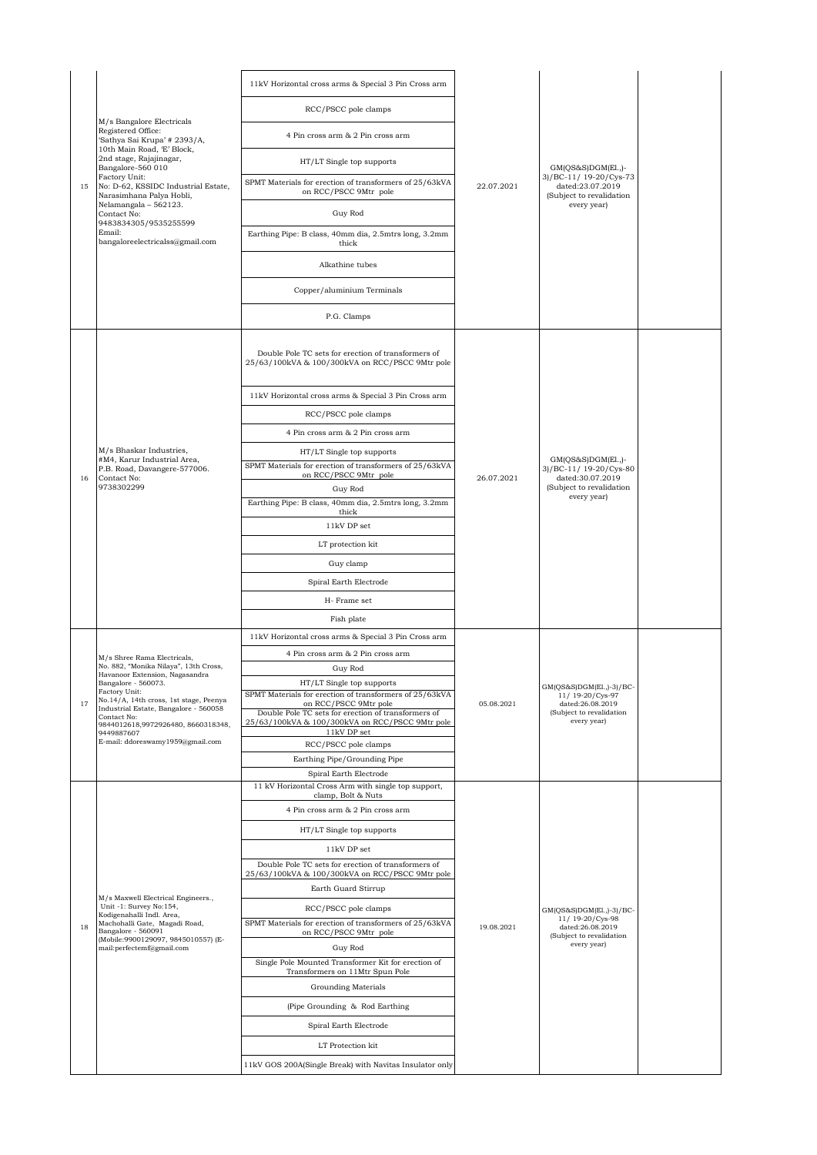|    | M/s Bangalore Electricals<br>Registered Office:<br>'Sathya Sai Krupa' # 2393/A,  | 11kV Horizontal cross arms & Special 3 Pin Cross arm                                                   |            |                                                                                                            |  |
|----|----------------------------------------------------------------------------------|--------------------------------------------------------------------------------------------------------|------------|------------------------------------------------------------------------------------------------------------|--|
|    |                                                                                  | RCC/PSCC pole clamps                                                                                   |            |                                                                                                            |  |
|    |                                                                                  | 4 Pin cross arm & 2 Pin cross arm                                                                      |            |                                                                                                            |  |
|    | 10th Main Road, 'E' Block,<br>2nd stage, Rajajinagar,<br>Bangalore-560 010       | HT/LT Single top supports                                                                              |            | GM(QS&S)DGM(El.,)-                                                                                         |  |
| 15 | Factory Unit:<br>No: D-62, KSSIDC Industrial Estate,<br>Narasimhana Palya Hobli, | SPMT Materials for erection of transformers of 25/63kVA<br>on RCC/PSCC 9Mtr pole                       | 22.07.2021 | 3)/BC-11/ 19-20/Cys-73<br>dated:23.07.2019<br>(Subject to revalidation                                     |  |
|    | Nelamangala - 562123.<br>Contact No:                                             | Guy Rod                                                                                                |            | every year)                                                                                                |  |
|    | 9483834305/9535255599<br>Email:<br>bangaloreelectricalss@gmail.com               | Earthing Pipe: B class, 40mm dia, 2.5mtrs long, 3.2mm<br>thick                                         |            |                                                                                                            |  |
|    |                                                                                  | Alkathine tubes                                                                                        |            |                                                                                                            |  |
|    |                                                                                  | Copper/aluminium Terminals                                                                             |            |                                                                                                            |  |
|    |                                                                                  | P.G. Clamps                                                                                            |            |                                                                                                            |  |
|    |                                                                                  | Double Pole TC sets for erection of transformers of<br>25/63/100kVA & 100/300kVA on RCC/PSCC 9Mtr pole |            |                                                                                                            |  |
|    |                                                                                  | 11kV Horizontal cross arms & Special 3 Pin Cross arm                                                   |            |                                                                                                            |  |
|    |                                                                                  | RCC/PSCC pole clamps                                                                                   |            |                                                                                                            |  |
|    |                                                                                  | 4 Pin cross arm & 2 Pin cross arm                                                                      |            | GM(QS&S)DGM(El.,)-                                                                                         |  |
|    | M/s Bhaskar Industries,<br>#M4, Karur Industrial Area,                           | HT/LT Single top supports                                                                              |            |                                                                                                            |  |
| 16 | P.B. Road, Davangere-577006.<br>Contact No:                                      | SPMT Materials for erection of transformers of 25/63kVA<br>on RCC/PSCC 9Mtr pole                       | 26.07.2021 | 3)/BC-11/19-20/Cys-80<br>dated:30.07.2019                                                                  |  |
|    | 9738302299                                                                       | Guy Rod                                                                                                |            | (Subject to revalidation<br>every year)                                                                    |  |
|    |                                                                                  | Earthing Pipe: B class, 40mm dia, 2.5mtrs long, 3.2mm<br>thick                                         |            |                                                                                                            |  |
|    |                                                                                  | 11kV DP set                                                                                            |            |                                                                                                            |  |
|    |                                                                                  | LT protection kit                                                                                      |            |                                                                                                            |  |
|    |                                                                                  | Guy clamp                                                                                              |            |                                                                                                            |  |
|    |                                                                                  | Spiral Earth Electrode                                                                                 |            |                                                                                                            |  |
|    |                                                                                  | H-Frame set<br>Fish plate                                                                              |            |                                                                                                            |  |
|    |                                                                                  | 11kV Horizontal cross arms & Special 3 Pin Cross arm                                                   |            |                                                                                                            |  |
|    | M/s Shree Rama Electricals,                                                      | 4 Pin cross arm & 2 Pin cross arm                                                                      |            |                                                                                                            |  |
|    | No. 882, "Monika Nilaya", 13th Cross,<br>Havanoor Extension, Nagasandra          | Guy Rod                                                                                                |            | GM(QS&S)DGM(El.,)-3)/BC-<br>11/19-20/Cys-97<br>dated:26.08.2019<br>(Subject to revalidation<br>every year) |  |
|    | Bangalore - 560073.<br>Factory Unit:<br>No.14/A, 14th cross, 1st stage, Peenya   | HT/LT Single top supports<br>SPMT Materials for erection of transformers of 25/63kVA                   |            |                                                                                                            |  |
| 17 | Industrial Estate, Bangalore - 560058<br>Contact No:                             | on RCC/PSCC 9Mtr pole<br>Double Pole TC sets for erection of transformers of                           | 05.08.2021 |                                                                                                            |  |
|    | 9844012618,9972926480, 8660318348,<br>9449887607                                 | 25/63/100kVA & 100/300kVA on RCC/PSCC 9Mtr pole<br>11kV DP set                                         |            |                                                                                                            |  |
|    | E-mail: ddoreswamy1959@gmail.com                                                 | RCC/PSCC pole clamps                                                                                   |            |                                                                                                            |  |
|    |                                                                                  | Earthing Pipe/Grounding Pipe<br>Spiral Earth Electrode                                                 |            |                                                                                                            |  |
|    |                                                                                  | 11 kV Horizontal Cross Arm with single top support,<br>clamp, Bolt & Nuts                              |            |                                                                                                            |  |
|    |                                                                                  | 4 Pin cross arm & 2 Pin cross arm                                                                      |            |                                                                                                            |  |
|    |                                                                                  | HT/LT Single top supports                                                                              |            |                                                                                                            |  |
|    |                                                                                  | 11kV DP set                                                                                            |            |                                                                                                            |  |
|    |                                                                                  | Double Pole TC sets for erection of transformers of<br>25/63/100kVA & 100/300kVA on RCC/PSCC 9Mtr pole |            |                                                                                                            |  |
|    | M/s Maxwell Electrical Engineers.,                                               | Earth Guard Stirrup                                                                                    |            |                                                                                                            |  |
|    | Unit -1: Survey No:154,<br>Kodigenahalli Indl. Area,                             | RCC/PSCC pole clamps                                                                                   |            | GM(QS&S)DGM(E1.,)-3)/BC-<br>11/19-20/Cys-98                                                                |  |
| 18 | Machohalli Gate, Magadi Road,<br>Bangalore - 560091                              | SPMT Materials for erection of transformers of 25/63kVA<br>on RCC/PSCC 9Mtr pole                       | 19.08.2021 | dated:26.08.2019<br>(Subject to revalidation                                                               |  |
|    | (Mobile:9900129097, 9845010557) (E-<br>mail:perfectemf@gmail.com                 | Guy Rod                                                                                                |            | every year)                                                                                                |  |
|    |                                                                                  | Single Pole Mounted Transformer Kit for erection of<br>Transformers on 11Mtr Spun Pole                 |            |                                                                                                            |  |
|    |                                                                                  | <b>Grounding Materials</b>                                                                             |            |                                                                                                            |  |
|    |                                                                                  | (Pipe Grounding & Rod Earthing                                                                         |            |                                                                                                            |  |
|    |                                                                                  | Spiral Earth Electrode                                                                                 |            |                                                                                                            |  |
|    |                                                                                  | LT Protection kit                                                                                      |            |                                                                                                            |  |
|    |                                                                                  | 11kV GOS 200A(Single Break) with Navitas Insulator only                                                |            |                                                                                                            |  |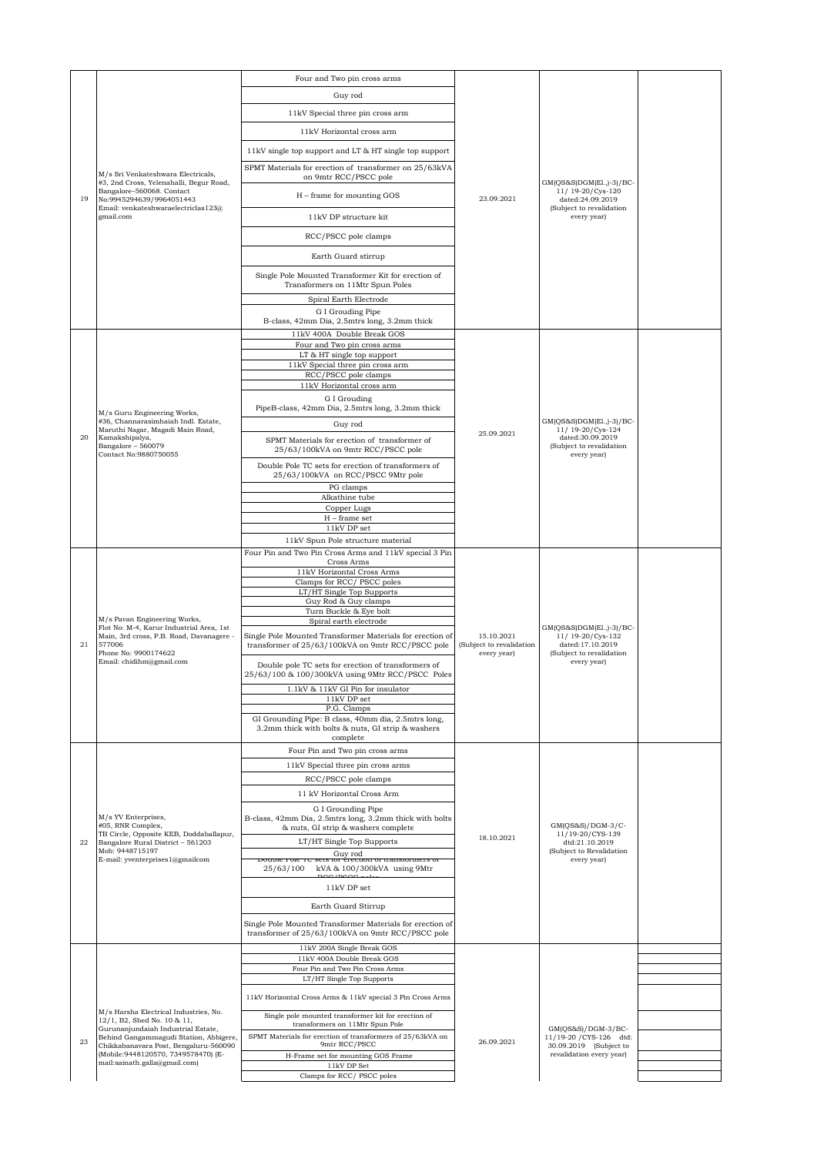|    |                                                                                                                                | Four and Two pin cross arms                                                                                             |                                                       |                                                                                                             |  |
|----|--------------------------------------------------------------------------------------------------------------------------------|-------------------------------------------------------------------------------------------------------------------------|-------------------------------------------------------|-------------------------------------------------------------------------------------------------------------|--|
|    |                                                                                                                                | Guy rod                                                                                                                 |                                                       |                                                                                                             |  |
|    |                                                                                                                                | 11kV Special three pin cross arm                                                                                        |                                                       |                                                                                                             |  |
|    |                                                                                                                                | 11kV Horizontal cross arm                                                                                               |                                                       |                                                                                                             |  |
|    |                                                                                                                                |                                                                                                                         |                                                       |                                                                                                             |  |
|    |                                                                                                                                | 11kV single top support and LT & HT single top support                                                                  |                                                       |                                                                                                             |  |
| 19 | M/s Sri Venkateshwara Electricals,<br>#3, 2nd Cross, Yelenahalli, Begur Road,                                                  | SPMT Materials for erection of transformer on 25/63kVA<br>on 9mtr RCC/PSCC pole                                         |                                                       | GM(QS&S)DGM(El.,)-3)/BC-                                                                                    |  |
|    | Bangalore-560068. Contact<br>No:9945294639/9964051443<br>Email: venkateshwaraelectriclas123@                                   | H – frame for mounting GOS                                                                                              | 23.09.2021                                            | 11/19-20/Cys-120<br>dated:24.09.2019<br>(Subject to revalidation                                            |  |
|    | gmail.com                                                                                                                      | 11kV DP structure kit                                                                                                   |                                                       | every year)                                                                                                 |  |
|    |                                                                                                                                | RCC/PSCC pole clamps                                                                                                    |                                                       |                                                                                                             |  |
|    |                                                                                                                                | Earth Guard stirrup                                                                                                     |                                                       |                                                                                                             |  |
|    |                                                                                                                                | Single Pole Mounted Transformer Kit for erection of<br>Transformers on 11Mtr Spun Poles                                 |                                                       |                                                                                                             |  |
|    |                                                                                                                                | Spiral Earth Electrode                                                                                                  |                                                       |                                                                                                             |  |
|    |                                                                                                                                | G I Grouding Pipe<br>B-class, 42mm Dia, 2.5mtrs long, 3.2mm thick                                                       |                                                       |                                                                                                             |  |
|    |                                                                                                                                | 11kV 400A Double Break GOS                                                                                              |                                                       |                                                                                                             |  |
|    |                                                                                                                                | Four and Two pin cross arms<br>LT & HT single top support                                                               |                                                       |                                                                                                             |  |
|    |                                                                                                                                | 11kV Special three pin cross arm                                                                                        |                                                       |                                                                                                             |  |
|    |                                                                                                                                | RCC/PSCC pole clamps                                                                                                    |                                                       |                                                                                                             |  |
|    |                                                                                                                                | 11kV Horizontal cross arm                                                                                               |                                                       |                                                                                                             |  |
|    | M/s Guru Engineering Works,                                                                                                    | G I Grouding<br>PipeB-class, 42mm Dia, 2.5mtrs long, 3.2mm thick                                                        |                                                       |                                                                                                             |  |
|    | #36, Channarasimhaiah Indl. Estate,                                                                                            | Guy rod                                                                                                                 |                                                       | GM(QS&S)DGM(El.,)-3)/BC-                                                                                    |  |
| 20 | Maruthi Nagar, Magadi Main Road,<br>Kamakshipalya,<br>Bangalore - 560079                                                       | SPMT Materials for erection of transformer of<br>25/63/100kVA on 9mtr RCC/PSCC pole                                     | 25.09.2021                                            | 11/19-20/Cys-124<br>dated:30.09.2019<br>(Subject to revalidation<br>every year)                             |  |
|    | Contact No:9880750055                                                                                                          | Double Pole TC sets for erection of transformers of<br>25/63/100kVA on RCC/PSCC 9Mtr pole                               |                                                       |                                                                                                             |  |
|    |                                                                                                                                | PG clamps                                                                                                               |                                                       |                                                                                                             |  |
|    |                                                                                                                                | Alkathine tube                                                                                                          |                                                       |                                                                                                             |  |
|    |                                                                                                                                | Copper Lugs<br>$H$ – frame set                                                                                          |                                                       |                                                                                                             |  |
|    |                                                                                                                                | 11kV DP set                                                                                                             |                                                       |                                                                                                             |  |
|    |                                                                                                                                | 11kV Spun Pole structure material                                                                                       |                                                       |                                                                                                             |  |
|    | M/s Pavan Engineering Works,<br>Flot No: M-4, Karur Industrial Area, 1st<br>Main, 3rd cross, P.B. Road, Davanagere -<br>577006 | Four Pin and Two Pin Cross Arms and 11kV special 3 Pin<br>Cross Arms                                                    |                                                       |                                                                                                             |  |
|    |                                                                                                                                | 11kV Horizontal Cross Arms                                                                                              |                                                       |                                                                                                             |  |
|    |                                                                                                                                | Clamps for RCC/PSCC poles<br>LT/HT Single Top Supports                                                                  |                                                       |                                                                                                             |  |
|    |                                                                                                                                | Guy Rod & Guy clamps                                                                                                    |                                                       |                                                                                                             |  |
|    |                                                                                                                                | Turn Buckle & Eye bolt<br>Spiral earth electrode                                                                        |                                                       |                                                                                                             |  |
| 21 |                                                                                                                                | Single Pole Mounted Transformer Materials for erection of<br>transformer of 25/63/100kVA on 9mtr RCC/PSCC pole          | 15.10.2021<br>(Subject to revalidation<br>every year) | GM(QS&S)DGM(El.,)-3)/BC-<br>11/19-20/Cys-132<br>dated:17.10.2019<br>(Subject to revalidation<br>every year) |  |
|    | Phone No: 9900174622<br>Email: chidihm@gmail.com                                                                               | Double pole TC sets for erection of transformers of                                                                     |                                                       |                                                                                                             |  |
|    |                                                                                                                                | 25/63/100 & 100/300kVA using 9Mtr RCC/PSCC Poles<br>1.1kV & 11kV GI Pin for insulator                                   |                                                       |                                                                                                             |  |
|    |                                                                                                                                | $11\mathrm{kV}$ DP set                                                                                                  |                                                       |                                                                                                             |  |
|    |                                                                                                                                | P.G. Clamps<br>GI Grounding Pipe: B class, 40mm dia, 2.5mtrs long,<br>3.2mm thick with bolts & nuts, GI strip & washers |                                                       |                                                                                                             |  |
|    |                                                                                                                                | complete<br>Four Pin and Two pin cross arms                                                                             |                                                       |                                                                                                             |  |
|    |                                                                                                                                | 11kV Special three pin cross arms                                                                                       |                                                       |                                                                                                             |  |
|    |                                                                                                                                | RCC/PSCC pole clamps                                                                                                    |                                                       |                                                                                                             |  |
|    |                                                                                                                                | 11 kV Horizontal Cross Arm                                                                                              |                                                       |                                                                                                             |  |
|    | M/s YV Enterprises,                                                                                                            | G I Grounding Pipe<br>B-class, 42mm Dia, 2.5mtrs long, 3.2mm thick with bolts                                           |                                                       | GM(OS&S)/DGM-3/C-                                                                                           |  |
| 22 | #05, RNR Complex,<br>TB Circle, Opposite KEB, Doddaballapur,<br>Bangalore Rural District - 561203                              | & nuts, GI strip & washers complete<br>LT/HT Single Top Supports                                                        | 18.10.2021                                            | 11/19-20/CYS-139<br>dtd:21.10.2019                                                                          |  |
|    | Mob: 9448715197<br>E-mail: yventerprises1@gmailcom                                                                             | Guy rod<br>Double role TC sets for erection or transformers of<br>kVA & 100/300kVA using 9Mtr<br>25/63/100              |                                                       | (Subject to Revalidation<br>every year)                                                                     |  |
|    |                                                                                                                                | $000$ inco<br>11kV DP set                                                                                               |                                                       |                                                                                                             |  |
|    |                                                                                                                                | Earth Guard Stirrup                                                                                                     |                                                       |                                                                                                             |  |
|    |                                                                                                                                | Single Pole Mounted Transformer Materials for erection of<br>transformer of 25/63/100kVA on 9mtr RCC/PSCC pole          |                                                       |                                                                                                             |  |
|    |                                                                                                                                | 11kV 200A Single Break GOS<br>11kV 400A Double Break GOS                                                                |                                                       |                                                                                                             |  |
|    |                                                                                                                                | Four Pin and Two Pin Cross Arms                                                                                         |                                                       |                                                                                                             |  |
|    |                                                                                                                                | LT/HT Single Top Supports                                                                                               |                                                       |                                                                                                             |  |
|    |                                                                                                                                | 11kV Horizontal Cross Arms & 11kV special 3 Pin Cross Arms                                                              |                                                       |                                                                                                             |  |
|    | M/s Harsha Electrical Industries, No.<br>12/1, B2, Shed No. 10 & 11,                                                           | Single pole mounted transformer kit for erection of<br>transformers on 11Mtr Spun Pole                                  |                                                       |                                                                                                             |  |
| 23 | Gurunanjundaiah Industrial Estate,<br>Behind Gangammagudi Station, Abbigere,                                                   | SPMT Materials for erection of transformers of 25/63kVA on                                                              |                                                       | $GM(QS&S)/DGM-3/BC-$<br>11/19-20 / CYS-126 dtd:                                                             |  |
|    | Chikkabanavara Post, Bengaluru-560090<br>(Mobile: 9448120570, 7349578470) (E-                                                  | 9mtr RCC/PSCC<br>H-Frame set for mounting GOS Frame                                                                     | 26.09.2021                                            | 30.09.2019 (Subject to<br>revalidation every year)                                                          |  |
|    | mail:sainath.galla@gmail.com)                                                                                                  | $11\mathrm{kV}$ DP Set                                                                                                  |                                                       |                                                                                                             |  |
|    |                                                                                                                                | Clamps for RCC/ PSCC poles                                                                                              |                                                       |                                                                                                             |  |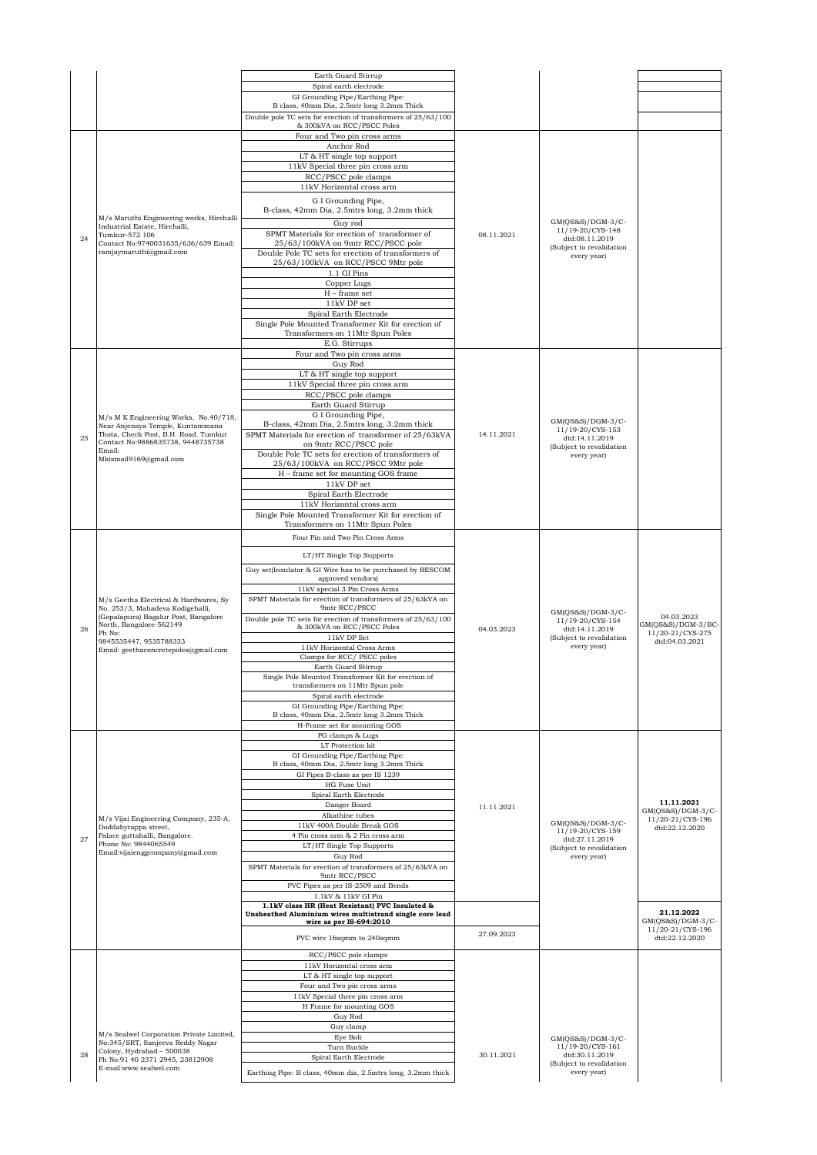|    |                                                                           | Earth Guard Stirrup                                                                                        |            |                                            |                                         |
|----|---------------------------------------------------------------------------|------------------------------------------------------------------------------------------------------------|------------|--------------------------------------------|-----------------------------------------|
|    |                                                                           | Spiral earth electrode                                                                                     |            |                                            |                                         |
|    |                                                                           | GI Grounding Pipe/Earthing Pipe:                                                                           |            |                                            |                                         |
|    |                                                                           | B class, 40mm Dia, 2.5mtr long 3.2mm Thick                                                                 |            |                                            |                                         |
|    |                                                                           | Double pole TC sets for erection of transformers of 25/63/100<br>& 300kVA on RCC/PSCC Poles                |            |                                            |                                         |
|    |                                                                           | Four and Two pin cross arms                                                                                |            |                                            |                                         |
|    |                                                                           | Anchor Rod                                                                                                 |            |                                            |                                         |
|    |                                                                           | LT & HT single top support<br>11kV Special three pin cross arm                                             |            |                                            |                                         |
|    |                                                                           | RCC/PSCC pole clamps                                                                                       |            |                                            |                                         |
|    |                                                                           | 11kV Horizontal cross arm                                                                                  |            |                                            |                                         |
|    |                                                                           | G I Grounding Pipe,                                                                                        |            |                                            |                                         |
|    |                                                                           | B-class, 42mm Dia, 2.5mtrs long, 3.2mm thick                                                               |            |                                            |                                         |
|    | M/s Maruthi Engineering works, Hirehalli<br>Industrial Estate, Hirehalli, | Guy rod                                                                                                    |            | $GM(QS&S)/DGM-3/C-$<br>11/19-20/CYS-148    |                                         |
| 24 | Tumkur-572 106                                                            | SPMT Materials for erection of transformer of                                                              | 08.11.2021 | dtd:08.11.2019                             |                                         |
|    | Contact No:9740031635/636/639 Email:<br>ramjaymaruthi@gmail.com           | 25/63/100kVA on 9mtr RCC/PSCC pole<br>Double Pole TC sets for erection of transformers of                  |            | (Subject to revalidation<br>every year)    |                                         |
|    |                                                                           | 25/63/100kVA on RCC/PSCC 9Mtr pole                                                                         |            |                                            |                                         |
|    |                                                                           | 1.1 GI Pins                                                                                                |            |                                            |                                         |
|    |                                                                           | Copper Lugs<br>$H$ – frame set                                                                             |            |                                            |                                         |
|    |                                                                           | 11kV DP set                                                                                                |            |                                            |                                         |
|    |                                                                           | Spiral Earth Electrode                                                                                     |            |                                            |                                         |
|    |                                                                           | Single Pole Mounted Transformer Kit for erection of                                                        |            |                                            |                                         |
|    |                                                                           | Transformers on 11Mtr Spun Poles<br>E.G. Stirrups                                                          |            |                                            |                                         |
|    |                                                                           | Four and Two pin cross arms                                                                                |            |                                            |                                         |
|    |                                                                           | Guy Rod                                                                                                    |            |                                            |                                         |
|    |                                                                           | LT & HT single top support                                                                                 |            |                                            |                                         |
|    |                                                                           | 11kV Special three pin cross arm<br>RCC/PSCC pole clamps                                                   |            |                                            |                                         |
|    |                                                                           | Earth Guard Stirrup                                                                                        |            |                                            |                                         |
|    | M/s M K Engineering Works, No.40/718,                                     | G I Grounding Pipe,                                                                                        |            | $GM(QS&S)/DGM-3/C-$                        |                                         |
|    | Near Anjenaya Temple, Kuntammana<br>Thota, Check Post, B.H. Road. Tumkur  | B-class, 42mm Dia, 2.5mtrs long, 3.2mm thick<br>SPMT Materials for erection of transformer of 25/63kVA     | 14.11.2021 | 11/19-20/CYS-153                           |                                         |
| 25 | Contact No: 9886835738, 9448735738                                        | on 9mtr RCC/PSCC pole                                                                                      |            | dtd:14.11.2019<br>(Subject to revalidation |                                         |
|    | Email:<br>Mkismail9169@gmail.com                                          | Double Pole TC sets for erection of transformers of                                                        |            | every year)                                |                                         |
|    |                                                                           | 25/63/100kVA on RCC/PSCC 9Mtr pole                                                                         |            |                                            |                                         |
|    |                                                                           | H - frame set for mounting GOS frame<br>11kV DP set                                                        |            |                                            |                                         |
|    |                                                                           | Spiral Earth Electrode                                                                                     |            |                                            |                                         |
|    |                                                                           | 11kV Horizontal cross arm                                                                                  |            |                                            |                                         |
|    |                                                                           | Single Pole Mounted Transformer Kit for erection of<br>Transformers on 11Mtr Spun Poles                    |            |                                            |                                         |
|    |                                                                           | Four Pin and Two Pin Cross Arms                                                                            |            |                                            |                                         |
|    |                                                                           |                                                                                                            |            |                                            |                                         |
|    |                                                                           | LT/HT Single Top Supports                                                                                  |            |                                            |                                         |
|    |                                                                           | Guy set(Insulator & GI Wire has to be purchased by BESCOM<br>approved vendors)                             |            |                                            |                                         |
|    |                                                                           | 11kV special 3 Pin Cross Arms                                                                              |            |                                            |                                         |
|    | M/s Geetha Electrical & Hardwares, Sy                                     | SPMT Materials for erection of transformers of 25/63kVA on                                                 |            |                                            |                                         |
|    | No. 253/3, Mahadeva Kodigehalli,<br>(Gopalapura) Bagalur Post, Bangalore  | 9mtr RCC/PSCC<br>Double pole TC sets for erection of transformers of 25/63/100                             |            | $GM(QS&S)/DGM-3/C-$                        | 04.03.2023                              |
| 26 | North, Bangalore-562149                                                   | & 300kVA on RCC/PSCC Poles                                                                                 | 04.03.2023 | 11/19-20/CYS-154<br>dtd:14.11.2019         | GM(QS&S)/DGM-3/BC-<br>11/20-21/CYS-275  |
|    | Ph No:<br>9845535447.9535788333                                           | 11kV DP Set                                                                                                |            | (Subject to revalidation<br>every year)    | dtd:04.03.2021                          |
|    | Email: geethaconcretepoles@gmail.com                                      | 11kV Horizontal Cross Arms<br>Clamps for RCC/ PSCC poles                                                   |            |                                            |                                         |
|    |                                                                           | Earth Guard Stirrup                                                                                        |            |                                            |                                         |
|    |                                                                           | Single Pole Mounted Transformer Kit for erection of                                                        |            |                                            |                                         |
|    |                                                                           | transformers on 11Mtr Spun pole<br>Spiral earth electrode                                                  |            |                                            |                                         |
|    |                                                                           | GI Grounding Pipe/Earthing Pipe:                                                                           |            |                                            |                                         |
|    |                                                                           | B class, 40mm Dia, 2.5mtr long 3.2mm Thick<br>H-Frame set for mounting GOS                                 |            |                                            |                                         |
|    |                                                                           | PG clamps & Lugs                                                                                           |            |                                            |                                         |
|    |                                                                           | LT Protection kit                                                                                          |            |                                            |                                         |
|    |                                                                           | GI Grounding Pipe/Earthing Pipe:<br>B class, 40mm Dia, 2.5mtr long 3.2mm Thick                             |            |                                            |                                         |
|    |                                                                           | GI Pipes B-class as per IS 1239                                                                            |            |                                            |                                         |
|    |                                                                           | HG Fuse Unit<br>Spiral Earth Electrode                                                                     |            |                                            |                                         |
|    |                                                                           | Danger Board                                                                                               | 11.11.2021 |                                            | 11.11.2021                              |
|    | M/s Vijai Engineering Company, 235-A,                                     | Alkathine tubes                                                                                            |            |                                            | $GM(QS&S)/DGM-3/C-$<br>11/20-21/CYS-196 |
|    | Doddabyrappa street,                                                      | 11kV 400A Double Break GOS                                                                                 |            | $GM(QS&S)/DGM-3/C-$<br>11/19-20/CYS-159    | dtd:22.12.2020                          |
| 27 | Palace guttahalli, Bangalore.<br>Phone No: 9844065549                     | 4 Pin cross arm & 2 Pin cross arm<br>LT/HT Single Top Supports                                             |            | dtd:27.11.2019                             |                                         |
|    | Email: vijaienggcompany@gmail.com                                         | Guy Rod                                                                                                    |            | (Subject to revalidation<br>every year)    |                                         |
|    |                                                                           | SPMT Materials for erection of transformers of 25/63kVA on                                                 |            |                                            |                                         |
|    |                                                                           | 9mtr RCC/PSCC<br>PVC Pipes as per IS-2509 and Bends                                                        |            |                                            |                                         |
|    |                                                                           | $1.1\mathrm{kV}$ & $11\mathrm{kV}$ GI Pin                                                                  |            |                                            |                                         |
|    |                                                                           | 1.1kV class HR (Heat Resistant) PVC Insulated &<br>Unsheathed Aluminium wires multistrand single core lead |            |                                            | 21.12.2022                              |
|    |                                                                           | wire as per IS-694:2010                                                                                    |            |                                            | $GM(QS&S)/DGM-3/C-$<br>11/20-21/CYS-196 |
|    |                                                                           | PVC wire 16sqmm to 240sqmm                                                                                 | 27.09.2023 |                                            | dtd:22.12.2020                          |
|    |                                                                           | RCC/PSCC pole clamps                                                                                       |            |                                            |                                         |
|    |                                                                           | 11kV Horizontal cross arm                                                                                  |            |                                            |                                         |
|    |                                                                           | LT & HT single top support                                                                                 |            |                                            |                                         |
|    |                                                                           | Four and Two pin cross arms<br>11kV Special three pin cross arm                                            |            |                                            |                                         |
|    |                                                                           | H Frame for mounting GOS                                                                                   |            |                                            |                                         |
|    |                                                                           | Guy Rod                                                                                                    |            |                                            |                                         |
|    | M/s Sealwel Corporation Private Limited,                                  | Guy clamp<br>Eye Bolt                                                                                      |            |                                            |                                         |
|    | No:345/SRT, Sanjeeva Reddy Nagar<br>Colony, Hydrabad - 500038             | Turn Buckle                                                                                                |            | $GM(QS&S)/DGM-3/C-$<br>11/19-20/CYS-161    |                                         |
| 28 | Ph No: 91 40 2371 2945, 23812908                                          | Spiral Earth Electrode                                                                                     | 30.11.2021 | dtd:30.11.2019<br>(Subject to revalidation |                                         |
|    | E-mail:www.sealwel.com                                                    | Earthing Pipe: B class, 40mm dia, 2.5mtrs long, 3.2mm thick                                                |            | every year)                                |                                         |
|    |                                                                           |                                                                                                            |            |                                            |                                         |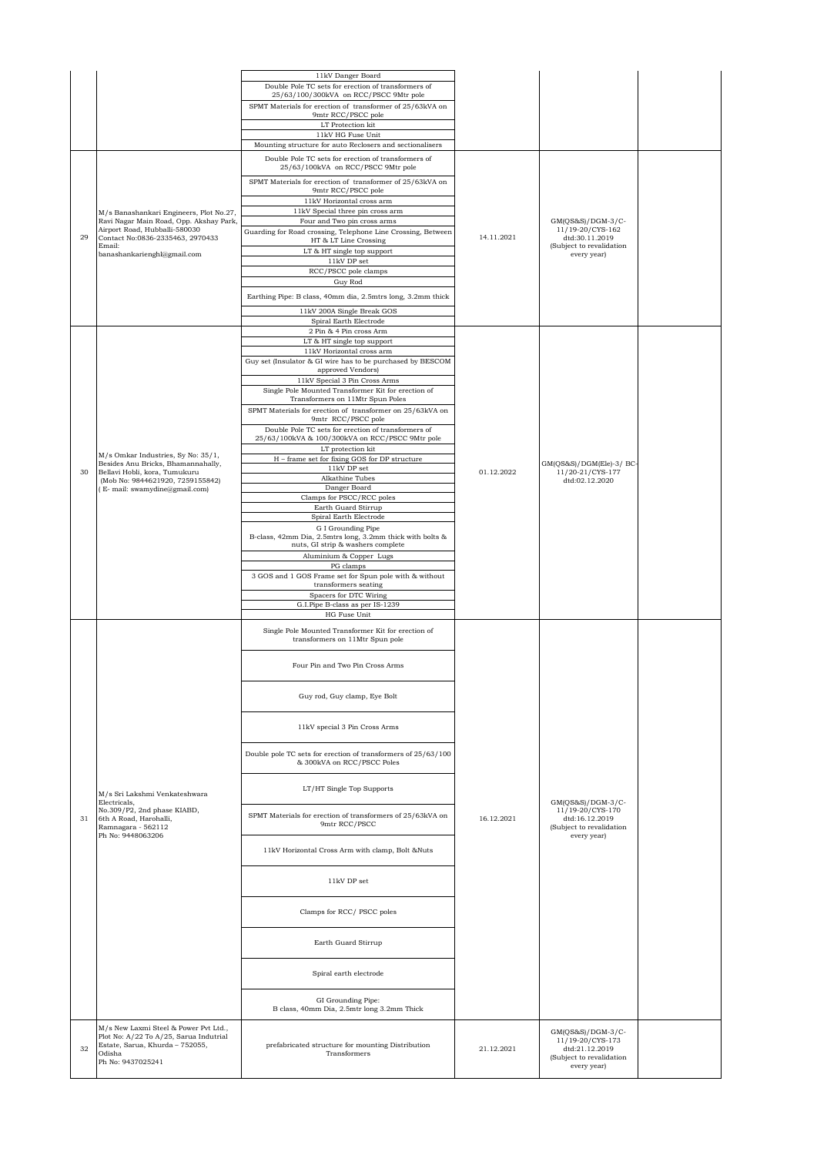|    |                                                                           | 11kV Danger Board                                                                                      |            |                                                                |  |
|----|---------------------------------------------------------------------------|--------------------------------------------------------------------------------------------------------|------------|----------------------------------------------------------------|--|
|    |                                                                           | Double Pole TC sets for erection of transformers of<br>25/63/100/300kVA on RCC/PSCC 9Mtr pole          |            |                                                                |  |
|    |                                                                           | SPMT Materials for erection of transformer of 25/63kVA on                                              |            |                                                                |  |
|    |                                                                           | 9mtr RCC/PSCC pole                                                                                     |            |                                                                |  |
|    |                                                                           | LT Protection kit<br>11kV HG Fuse Unit                                                                 |            |                                                                |  |
|    |                                                                           | Mounting structure for auto Reclosers and sectionalisers                                               |            |                                                                |  |
|    |                                                                           | Double Pole TC sets for erection of transformers of                                                    |            |                                                                |  |
|    |                                                                           | 25/63/100kVA on RCC/PSCC 9Mtr pole                                                                     |            |                                                                |  |
|    |                                                                           | SPMT Materials for erection of transformer of 25/63kVA on                                              |            |                                                                |  |
|    |                                                                           | 9mtr RCC/PSCC pole<br>11kV Horizontal cross arm                                                        |            |                                                                |  |
|    | M/s Banashankari Engineers, Plot No.27,                                   | 11kV Special three pin cross arm                                                                       |            |                                                                |  |
|    | Ravi Nagar Main Road, Opp. Akshay Park,                                   | Four and Two pin cross arms                                                                            |            | GM(OS&S)/DGM-3/C-                                              |  |
| 29 | Airport Road, Hubballi-580030<br>Contact No:0836-2335463, 2970433         | Guarding for Road crossing, Telephone Line Crossing, Between<br>HT & LT Line Crossing                  | 14.11.2021 | 11/19-20/CYS-162<br>dtd:30.11.2019                             |  |
|    | Email:                                                                    | LT & HT single top support                                                                             |            | (Subject to revalidation                                       |  |
|    | banashankarienghl@gmail.com                                               | 11kV DP set                                                                                            |            | every year)                                                    |  |
|    |                                                                           | RCC/PSCC pole clamps                                                                                   |            |                                                                |  |
|    |                                                                           | Guy Rod                                                                                                |            |                                                                |  |
|    |                                                                           | Earthing Pipe: B class, 40mm dia, 2.5mtrs long, 3.2mm thick                                            |            |                                                                |  |
|    |                                                                           | 11kV 200A Single Break GOS<br>Spiral Earth Electrode                                                   |            |                                                                |  |
|    |                                                                           | 2 Pin & 4 Pin cross Arm                                                                                |            |                                                                |  |
|    |                                                                           | LT & HT single top support                                                                             |            |                                                                |  |
|    |                                                                           | 11kV Horizontal cross arm                                                                              |            |                                                                |  |
|    |                                                                           | Guy set (Insulator & GI wire has to be purchased by BESCOM<br>approved Vendors)                        |            |                                                                |  |
|    |                                                                           | 11kV Special 3 Pin Cross Arms                                                                          |            |                                                                |  |
|    |                                                                           | Single Pole Mounted Transformer Kit for erection of<br>Transformers on 11Mtr Spun Poles                |            |                                                                |  |
|    |                                                                           | SPMT Materials for erection of transformer on 25/63kVA on                                              |            |                                                                |  |
|    |                                                                           | 9mtr RCC/PSCC pole                                                                                     |            |                                                                |  |
|    |                                                                           | Double Pole TC sets for erection of transformers of<br>25/63/100kVA & 100/300kVA on RCC/PSCC 9Mtr pole |            |                                                                |  |
|    |                                                                           | LT protection kit                                                                                      |            |                                                                |  |
|    | M/s Omkar Industries, Sy No: 35/1,<br>Besides Anu Bricks, Bhamannahally,  | H - frame set for fixing GOS for DP structure                                                          |            | GM(QS&S)/DGM(Ele)-3/ BC-<br>11/20-21/CYS-177<br>dtd:02.12.2020 |  |
| 30 | Bellavi Hobli, kora, Tumukuru<br>(Mob No: 9844621920, 7259155842)         | $11\mathrm{kV}$ DP set<br>Alkathine Tubes                                                              | 01.12.2022 |                                                                |  |
|    | (E- mail: swamydine@gmail.com)                                            | Danger Board                                                                                           |            |                                                                |  |
|    |                                                                           | Clamps for PSCC/RCC poles<br>Earth Guard Stirrup                                                       |            |                                                                |  |
|    |                                                                           | Spiral Earth Electrode                                                                                 |            |                                                                |  |
|    |                                                                           | G I Grounding Pipe                                                                                     |            |                                                                |  |
|    |                                                                           | B-class, 42mm Dia, 2.5mtrs long, 3.2mm thick with bolts &<br>nuts, GI strip & washers complete         |            |                                                                |  |
|    |                                                                           | Aluminium & Copper Lugs                                                                                |            |                                                                |  |
|    |                                                                           | PG clamps                                                                                              |            |                                                                |  |
|    |                                                                           | 3 GOS and 1 GOS Frame set for Spun pole with & without<br>transformers seating                         |            |                                                                |  |
|    |                                                                           | Spacers for DTC Wiring                                                                                 |            |                                                                |  |
|    |                                                                           | G.I.Pipe B-class as per IS-1239<br>HG Fuse Unit                                                        |            |                                                                |  |
|    |                                                                           |                                                                                                        |            |                                                                |  |
|    |                                                                           | Single Pole Mounted Transformer Kit for erection of<br>transformers on 11Mtr Spun pole                 |            |                                                                |  |
|    |                                                                           |                                                                                                        |            |                                                                |  |
|    |                                                                           | Four Pin and Two Pin Cross Arms                                                                        |            |                                                                |  |
|    |                                                                           |                                                                                                        |            |                                                                |  |
|    |                                                                           |                                                                                                        |            |                                                                |  |
|    |                                                                           | Guy rod, Guy clamp, Eye Bolt                                                                           |            |                                                                |  |
|    |                                                                           |                                                                                                        |            |                                                                |  |
|    |                                                                           | 11kV special 3 Pin Cross Arms                                                                          |            |                                                                |  |
|    |                                                                           |                                                                                                        |            |                                                                |  |
|    |                                                                           | Double pole TC sets for erection of transformers of 25/63/100<br>& 300kVA on RCC/PSCC Poles            |            |                                                                |  |
|    |                                                                           |                                                                                                        |            |                                                                |  |
|    |                                                                           |                                                                                                        |            |                                                                |  |
|    | M/s Sri Lakshmi Venkateshwara<br>Electricals,                             | LT/HT Single Top Supports                                                                              |            | $GM(QS&S)/DGM-3/C-$                                            |  |
|    | No.309/P2, 2nd phase KIABD,                                               |                                                                                                        |            | 11/19-20/CYS-170                                               |  |
| 31 | 6th A Road, Harohalli,<br>Ramnagara - 562112                              | SPMT Materials for erection of transformers of 25/63kVA on<br>9mtr RCC/PSCC                            | 16.12.2021 | dtd:16.12.2019<br>(Subject to revalidation                     |  |
|    | Ph No: 9448063206                                                         |                                                                                                        |            | every year)                                                    |  |
|    |                                                                           | 11kV Horizontal Cross Arm with clamp, Bolt &Nuts                                                       |            |                                                                |  |
|    |                                                                           |                                                                                                        |            |                                                                |  |
|    |                                                                           | 11kV DP set                                                                                            |            |                                                                |  |
|    |                                                                           |                                                                                                        |            |                                                                |  |
|    |                                                                           |                                                                                                        |            |                                                                |  |
|    |                                                                           | Clamps for RCC/ PSCC poles                                                                             |            |                                                                |  |
|    |                                                                           |                                                                                                        |            |                                                                |  |
|    |                                                                           | Earth Guard Stirrup                                                                                    |            |                                                                |  |
|    |                                                                           |                                                                                                        |            |                                                                |  |
|    |                                                                           | Spiral earth electrode                                                                                 |            |                                                                |  |
|    |                                                                           |                                                                                                        |            |                                                                |  |
|    |                                                                           | GI Grounding Pipe:                                                                                     |            |                                                                |  |
|    |                                                                           | B class, 40mm Dia, 2.5mtr long 3.2mm Thick                                                             |            |                                                                |  |
|    | M/s New Laxmi Steel & Power Pvt Ltd.,                                     |                                                                                                        |            |                                                                |  |
|    | Plot No: A/22 To A/25, Sarua Indutrial<br>Estate, Sarua, Khurda - 752055, | prefabricated structure for mounting Distribution                                                      |            | GM(QS&S)/DGM-3/C-<br>11/19-20/CYS-173                          |  |
| 32 | Odisha                                                                    | Transformers                                                                                           | 21.12.2021 | dtd:21.12.2019<br>(Subject to revalidation                     |  |
|    | Ph No: 9437025241                                                         |                                                                                                        |            | every year)                                                    |  |
|    |                                                                           |                                                                                                        |            |                                                                |  |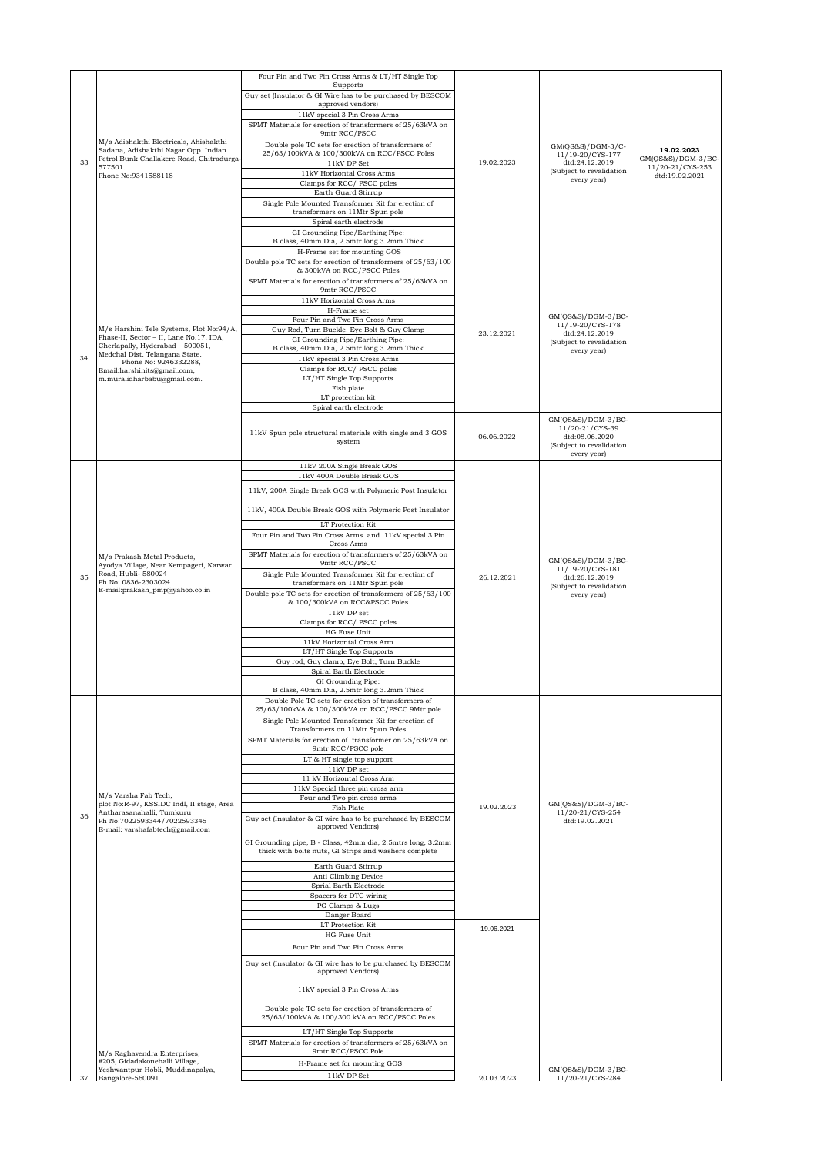|    |                                                                                                                                                      | Four Pin and Two Pin Cross Arms & LT/HT Single Top<br>Supports                                                                                                                                    |            |                                                                                                    |                                    |
|----|------------------------------------------------------------------------------------------------------------------------------------------------------|---------------------------------------------------------------------------------------------------------------------------------------------------------------------------------------------------|------------|----------------------------------------------------------------------------------------------------|------------------------------------|
|    |                                                                                                                                                      | Guy set (Insulator & GI Wire has to be purchased by BESCOM                                                                                                                                        |            |                                                                                                    |                                    |
|    |                                                                                                                                                      | approved vendors)<br>11kV special 3 Pin Cross Arms                                                                                                                                                |            |                                                                                                    |                                    |
|    |                                                                                                                                                      | SPMT Materials for erection of transformers of 25/63kVA on                                                                                                                                        |            |                                                                                                    |                                    |
|    | M/s Adishakthi Electricals, Ahishakthi                                                                                                               | 9mtr RCC/PSCC<br>Double pole TC sets for erection of transformers of                                                                                                                              |            | GM(QS&S)/DGM-3/C-                                                                                  |                                    |
| 33 | Sadana, Adishakthi Nagar Opp. Indian<br>Petrol Bunk Challakere Road, Chitradurga-                                                                    | 25/63/100kVA & 100/300kVA on RCC/PSCC Poles                                                                                                                                                       |            | 11/19-20/CYS-177                                                                                   | 19.02.2023<br>GM(QS&S)/DGM-3/BC-   |
|    | 577501.<br>Phone No:9341588118                                                                                                                       | 11kV DP Set<br>11kV Horizontal Cross Arms                                                                                                                                                         | 19.02.2023 | dtd:24.12.2019<br>(Subject to revalidation                                                         | 11/20-21/CYS-253<br>dtd:19.02.2021 |
|    |                                                                                                                                                      | Clamps for RCC/ PSCC poles<br>Earth Guard Stirrup                                                                                                                                                 |            | every year)                                                                                        |                                    |
|    |                                                                                                                                                      | Single Pole Mounted Transformer Kit for erection of<br>transformers on 11Mtr Spun pole                                                                                                            |            |                                                                                                    |                                    |
|    |                                                                                                                                                      | Spiral earth electrode<br>GI Grounding Pipe/Earthing Pipe:<br>B class, 40mm Dia, 2.5mtr long 3.2mm Thick                                                                                          |            |                                                                                                    |                                    |
|    |                                                                                                                                                      | H-Frame set for mounting GOS                                                                                                                                                                      |            |                                                                                                    |                                    |
|    |                                                                                                                                                      | Double pole TC sets for erection of transformers of 25/63/100<br>& 300kVA on RCC/PSCC Poles                                                                                                       |            |                                                                                                    |                                    |
|    |                                                                                                                                                      | SPMT Materials for erection of transformers of 25/63kVA on<br>9mtr RCC/PSCC                                                                                                                       |            |                                                                                                    |                                    |
|    |                                                                                                                                                      | 11kV Horizontal Cross Arms                                                                                                                                                                        |            |                                                                                                    |                                    |
|    |                                                                                                                                                      | H-Frame set<br>Four Pin and Two Pin Cross Arms                                                                                                                                                    |            | $GM(QS&S)/DGM-3/BC-$                                                                               |                                    |
|    | M/s Harshini Tele Systems, Plot No:94/A,<br>Phase-II, Sector - II, Lane No.17, IDA,                                                                  | Guy Rod, Turn Buckle, Eye Bolt & Guy Clamp                                                                                                                                                        | 23.12.2021 | 11/19-20/CYS-178<br>dtd:24.12.2019                                                                 |                                    |
|    | Cherlapally, Hyderabad - 500051,<br>Medchal Dist. Telangana State.                                                                                   | GI Grounding Pipe/Earthing Pipe:<br>B class, 40mm Dia, 2.5mtr long 3.2mm Thick                                                                                                                    |            | (Subject to revalidation<br>every year)                                                            |                                    |
| 34 | Phone No: 9246332288,                                                                                                                                | 11kV special 3 Pin Cross Arms<br>Clamps for RCC/ PSCC poles                                                                                                                                       |            |                                                                                                    |                                    |
|    | Email:harshinits@gmail.com,<br>m.muralidharbabu@gmail.com.                                                                                           | LT/HT Single Top Supports                                                                                                                                                                         |            |                                                                                                    |                                    |
|    |                                                                                                                                                      | Fish plate<br>LT protection kit                                                                                                                                                                   |            |                                                                                                    |                                    |
|    |                                                                                                                                                      | Spiral earth electrode                                                                                                                                                                            |            |                                                                                                    |                                    |
|    |                                                                                                                                                      | 11kV Spun pole structural materials with single and 3 GOS<br>system                                                                                                                               | 06.06.2022 | GM(QS&S)/DGM-3/BC-<br>11/20-21/CYS-39<br>dtd:08.06.2020<br>(Subject to revalidation<br>every year) |                                    |
|    |                                                                                                                                                      | 11kV 200A Single Break GOS<br>11kV 400A Double Break GOS                                                                                                                                          |            |                                                                                                    |                                    |
|    |                                                                                                                                                      | 11kV, 200A Single Break GOS with Polymeric Post Insulator                                                                                                                                         |            |                                                                                                    |                                    |
|    | M/s Prakash Metal Products,<br>Ayodya Village, Near Kempageri, Karwar<br>Road, Hubli-580024<br>Ph No: 0836-2303024<br>E-mail:prakash_pmp@yahoo.co.in |                                                                                                                                                                                                   |            |                                                                                                    |                                    |
|    |                                                                                                                                                      | 11kV, 400A Double Break GOS with Polymeric Post Insulator                                                                                                                                         |            |                                                                                                    |                                    |
|    |                                                                                                                                                      | LT Protection Kit<br>Four Pin and Two Pin Cross Arms and 11kV special 3 Pin                                                                                                                       |            |                                                                                                    |                                    |
|    |                                                                                                                                                      | Cross Arms<br>SPMT Materials for erection of transformers of 25/63kVA on                                                                                                                          |            |                                                                                                    |                                    |
|    |                                                                                                                                                      | 9mtr RCC/PSCC                                                                                                                                                                                     |            | $GM(QS&S)/DGM-3/BC-$<br>11/19-20/CYS-181                                                           |                                    |
| 35 |                                                                                                                                                      | Single Pole Mounted Transformer Kit for erection of<br>transformers on 11Mtr Spun pole                                                                                                            | 26.12.2021 | dtd:26.12.2019<br>(Subject to revalidation                                                         |                                    |
|    |                                                                                                                                                      | Double pole TC sets for erection of transformers of 25/63/100<br>& 100/300kVA on RCC&PSCC Poles                                                                                                   |            | every year)                                                                                        |                                    |
|    |                                                                                                                                                      | 11kV DP set                                                                                                                                                                                       |            |                                                                                                    |                                    |
|    |                                                                                                                                                      | Clamps for RCC/ PSCC poles<br>HG Fuse Unit                                                                                                                                                        |            |                                                                                                    |                                    |
|    |                                                                                                                                                      | 11kV Horizontal Cross Arm                                                                                                                                                                         |            |                                                                                                    |                                    |
|    |                                                                                                                                                      | LT/HT Single Top Supports<br>Guy rod, Guy clamp, Eye Bolt, Turn Buckle                                                                                                                            |            |                                                                                                    |                                    |
|    |                                                                                                                                                      | Spiral Earth Electrode<br>GI Grounding Pipe:                                                                                                                                                      |            |                                                                                                    |                                    |
|    |                                                                                                                                                      | B class, 40mm Dia, 2.5mtr long 3.2mm Thick                                                                                                                                                        |            |                                                                                                    |                                    |
|    |                                                                                                                                                      | Double Pole TC sets for erection of transformers of<br>25/63/100kVA & 100/300kVA on RCC/PSCC 9Mtr pole<br>Single Pole Mounted Transformer Kit for erection of<br>Transformers on 11Mtr Spun Poles |            |                                                                                                    |                                    |
|    |                                                                                                                                                      | SPMT Materials for erection of transformer on 25/63kVA on                                                                                                                                         |            |                                                                                                    |                                    |
|    |                                                                                                                                                      | 9mtr RCC/PSCC pole<br>LT & HT single top support                                                                                                                                                  |            |                                                                                                    |                                    |
|    |                                                                                                                                                      | 11kV DP set<br>11 kV Horizontal Cross Arm                                                                                                                                                         |            |                                                                                                    |                                    |
|    |                                                                                                                                                      | 11kV Special three pin cross arm                                                                                                                                                                  |            |                                                                                                    |                                    |
|    | M/s Varsha Fab Tech,<br>plot No:R-97, KSSIDC Indl, II stage, Area                                                                                    | Four and Two pin cross arms<br>Fish Plate                                                                                                                                                         | 19.02.2023 | $GM(OS&S)/DGM-3/BC-$                                                                               |                                    |
| 36 | Antharasanahalli, Tumkuru<br>Ph No:7022593344/7022593345<br>E-mail: varshafabtech@gmail.com                                                          | Guy set (Insulator & GI wire has to be purchased by BESCOM<br>approved Vendors)                                                                                                                   |            | 11/20-21/CYS-254<br>dtd:19.02.2021                                                                 |                                    |
|    |                                                                                                                                                      | GI Grounding pipe, B - Class, 42mm dia, 2.5mtrs long, 3.2mm<br>thick with bolts nuts, GI Strips and washers complete                                                                              |            |                                                                                                    |                                    |
|    |                                                                                                                                                      | Earth Guard Stirrup<br>Anti Climbing Device                                                                                                                                                       |            |                                                                                                    |                                    |
|    |                                                                                                                                                      | Sprial Earth Electrode                                                                                                                                                                            |            |                                                                                                    |                                    |
|    |                                                                                                                                                      | Spacers for DTC wiring<br>PG Clamps & Lugs                                                                                                                                                        |            |                                                                                                    |                                    |
|    |                                                                                                                                                      | Danger Board<br>LT Protection Kit                                                                                                                                                                 |            |                                                                                                    |                                    |
|    |                                                                                                                                                      | HG Fuse Unit                                                                                                                                                                                      | 19.06.2021 |                                                                                                    |                                    |
|    |                                                                                                                                                      | Four Pin and Two Pin Cross Arms                                                                                                                                                                   |            |                                                                                                    |                                    |
|    |                                                                                                                                                      | Guy set (Insulator & GI wire has to be purchased by BESCOM<br>approved Vendors)                                                                                                                   |            |                                                                                                    |                                    |
|    |                                                                                                                                                      | 11kV special 3 Pin Cross Arms                                                                                                                                                                     |            |                                                                                                    |                                    |
|    |                                                                                                                                                      | Double pole TC sets for erection of transformers of<br>25/63/100kVA & 100/300 kVA on RCC/PSCC Poles                                                                                               |            |                                                                                                    |                                    |
|    |                                                                                                                                                      | LT/HT Single Top Supports<br>SPMT Materials for erection of transformers of 25/63kVA on                                                                                                           |            |                                                                                                    |                                    |
|    | M/s Raghavendra Enterprises,                                                                                                                         | 9mtr RCC/PSCC Pole                                                                                                                                                                                |            |                                                                                                    |                                    |
|    | #205, Gidadakonehalli Village,<br>Yeshwantpur Hobli, Muddinapalya,                                                                                   | H-Frame set for mounting GOS<br>11kV DP Set                                                                                                                                                       |            | $GM(QS&S)/DGM-3/BC-$                                                                               |                                    |
| 37 | Bangalore-560091.                                                                                                                                    |                                                                                                                                                                                                   | 20.03.2023 | 11/20-21/CYS-284                                                                                   |                                    |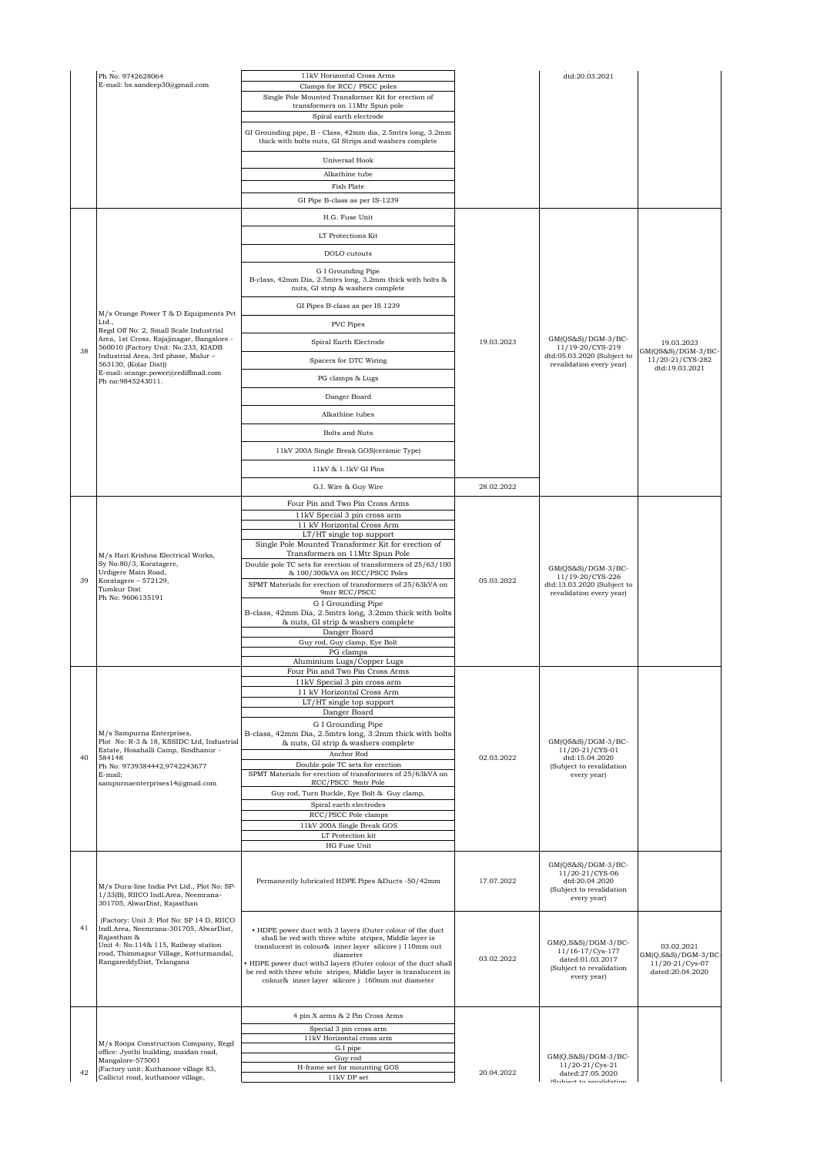|    | Ph No: 9742628064                                                                                                                                                                                                 | 11kV Horizontal Cross Arms                                                                                                                                                                                                                                                                                                                                                         |            | dtd:20.03.2021                                                                                             |                                                                          |
|----|-------------------------------------------------------------------------------------------------------------------------------------------------------------------------------------------------------------------|------------------------------------------------------------------------------------------------------------------------------------------------------------------------------------------------------------------------------------------------------------------------------------------------------------------------------------------------------------------------------------|------------|------------------------------------------------------------------------------------------------------------|--------------------------------------------------------------------------|
|    | E-mail: bs.sandeep30@gmail.com                                                                                                                                                                                    | Clamps for RCC/PSCC poles<br>Single Pole Mounted Transformer Kit for erection of                                                                                                                                                                                                                                                                                                   |            |                                                                                                            |                                                                          |
|    |                                                                                                                                                                                                                   | transformers on 11Mtr Spun pole                                                                                                                                                                                                                                                                                                                                                    |            |                                                                                                            |                                                                          |
|    |                                                                                                                                                                                                                   | Spiral earth electrode                                                                                                                                                                                                                                                                                                                                                             |            |                                                                                                            |                                                                          |
|    |                                                                                                                                                                                                                   | GI Grounding pipe, B - Class, 42mm dia, 2.5mtrs long, 3.2mm<br>thick with bolts nuts, GI Strips and washers complete                                                                                                                                                                                                                                                               |            |                                                                                                            |                                                                          |
|    |                                                                                                                                                                                                                   | Universal Hook                                                                                                                                                                                                                                                                                                                                                                     |            |                                                                                                            |                                                                          |
|    |                                                                                                                                                                                                                   | Alkathine tube                                                                                                                                                                                                                                                                                                                                                                     |            |                                                                                                            |                                                                          |
|    |                                                                                                                                                                                                                   | Fish Plate                                                                                                                                                                                                                                                                                                                                                                         |            |                                                                                                            |                                                                          |
|    |                                                                                                                                                                                                                   | GI Pipe B-class as per IS-1239                                                                                                                                                                                                                                                                                                                                                     |            |                                                                                                            |                                                                          |
|    |                                                                                                                                                                                                                   | H.G. Fuse Unit                                                                                                                                                                                                                                                                                                                                                                     |            |                                                                                                            |                                                                          |
|    |                                                                                                                                                                                                                   | LT Protections Kit                                                                                                                                                                                                                                                                                                                                                                 |            |                                                                                                            |                                                                          |
|    |                                                                                                                                                                                                                   | DOLO cutouts                                                                                                                                                                                                                                                                                                                                                                       |            |                                                                                                            |                                                                          |
|    |                                                                                                                                                                                                                   | G I Grounding Pipe<br>B-class, 42mm Dia, 2.5mtrs long, 3.2mm thick with bolts &<br>nuts, GI strip & washers complete                                                                                                                                                                                                                                                               |            |                                                                                                            |                                                                          |
|    |                                                                                                                                                                                                                   | GI Pipes B-class as per IS 1239                                                                                                                                                                                                                                                                                                                                                    |            |                                                                                                            |                                                                          |
|    | M/s Orange Power T & D Equipments Pvt<br>Ltd.,                                                                                                                                                                    | PVC Pipes                                                                                                                                                                                                                                                                                                                                                                          |            |                                                                                                            |                                                                          |
|    | Regd Off No: 2, Small Scale Industrial<br>Area, 1st Cross, Rajajinagar, Bangalore -                                                                                                                               | Spiral Earth Electrode                                                                                                                                                                                                                                                                                                                                                             | 19.03.2023 | GM(QS&S)/DGM-3/BC-                                                                                         | 19.03.2023                                                               |
| 38 | 560010 (Factory Unit: No.233, KIADB<br>Industrial Area, 3rd phase, Malur-<br>563130, (Kolar Dist))                                                                                                                | Spacers for DTC Wiring                                                                                                                                                                                                                                                                                                                                                             |            | 11/19-20/CYS-219<br>dtd:05.03.2020 (Subject to<br>revalidation every year)                                 | GM(QS&S)/DGM-3/BC-<br>11/20-21/CYS-282                                   |
|    | E-mail: orange.power@rediffmail.com<br>Ph no:9845243011.                                                                                                                                                          | PG clamps & Lugs                                                                                                                                                                                                                                                                                                                                                                   |            |                                                                                                            | dtd:19.03.2021                                                           |
|    |                                                                                                                                                                                                                   | Danger Board                                                                                                                                                                                                                                                                                                                                                                       |            |                                                                                                            |                                                                          |
|    |                                                                                                                                                                                                                   |                                                                                                                                                                                                                                                                                                                                                                                    |            |                                                                                                            |                                                                          |
|    |                                                                                                                                                                                                                   | Alkathine tubes                                                                                                                                                                                                                                                                                                                                                                    |            |                                                                                                            |                                                                          |
|    |                                                                                                                                                                                                                   | Bolts and Nuts                                                                                                                                                                                                                                                                                                                                                                     |            |                                                                                                            |                                                                          |
|    |                                                                                                                                                                                                                   | 11kV 200A Single Break GOS(ceramic Type)                                                                                                                                                                                                                                                                                                                                           |            |                                                                                                            |                                                                          |
|    |                                                                                                                                                                                                                   | 11kV & 1.1kV GI Pins                                                                                                                                                                                                                                                                                                                                                               |            |                                                                                                            |                                                                          |
|    |                                                                                                                                                                                                                   | G.I. Wire & Guy Wire                                                                                                                                                                                                                                                                                                                                                               | 28.02.2022 |                                                                                                            |                                                                          |
|    |                                                                                                                                                                                                                   | Four Pin and Two Pin Cross Arms                                                                                                                                                                                                                                                                                                                                                    |            |                                                                                                            |                                                                          |
|    | M/s Hari Krishna Electrical Works,                                                                                                                                                                                | 11kV Special 3 pin cross arm<br>11 kV Horizontal Cross Arm                                                                                                                                                                                                                                                                                                                         |            |                                                                                                            |                                                                          |
|    |                                                                                                                                                                                                                   | LT/HT single top support<br>Single Pole Mounted Transformer Kit for erection of                                                                                                                                                                                                                                                                                                    |            |                                                                                                            |                                                                          |
|    |                                                                                                                                                                                                                   | Transformers on 11Mtr Spun Pole                                                                                                                                                                                                                                                                                                                                                    |            |                                                                                                            |                                                                          |
|    | Sy No:80/3, Koratagere,<br>Urdigere Main Road,                                                                                                                                                                    | Double pole TC sets for erection of transformers of 25/63/100<br>& 100/300kVA on RCC/PSCC Poles                                                                                                                                                                                                                                                                                    |            | GM(QS&S)/DGM-3/BC-<br>11/19-20/CYS-226                                                                     |                                                                          |
| 39 | Koratagere - 572129,<br>Tumkur Dist<br>Ph No: 9606135191                                                                                                                                                          | SPMT Materials for erection of transformers of 25/63kVA on<br>9mtr RCC/PSCC                                                                                                                                                                                                                                                                                                        | 05.03.2022 | dtd:13.03.2020 (Subject to<br>revalidation every year)                                                     |                                                                          |
|    |                                                                                                                                                                                                                   | G I Grounding Pipe                                                                                                                                                                                                                                                                                                                                                                 |            |                                                                                                            |                                                                          |
|    |                                                                                                                                                                                                                   | B-class, 42mm Dia, 2.5mtrs long, 3.2mm thick with bolts<br>& nuts, GI strip & washers complete                                                                                                                                                                                                                                                                                     |            |                                                                                                            |                                                                          |
|    |                                                                                                                                                                                                                   | Danger Board<br>Guy rod, Guy clamp, Eye Bolt                                                                                                                                                                                                                                                                                                                                       |            |                                                                                                            |                                                                          |
|    |                                                                                                                                                                                                                   | PG clamps                                                                                                                                                                                                                                                                                                                                                                          |            |                                                                                                            |                                                                          |
|    |                                                                                                                                                                                                                   | Aluminium Lugs/Copper Lugs<br>Four Pin and Two Pin Cross Arms                                                                                                                                                                                                                                                                                                                      |            |                                                                                                            |                                                                          |
|    |                                                                                                                                                                                                                   | 11kV Special 3 pin cross arm                                                                                                                                                                                                                                                                                                                                                       |            |                                                                                                            |                                                                          |
|    |                                                                                                                                                                                                                   | 11 kV Horizontal Cross Arm<br>LT/HT single top support                                                                                                                                                                                                                                                                                                                             |            |                                                                                                            |                                                                          |
|    |                                                                                                                                                                                                                   | Danger Board                                                                                                                                                                                                                                                                                                                                                                       |            |                                                                                                            |                                                                          |
|    | M/s Sampurna Enterprises,                                                                                                                                                                                         | G I Grounding Pipe<br>B-class, 42mm Dia, 2.5mtrs long, 3.2mm thick with bolts                                                                                                                                                                                                                                                                                                      |            |                                                                                                            |                                                                          |
|    | Plot No: R-3 & 18, KSSIDC Ltd, Industrial<br>Estate, Hosahalli Camp, Sindhanur -                                                                                                                                  | & nuts, GI strip & washers complete<br>Anchor Rod                                                                                                                                                                                                                                                                                                                                  |            | $GM(QS&S)/DGM-3/BC-$<br>11/20-21/CYS-01                                                                    |                                                                          |
| 40 | 584148<br>Ph No: 9739384442,9742243677                                                                                                                                                                            | Double pole TC sets for erection                                                                                                                                                                                                                                                                                                                                                   | 02.03.2022 | dtd:15.04.2020<br>(Subject to revalidation                                                                 |                                                                          |
|    | E-mail:<br>sampurnaenterprises14@gmail.com                                                                                                                                                                        | SPMT Materials for erection of transformers of 25/63kVA on<br>RCC/PSCC 9mtr Pole                                                                                                                                                                                                                                                                                                   |            | every year)                                                                                                |                                                                          |
|    |                                                                                                                                                                                                                   | Guy rod, Turn Buckle, Eye Bolt & Guy clamp,                                                                                                                                                                                                                                                                                                                                        |            |                                                                                                            |                                                                          |
|    |                                                                                                                                                                                                                   | Spiral earth electrodes<br>RCC/PSCC Pole clamps                                                                                                                                                                                                                                                                                                                                    |            |                                                                                                            |                                                                          |
|    |                                                                                                                                                                                                                   | 11kV 200A Single Break GOS<br>LT Protection kit                                                                                                                                                                                                                                                                                                                                    |            |                                                                                                            |                                                                          |
|    |                                                                                                                                                                                                                   | HG Fuse Unit                                                                                                                                                                                                                                                                                                                                                                       |            |                                                                                                            |                                                                          |
|    | M/s Dura-line India Pvt Ltd., Plot No: SP-<br>1/33(B), RIICO Indl.Area, Neemrana-<br>301705, AlwarDist, Rajasthan                                                                                                 | Permanently lubricated HDPE Pipes &Ducts -50/42mm                                                                                                                                                                                                                                                                                                                                  | 17.07.2022 | GM(QS&S)/DGM-3/BC-<br>11/20-21/CYS-06<br>dtd:20.04.2020<br>(Subject to revalidation<br>every year)         |                                                                          |
| 41 | (Factory: Unit 3: Plot No: SP 14 D, RIICO<br>Indl.Area, Neemrana-301705, AlwarDist,<br>Rajasthan &<br>Unit 4: No:114& 115, Railway station<br>road, Thimmapur Village, Kotturmandal,<br>RangareddyDist, Telangana | • HDPE power duct with 3 layers (Outer colour of the duct<br>shall be red with three white stripes, Middle layer is<br>translucent in colour& inner layer silicore ) 110mm out<br>diameter<br>HDPE power duct with3 layers (Outer colour of the duct shall<br>be red with three white stripes, Middle layer is translucent in<br>colour& inner layer silicore ) 160mm out diameter | 03.02.2022 | $GM(Q, S\&S)/DGM-3/BC-$<br>11/16-17/Cys-177<br>dated:01.03.2017<br>(Subject to revalidation<br>every year) | 03.02.2021<br>GM(Q,S&S)/DGM-3/BC-<br>11/20-21/Cys-07<br>dated:20.04.2020 |
|    |                                                                                                                                                                                                                   |                                                                                                                                                                                                                                                                                                                                                                                    |            |                                                                                                            |                                                                          |
|    |                                                                                                                                                                                                                   | 4 pin X arms & 2 Pin Cross Arms                                                                                                                                                                                                                                                                                                                                                    |            |                                                                                                            |                                                                          |
|    |                                                                                                                                                                                                                   | Special 3 pin cross arm                                                                                                                                                                                                                                                                                                                                                            |            |                                                                                                            |                                                                          |
|    | M/s Roopa Construction Company, Regd<br>office: Jyothi building, maidan road,                                                                                                                                     | 11kV Horizontal cross arm<br>G.I pipe                                                                                                                                                                                                                                                                                                                                              |            |                                                                                                            |                                                                          |
|    | Mangalore-575001<br>(Factory unit: Kuthanoor village 83,                                                                                                                                                          | Guy rod<br>H-frame set for mounting GOS                                                                                                                                                                                                                                                                                                                                            |            | GM(Q,S&S)/DGM-3/BC-<br>11/20-21/Cys-21                                                                     |                                                                          |
| 42 | Callicut road, kuthanoor village,                                                                                                                                                                                 | $11\mathrm{kV}$ DP set                                                                                                                                                                                                                                                                                                                                                             | 20.04.2022 | dated:27.05.2020<br>(Subject to revalidation                                                               |                                                                          |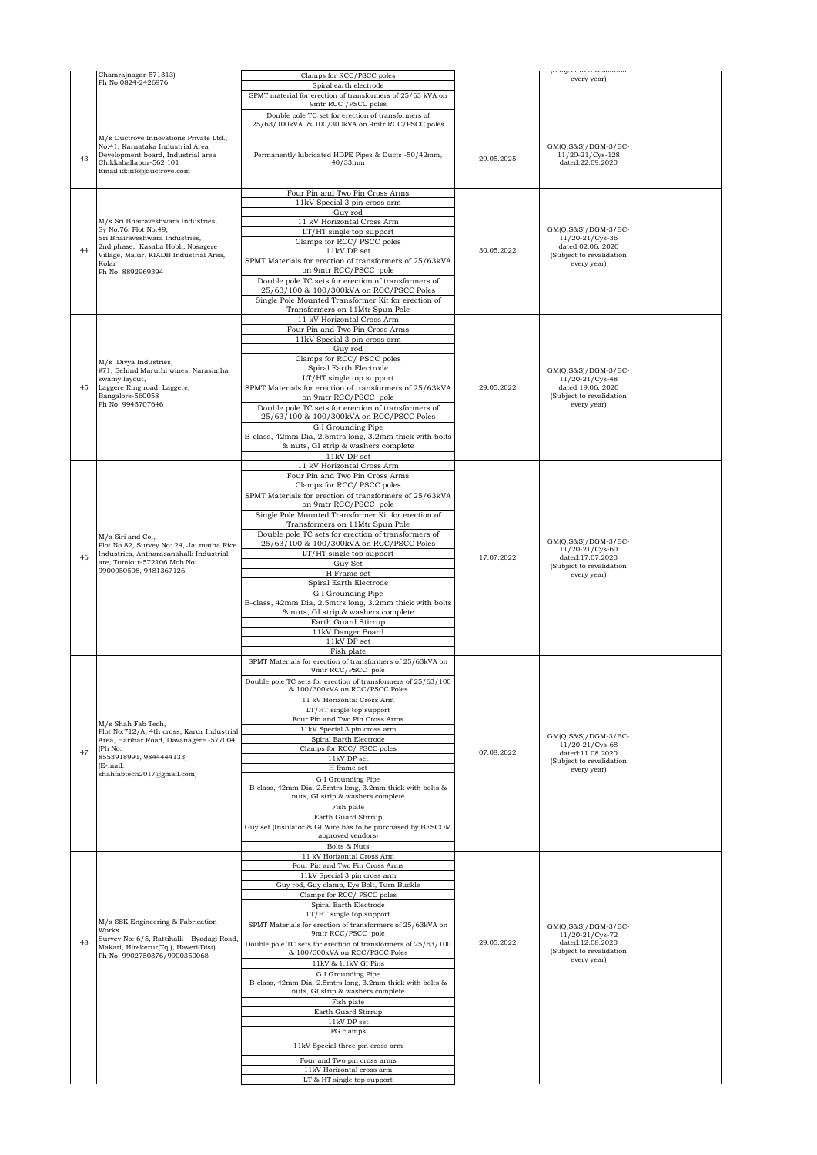|    | Chamrajnagar-571313)                                                                                                                                                     | Clamps for RCC/PSCC poles                                                                              |            | propert to revanuation.<br>every year)                          |  |
|----|--------------------------------------------------------------------------------------------------------------------------------------------------------------------------|--------------------------------------------------------------------------------------------------------|------------|-----------------------------------------------------------------|--|
|    | Ph No:0824-2426976                                                                                                                                                       | Spiral earth electrode<br>SPMT material for erection of transformers of 25/63 kVA on                   |            |                                                                 |  |
|    |                                                                                                                                                                          | 9mtr RCC / PSCC poles                                                                                  |            |                                                                 |  |
|    |                                                                                                                                                                          | Double pole TC set for erection of transformers of<br>25/63/100kVA & 100/300kVA on 9mtr RCC/PSCC poles |            |                                                                 |  |
| 43 | M/s Ductrove Innovations Private Ltd.,<br>No:41, Karnataka Industrial Area<br>Development board, Industrial area<br>Chikkaballapur-562 101<br>Email id:info@ductrove.com | Permanently lubricated HDPE Pipes & Ducts -50/42mm,<br>$40/33$ mm                                      | 29.05.2025 | $GM(Q, S\&S)/DGM-3/BC-$<br>11/20-21/Cys-128<br>dated:22.09.2020 |  |
|    |                                                                                                                                                                          | Four Pin and Two Pin Cross Arms                                                                        |            |                                                                 |  |
|    |                                                                                                                                                                          | 11kV Special 3 pin cross arm<br>Guy rod                                                                |            |                                                                 |  |
|    | M/s Sri Bhairaveshwara Industries,<br>Sy No.76, Plot No.49,                                                                                                              | 11 kV Horizontal Cross Arm<br>LT/HT single top support                                                 |            | $GM(Q, S\&S)/DGM-3/BC-$                                         |  |
|    | Sri Bhairaveshwara Industries,<br>2nd phase, Kasaba Hobli, Nosagere                                                                                                      | Clamps for RCC/PSCC poles                                                                              |            | 11/20-21/Cys-36<br>dated:02.062020                              |  |
| 44 | Village, Malur, KIADB Industrial Area,                                                                                                                                   | 11kV DP set<br>SPMT Materials for erection of transformers of 25/63kVA                                 | 30.05.2022 | (Subject to revalidation                                        |  |
|    | Kolar<br>Ph No: 8892969394                                                                                                                                               | on 9mtr RCC/PSCC pole                                                                                  |            | every year)                                                     |  |
|    |                                                                                                                                                                          | Double pole TC sets for erection of transformers of<br>25/63/100 & 100/300kVA on RCC/PSCC Poles        |            |                                                                 |  |
|    |                                                                                                                                                                          | Single Pole Mounted Transformer Kit for erection of<br>Transformers on 11Mtr Spun Pole                 |            |                                                                 |  |
|    |                                                                                                                                                                          | 11 kV Horizontal Cross Arm                                                                             |            |                                                                 |  |
|    |                                                                                                                                                                          | Four Pin and Two Pin Cross Arms<br>11kV Special 3 pin cross arm                                        |            |                                                                 |  |
|    |                                                                                                                                                                          | Guy rod                                                                                                |            |                                                                 |  |
|    | M/s Divya Industries,<br>#71, Behind Maruthi wines, Narasimha                                                                                                            | Clamps for RCC/PSCC poles<br>Spiral Earth Electrode                                                    |            | $GM(Q, S\&S)/DGM-3/BC-$                                         |  |
| 45 | swamy layout,                                                                                                                                                            | LT/HT single top support                                                                               | 29.05.2022 | 11/20-21/Cys-48<br>dated:19.062020                              |  |
|    | Laggere Ring road, Laggere,<br>Bangalore-560058                                                                                                                          | SPMT Materials for erection of transformers of 25/63kVA<br>on 9mtr RCC/PSCC pole                       |            | (Subject to revalidation                                        |  |
|    | Ph No: 9945707646                                                                                                                                                        | Double pole TC sets for erection of transformers of<br>25/63/100 & 100/300kVA on RCC/PSCC Poles        |            | every year)                                                     |  |
|    |                                                                                                                                                                          | G I Grounding Pipe                                                                                     |            |                                                                 |  |
|    |                                                                                                                                                                          | B-class, 42mm Dia, 2.5mtrs long, 3.2mm thick with bolts<br>& nuts, GI strip & washers complete         |            |                                                                 |  |
|    |                                                                                                                                                                          | 11kV DP set                                                                                            |            |                                                                 |  |
|    |                                                                                                                                                                          | 11 kV Horizontal Cross Arm<br>Four Pin and Two Pin Cross Arms                                          |            |                                                                 |  |
|    |                                                                                                                                                                          | Clamps for RCC/PSCC poles<br>SPMT Materials for erection of transformers of 25/63kVA                   |            |                                                                 |  |
|    |                                                                                                                                                                          | on 9mtr RCC/PSCC pole                                                                                  |            |                                                                 |  |
|    |                                                                                                                                                                          | Single Pole Mounted Transformer Kit for erection of<br>Transformers on 11Mtr Spun Pole                 |            |                                                                 |  |
|    | M/s Siri and Co.,                                                                                                                                                        | Double pole TC sets for erection of transformers of<br>25/63/100 & 100/300kVA on RCC/PSCC Poles        |            | $GM(Q, S\&S)/DGM-3/BC-$                                         |  |
| 46 | Plot No.82, Survey No: 24, Jai matha Rice<br>Industries, Antharasanahalli Industrial                                                                                     | LT/HT single top support                                                                               | 17.07.2022 | 11/20-21/Cys-60<br>dated:17.07.2020                             |  |
|    | are, Tumkur-572106 Mob No:<br>9900050508, 9481367126                                                                                                                     | Guy Set<br>H Frame set                                                                                 |            | (Subject to revalidation<br>every year)                         |  |
|    |                                                                                                                                                                          | Spiral Earth Electrode                                                                                 |            |                                                                 |  |
|    |                                                                                                                                                                          | G I Grounding Pipe<br>B-class, 42mm Dia, 2.5mtrs long, 3.2mm thick with bolts                          |            |                                                                 |  |
|    |                                                                                                                                                                          | & nuts, GI strip & washers complete<br>Earth Guard Stirrup                                             |            |                                                                 |  |
|    |                                                                                                                                                                          | 11kV Danger Board                                                                                      |            |                                                                 |  |
|    |                                                                                                                                                                          | 11kV DP set<br>Fish plate                                                                              |            |                                                                 |  |
|    |                                                                                                                                                                          | SPMT Materials for erection of transformers of 25/63kVA on<br>9mtr RCC/PSCC pole                       |            |                                                                 |  |
|    |                                                                                                                                                                          | Double pole TC sets for erection of transformers of 25/63/100                                          |            |                                                                 |  |
|    |                                                                                                                                                                          | & 100/300kVA on RCC/PSCC Poles<br>11 kV Horizontal Cross Arm                                           |            |                                                                 |  |
|    |                                                                                                                                                                          | LT/HT single top support<br>Four Pin and Two Pin Cross Arms                                            |            |                                                                 |  |
|    | M/s Shah Fab Tech,<br>Plot No:712/A, 4th cross, Karur Industrial                                                                                                         | 11kV Special 3 pin cross arm                                                                           |            | GM(Q,S&S)/DGM-3/BC-                                             |  |
|    | Area, Harihar Road, Davanagere -577004.<br>(Ph No:                                                                                                                       | Spiral Earth Electrode<br>Clamps for RCC/ PSCC poles                                                   |            | 11/20-21/Cys-68                                                 |  |
| 47 | 8553918991, 9844444133)<br>(E-mail:                                                                                                                                      | 11kV DP set                                                                                            | 07.08.2022 | dated:11.08.2020<br>(Subject to revalidation                    |  |
|    | shahfabtech2017@gmail.com)                                                                                                                                               | H frame set<br>G I Grounding Pipe                                                                      |            | every year)                                                     |  |
|    |                                                                                                                                                                          | B-class, 42mm Dia, 2.5mtrs long, 3.2mm thick with bolts &<br>nuts, GI strip & washers complete         |            |                                                                 |  |
|    |                                                                                                                                                                          | Fish plate                                                                                             |            |                                                                 |  |
|    |                                                                                                                                                                          | Earth Guard Stirrup<br>Guy set (Insulator & GI Wire has to be purchased by BESCOM                      |            |                                                                 |  |
|    |                                                                                                                                                                          | approved vendors)<br>Bolts & Nuts                                                                      |            |                                                                 |  |
|    |                                                                                                                                                                          | 11 kV Horizontal Cross Arm                                                                             |            |                                                                 |  |
|    |                                                                                                                                                                          | Four Pin and Two Pin Cross Arms<br>11kV Special 3 pin cross arm                                        |            |                                                                 |  |
|    |                                                                                                                                                                          | Guy rod, Guy clamp, Eye Bolt, Turn Buckle<br>Clamps for RCC/ PSCC poles                                |            |                                                                 |  |
|    |                                                                                                                                                                          | Spiral Earth Electrode                                                                                 |            |                                                                 |  |
|    | M/s SSK Engineering & Fabrication                                                                                                                                        | LT/HT single top support<br>SPMT Materials for erection of transformers of 25/63kVA on                 |            | $GM(Q, S\&S)/DGM-3/BC-$                                         |  |
| 48 | Works.<br>Survey No: 6/5, Rattihalli - Byadagi Road                                                                                                                      | 9mtr RCC/PSCC pole                                                                                     | 29.05.2022 | 11/20-21/Cys-72                                                 |  |
|    | Makari, Hirekerur(Tq.), Haveri(Dist).<br>Ph No: 9902750376/9900350068                                                                                                    | Double pole TC sets for erection of transformers of 25/63/100<br>& 100/300kVA on RCC/PSCC Poles        |            | dated:12.08.2020<br>(Subject to revalidation                    |  |
|    |                                                                                                                                                                          | 11kV & 1.1kV GI Pins                                                                                   |            | every year)                                                     |  |
|    |                                                                                                                                                                          | G I Grounding Pipe<br>B-class, 42mm Dia, 2.5mtrs long, 3.2mm thick with bolts &                        |            |                                                                 |  |
|    |                                                                                                                                                                          | nuts, GI strip & washers complete<br>Fish plate                                                        |            |                                                                 |  |
|    |                                                                                                                                                                          | Earth Guard Stirrup<br>11kV DP set                                                                     |            |                                                                 |  |
|    |                                                                                                                                                                          | PG clamps                                                                                              |            |                                                                 |  |
|    |                                                                                                                                                                          | 11kV Special three pin cross arm                                                                       |            |                                                                 |  |
|    |                                                                                                                                                                          | Four and Two pin cross arms                                                                            |            |                                                                 |  |
|    |                                                                                                                                                                          | 11kV Horizontal cross arm<br>LT & HT single top support                                                |            |                                                                 |  |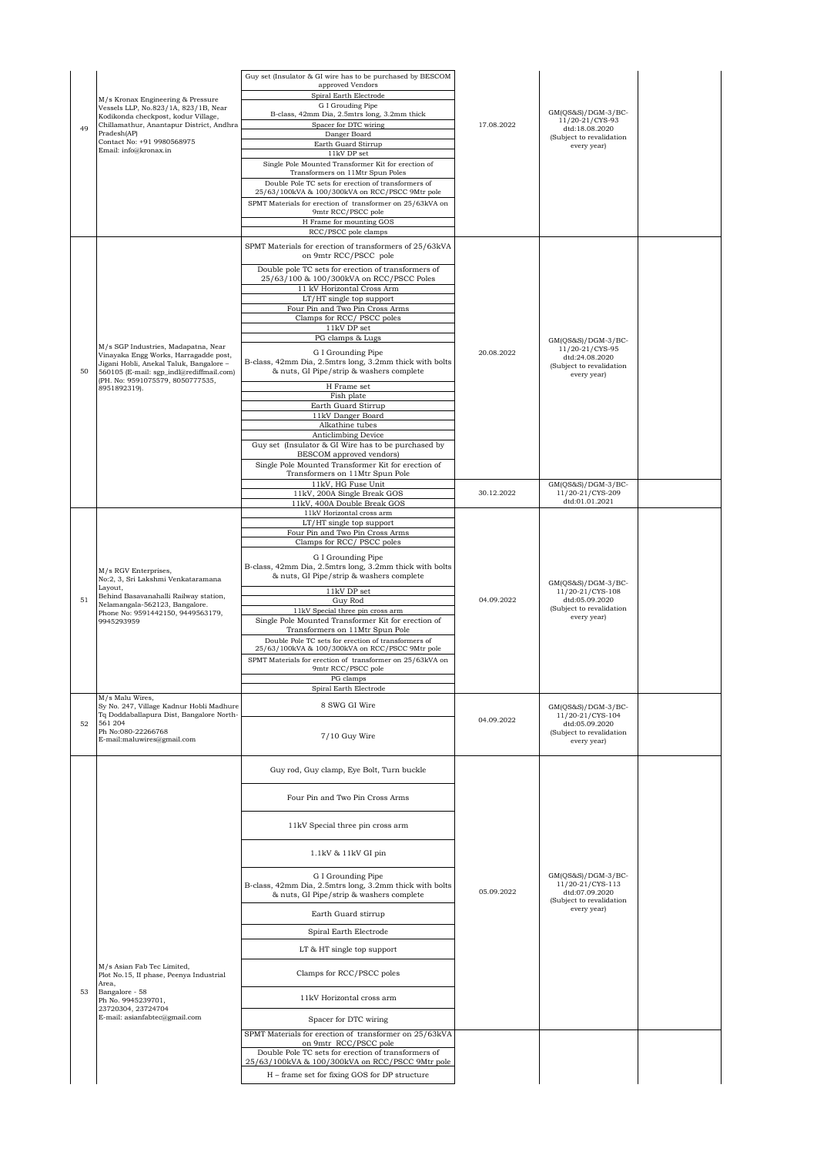|    |                                                                                                                         | Guy set (Insulator & GI wire has to be purchased by BESCOM<br>approved Vendors                                                |            |                                                                                        |  |
|----|-------------------------------------------------------------------------------------------------------------------------|-------------------------------------------------------------------------------------------------------------------------------|------------|----------------------------------------------------------------------------------------|--|
|    | M/s Kronax Engineering & Pressure<br>Vessels LLP, No.823/1A, 823/1B, Near                                               | Spiral Earth Electrode<br>G I Grouding Pipe                                                                                   |            |                                                                                        |  |
|    | Kodikonda checkpost, kodur Village,<br>Chillamathur, Anantapur District, Andhra                                         | B-class, 42mm Dia, 2.5mtrs long, 3.2mm thick<br>Spacer for DTC wiring                                                         | 17.08.2022 | $GM(QS&S)/DGM-3/BC-$<br>11/20-21/CYS-93                                                |  |
| 49 | Pradesh(AP)<br>Contact No: +91 9980568975                                                                               | Danger Board                                                                                                                  |            | dtd:18.08.2020<br>(Subject to revalidation                                             |  |
|    | Email: info@kronax.in                                                                                                   | Earth Guard Stirrup<br>11kV DP set                                                                                            |            | every year)                                                                            |  |
|    |                                                                                                                         | Single Pole Mounted Transformer Kit for erection of<br>Transformers on 11Mtr Spun Poles                                       |            |                                                                                        |  |
|    |                                                                                                                         | Double Pole TC sets for erection of transformers of<br>25/63/100kVA & 100/300kVA on RCC/PSCC 9Mtr pole                        |            |                                                                                        |  |
|    |                                                                                                                         | SPMT Materials for erection of transformer on 25/63kVA on<br>9mtr RCC/PSCC pole                                               |            |                                                                                        |  |
|    |                                                                                                                         | H Frame for mounting GOS<br>RCC/PSCC pole clamps                                                                              |            |                                                                                        |  |
|    |                                                                                                                         | SPMT Materials for erection of transformers of 25/63kVA<br>on 9mtr RCC/PSCC pole                                              |            |                                                                                        |  |
|    |                                                                                                                         | Double pole TC sets for erection of transformers of<br>25/63/100 & 100/300kVA on RCC/PSCC Poles<br>11 kV Horizontal Cross Arm |            |                                                                                        |  |
|    |                                                                                                                         | LT/HT single top support<br>Four Pin and Two Pin Cross Arms                                                                   |            |                                                                                        |  |
|    |                                                                                                                         | Clamps for RCC/PSCC poles                                                                                                     |            |                                                                                        |  |
|    |                                                                                                                         | 11kV DP set<br>PG clamps & Lugs                                                                                               |            | $GM(QS&S)/DGM-3/BC-$                                                                   |  |
|    | M/s SGP Industries, Madapatna, Near<br>Vinayaka Engg Works, Harragadde post,                                            | G I Grounding Pipe                                                                                                            | 20.08.2022 | 11/20-21/CYS-95<br>dtd:24.08.2020                                                      |  |
| 50 | Jigani Hobli, Anekal Taluk, Bangalore -<br>560105 (E-mail: sgp_indl@rediffmail.com)<br>(PH. No: 9591075579, 8050777535, | B-class, 42mm Dia, 2.5mtrs long, 3.2mm thick with bolts<br>& nuts, GI Pipe/strip & washers complete                           |            | (Subject to revalidation<br>every year)                                                |  |
|    | 8951892319).                                                                                                            | H Frame set<br>Fish plate                                                                                                     |            |                                                                                        |  |
|    |                                                                                                                         | Earth Guard Stirrup<br>11kV Danger Board                                                                                      |            |                                                                                        |  |
|    |                                                                                                                         | Alkathine tubes                                                                                                               |            |                                                                                        |  |
|    |                                                                                                                         | Anticlimbing Device<br>Guy set (Insulator & GI Wire has to be purchased by                                                    |            |                                                                                        |  |
|    |                                                                                                                         | BESCOM approved vendors)<br>Single Pole Mounted Transformer Kit for erection of                                               |            |                                                                                        |  |
|    |                                                                                                                         | Transformers on 11Mtr Spun Pole                                                                                               |            |                                                                                        |  |
|    |                                                                                                                         | 11kV, HG Fuse Unit<br>11kV, 200A Single Break GOS                                                                             | 30.12.2022 | $GM(QS&S)/DGM-3/BC-$<br>11/20-21/CYS-209                                               |  |
|    |                                                                                                                         | 11kV, 400A Double Break GOS<br>11kV Horizontal cross arm                                                                      |            | dtd:01.01.2021                                                                         |  |
|    |                                                                                                                         | LT/HT single top support<br>Four Pin and Two Pin Cross Arms                                                                   |            |                                                                                        |  |
|    |                                                                                                                         | Clamps for RCC/PSCC poles                                                                                                     |            |                                                                                        |  |
|    |                                                                                                                         | G I Grounding Pipe                                                                                                            |            |                                                                                        |  |
|    | M/s RGV Enterprises,<br>No:2, 3, Sri Lakshmi Venkataramana                                                              | B-class, 42mm Dia, 2.5mtrs long, 3.2mm thick with bolts<br>& nuts, GI Pipe/strip & washers complete                           |            | GM(QS&S)/DGM-3/BC-                                                                     |  |
| 51 | Layout,<br>Behind Basavanahalli Railway station,<br>Nelamangala-562123, Bangalore.                                      | 11kV DP set<br>Guy Rod                                                                                                        | 04.09.2022 | 11/20-21/CYS-108<br>dtd:05.09.2020                                                     |  |
|    | Phone No: 9591442150, 9449563179,<br>9945293959                                                                         | 11kV Special three pin cross arm<br>Single Pole Mounted Transformer Kit for erection of                                       |            | (Subject to revalidation<br>every year)                                                |  |
|    |                                                                                                                         | Transformers on 11Mtr Spun Pole                                                                                               |            |                                                                                        |  |
|    |                                                                                                                         | Double Pole TC sets for erection of transformers of<br>25/63/100kVA & 100/300kVA on RCC/PSCC 9Mtr pole                        |            |                                                                                        |  |
|    |                                                                                                                         | SPMT Materials for erection of transformer on 25/63kVA on<br>9mtr RCC/PSCC pole                                               |            |                                                                                        |  |
|    |                                                                                                                         | PG clamps                                                                                                                     |            |                                                                                        |  |
|    | M/s Malu Wires,                                                                                                         | Spiral Earth Electrode                                                                                                        |            |                                                                                        |  |
| 52 | Sy No. 247, Village Kadnur Hobli Madhure<br>Tq Doddaballapura Dist, Bangalore North-<br>561 204                         | 8 SWG GI Wire                                                                                                                 | 04.09.2022 | $GM(QS&S)/DGM-3/BC-$<br>11/20-21/CYS-104<br>dtd:05.09.2020                             |  |
|    | Ph No:080-22266768<br>E-mail:maluwires@gmail.com                                                                        | 7/10 Guy Wire                                                                                                                 |            | (Subject to revalidation<br>every year)                                                |  |
|    |                                                                                                                         | Guy rod, Guy clamp, Eye Bolt, Turn buckle                                                                                     |            |                                                                                        |  |
|    |                                                                                                                         | Four Pin and Two Pin Cross Arms                                                                                               |            |                                                                                        |  |
|    |                                                                                                                         | 11kV Special three pin cross arm                                                                                              |            |                                                                                        |  |
|    |                                                                                                                         | 1.1kV & 11kV GI pin                                                                                                           |            |                                                                                        |  |
|    |                                                                                                                         | G I Grounding Pipe<br>B-class, 42mm Dia, 2.5mtrs long, 3.2mm thick with bolts<br>& nuts, GI Pipe/strip & washers complete     | 05.09.2022 | $GM(QS&S)/DGM-3/BC-$<br>11/20-21/CYS-113<br>dtd:07.09.2020<br>(Subject to revalidation |  |
|    |                                                                                                                         | Earth Guard stirrup                                                                                                           |            | every year)                                                                            |  |
|    |                                                                                                                         | Spiral Earth Electrode                                                                                                        |            |                                                                                        |  |
|    |                                                                                                                         | LT & HT single top support                                                                                                    |            |                                                                                        |  |
|    | M/s Asian Fab Tec Limited,<br>Plot No.15, II phase, Peenya Industrial                                                   | Clamps for RCC/PSCC poles                                                                                                     |            |                                                                                        |  |
| 53 | Area,<br>Bangalore - 58<br>Ph No. 9945239701,                                                                           | 11kV Horizontal cross arm                                                                                                     |            |                                                                                        |  |
|    | 23720304, 23724704<br>E-mail: asianfabtec@gmail.com                                                                     | Spacer for DTC wiring                                                                                                         |            |                                                                                        |  |
|    |                                                                                                                         | SPMT Materials for erection of transformer on 25/63kVA                                                                        |            |                                                                                        |  |
|    |                                                                                                                         | on 9mtr RCC/PSCC pole<br>Double Pole TC sets for erection of transformers of                                                  |            |                                                                                        |  |
|    |                                                                                                                         | 25/63/100kVA & 100/300kVA on RCC/PSCC 9Mtr pole                                                                               |            |                                                                                        |  |
|    |                                                                                                                         | H – frame set for fixing GOS for DP structure                                                                                 |            |                                                                                        |  |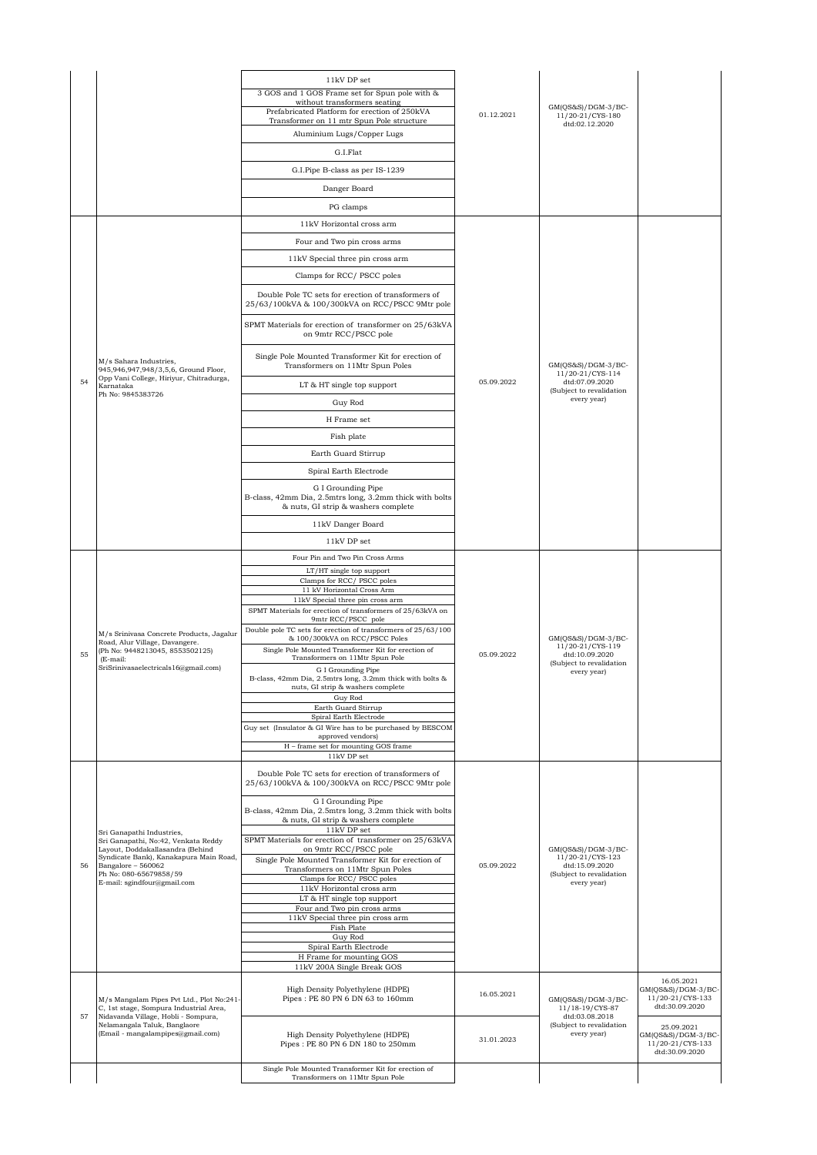|    |                                                                                        | 11kV DP set                                                                                                          |            |                                                            |                                                                        |
|----|----------------------------------------------------------------------------------------|----------------------------------------------------------------------------------------------------------------------|------------|------------------------------------------------------------|------------------------------------------------------------------------|
|    |                                                                                        | 3 GOS and 1 GOS Frame set for Spun pole with &<br>without transformers seating                                       |            |                                                            |                                                                        |
|    |                                                                                        | Prefabricated Platform for erection of 250kVA<br>Transformer on 11 mtr Spun Pole structure                           | 01.12.2021 | $GM(QS&S)/DGM-3/BC-$<br>11/20-21/CYS-180                   |                                                                        |
|    |                                                                                        | Aluminium Lugs/Copper Lugs                                                                                           |            | dtd:02.12.2020                                             |                                                                        |
|    |                                                                                        | G.I.Flat                                                                                                             |            |                                                            |                                                                        |
|    |                                                                                        | G.I.Pipe B-class as per IS-1239                                                                                      |            |                                                            |                                                                        |
|    |                                                                                        | Danger Board                                                                                                         |            |                                                            |                                                                        |
|    |                                                                                        |                                                                                                                      |            |                                                            |                                                                        |
|    |                                                                                        | PG clamps<br>11kV Horizontal cross arm                                                                               |            |                                                            |                                                                        |
|    |                                                                                        |                                                                                                                      |            |                                                            |                                                                        |
|    |                                                                                        | Four and Two pin cross arms                                                                                          |            |                                                            |                                                                        |
|    |                                                                                        | 11kV Special three pin cross arm                                                                                     |            |                                                            |                                                                        |
|    |                                                                                        | Clamps for RCC/PSCC poles                                                                                            |            |                                                            |                                                                        |
|    |                                                                                        | Double Pole TC sets for erection of transformers of<br>25/63/100kVA & 100/300kVA on RCC/PSCC 9Mtr pole               |            |                                                            |                                                                        |
|    |                                                                                        | SPMT Materials for erection of transformer on 25/63kVA<br>on 9mtr RCC/PSCC pole                                      |            |                                                            |                                                                        |
|    | M/s Sahara Industries,<br>945,946,947,948/3,5,6, Ground Floor,                         | Single Pole Mounted Transformer Kit for erection of<br>Transformers on 11Mtr Spun Poles                              |            | $GM(QS&S)/DGM-3/BC-$<br>11/20-21/CYS-114                   |                                                                        |
| 54 | Opp Vani College, Hiriyur, Chitradurga,<br>Karnataka                                   | LT & HT single top support                                                                                           | 05.09.2022 | dtd:07.09.2020<br>(Subject to revalidation                 |                                                                        |
|    | Ph No: 9845383726                                                                      | Guy Rod                                                                                                              |            | every year)                                                |                                                                        |
|    |                                                                                        | H Frame set                                                                                                          |            |                                                            |                                                                        |
|    |                                                                                        | Fish plate                                                                                                           |            |                                                            |                                                                        |
|    |                                                                                        | Earth Guard Stirrup                                                                                                  |            |                                                            |                                                                        |
|    |                                                                                        | Spiral Earth Electrode                                                                                               |            |                                                            |                                                                        |
|    |                                                                                        | G I Grounding Pipe                                                                                                   |            |                                                            |                                                                        |
|    |                                                                                        | B-class, 42mm Dia, 2.5mtrs long, 3.2mm thick with bolts<br>& nuts, GI strip & washers complete                       |            |                                                            |                                                                        |
|    |                                                                                        | 11kV Danger Board                                                                                                    |            |                                                            |                                                                        |
|    |                                                                                        | 11kV DP set                                                                                                          |            |                                                            |                                                                        |
|    |                                                                                        | Four Pin and Two Pin Cross Arms                                                                                      |            |                                                            |                                                                        |
|    |                                                                                        | LT/HT single top support<br>Clamps for RCC/ PSCC poles                                                               |            |                                                            |                                                                        |
|    |                                                                                        | 11 kV Horizontal Cross Arm<br>11kV Special three pin cross arm                                                       |            |                                                            |                                                                        |
|    |                                                                                        | SPMT Materials for erection of transformers of 25/63kVA on<br>9mtr RCC/PSCC pole                                     |            |                                                            |                                                                        |
|    | M/s Srinivasa Concrete Products, Jagalur                                               | Double pole TC sets for erection of transformers of 25/63/100                                                        |            |                                                            |                                                                        |
|    | Road, Alur Village, Davangere.<br>(Ph No: 9448213045, 8553502125)                      | & 100/300kVA on RCC/PSCC Poles<br>Single Pole Mounted Transformer Kit for erection of                                |            | $GM(QS&S)/DGM-3/BC-$<br>11/20-21/CYS-119<br>dtd:10.09.2020 |                                                                        |
| 55 | (E-mail:<br>SriSrinivasaelectricals16@gmail.com)                                       | Transformers on 11Mtr Spun Pole<br>G I Grounding Pipe                                                                | 05.09.2022 | (Subject to revalidation                                   |                                                                        |
|    |                                                                                        | B-class, 42mm Dia, 2.5mtrs long, 3.2mm thick with bolts &<br>nuts, GI strip & washers complete<br>Guy Rod            |            | every year)                                                |                                                                        |
|    |                                                                                        | Earth Guard Stirrup<br>Spiral Earth Electrode                                                                        |            |                                                            |                                                                        |
|    |                                                                                        | Guy set (Insulator & GI Wire has to be purchased by BESCOM                                                           |            |                                                            |                                                                        |
|    |                                                                                        | approved vendors)<br>H - frame set for mounting GOS frame                                                            |            |                                                            |                                                                        |
|    |                                                                                        | 11kV DP set                                                                                                          |            |                                                            |                                                                        |
|    |                                                                                        | Double Pole TC sets for erection of transformers of<br>25/63/100kVA & 100/300kVA on RCC/PSCC 9Mtr pole               |            |                                                            |                                                                        |
|    |                                                                                        | G I Grounding Pipe<br>B-class, 42mm Dia, 2.5mtrs long, 3.2mm thick with bolts<br>& nuts, GI strip & washers complete |            |                                                            |                                                                        |
|    | Sri Ganapathi Industries,<br>Sri Ganapathi, No:42, Venkata Reddy                       | $11kV$ DP set<br>SPMT Materials for erection of transformer on 25/63kVA                                              |            |                                                            |                                                                        |
|    | Layout, Doddakallasandra (Behind                                                       | on 9mtr RCC/PSCC pole                                                                                                |            | GM(QS&S)/DGM-3/BC-<br>11/20-21/CYS-123                     |                                                                        |
| 56 | Syndicate Bank), Kanakapura Main Road,<br>Bangalore - 560062<br>Ph No: 080-65679858/59 | Single Pole Mounted Transformer Kit for erection of<br>Transformers on 11Mtr Spun Poles                              | 05.09.2022 | dtd:15.09.2020<br>(Subject to revalidation                 |                                                                        |
|    | E-mail: sgindfour@gmail.com                                                            | Clamps for RCC/ PSCC poles<br>11kV Horizontal cross arm                                                              |            | every year)                                                |                                                                        |
|    |                                                                                        | LT & HT single top support<br>Four and Two pin cross arms                                                            |            |                                                            |                                                                        |
|    |                                                                                        | 11kV Special three pin cross arm                                                                                     |            |                                                            |                                                                        |
|    |                                                                                        | Fish Plate<br>Guy Rod                                                                                                |            |                                                            |                                                                        |
|    |                                                                                        | Spiral Earth Electrode<br>H Frame for mounting GOS                                                                   |            |                                                            |                                                                        |
|    |                                                                                        | 11kV 200A Single Break GOS                                                                                           |            |                                                            |                                                                        |
|    |                                                                                        | High Density Polyethylene (HDPE)                                                                                     |            |                                                            | 16.05.2021<br>$GM(QS&S)/DGM-3/BC-$                                     |
|    | M/s Mangalam Pipes Pvt Ltd., Plot No:241-<br>C, 1st stage, Sompura Industrial Area,    | Pipes: PE 80 PN 6 DN 63 to 160mm                                                                                     | 16.05.2021 | $GM(QS&S)/DGM-3/BC-$<br>11/18-19/CYS-87                    | 11/20-21/CYS-133<br>dtd:30.09.2020                                     |
| 57 | Nidavanda Village, Hobli - Sompura,<br>Nelamangala Taluk, Banglaore                    |                                                                                                                      |            | dtd:03.08.2018<br>(Subject to revalidation                 |                                                                        |
|    | (Email - mangalampipes@gmail.com)                                                      | High Density Polyethylene (HDPE)<br>Pipes: PE 80 PN 6 DN 180 to 250mm                                                | 31.01.2023 | every year)                                                | 25.09.2021<br>GM(QS&S)/DGM-3/BC-<br>11/20-21/CYS-133<br>dtd:30.09.2020 |
|    |                                                                                        | Single Pole Mounted Transformer Kit for erection of                                                                  |            |                                                            |                                                                        |
|    |                                                                                        | Transformers on 11Mtr Spun Pole                                                                                      |            |                                                            |                                                                        |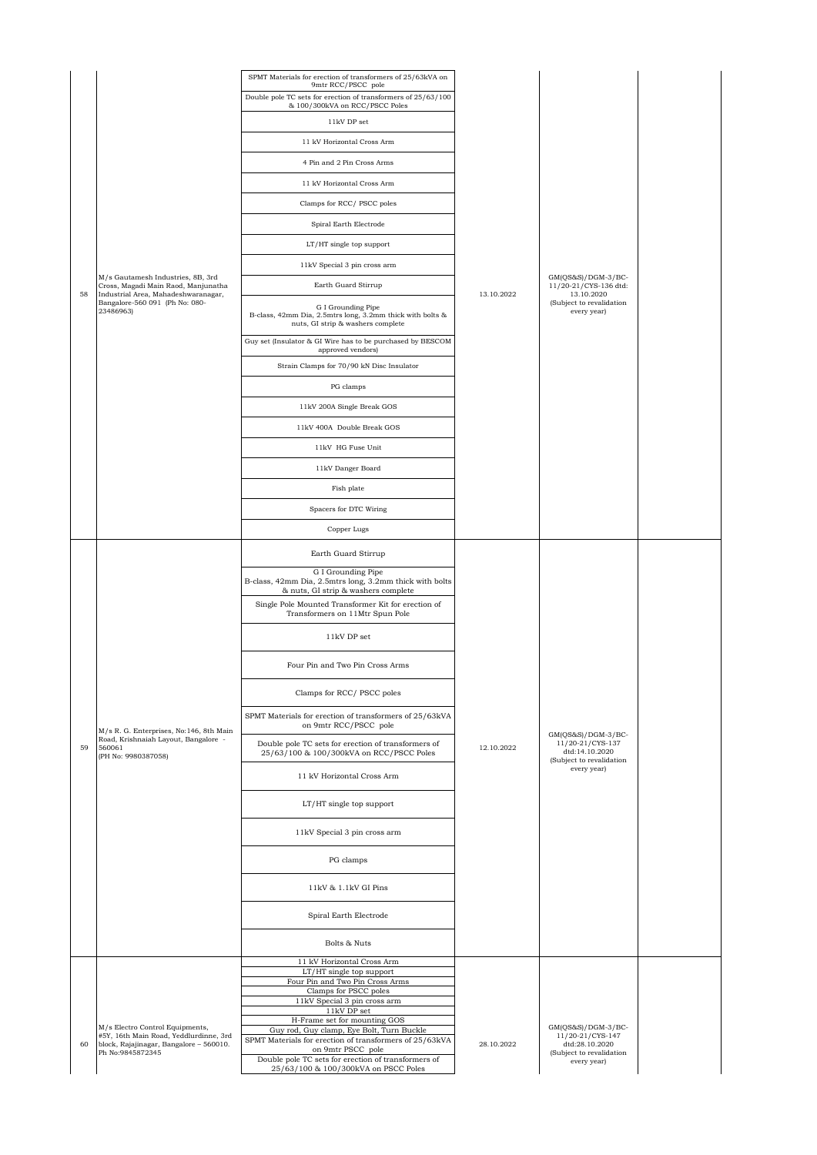|    |                                                                                                                 | SPMT Materials for erection of transformers of 25/63kVA on<br>9mtr RCC/PSCC pole                                     |            |                                                                                                       |  |
|----|-----------------------------------------------------------------------------------------------------------------|----------------------------------------------------------------------------------------------------------------------|------------|-------------------------------------------------------------------------------------------------------|--|
|    |                                                                                                                 | Double pole TC sets for erection of transformers of 25/63/100<br>& 100/300kVA on RCC/PSCC Poles                      |            |                                                                                                       |  |
|    |                                                                                                                 | 11kV DP set                                                                                                          |            |                                                                                                       |  |
|    |                                                                                                                 | 11 kV Horizontal Cross Arm                                                                                           |            |                                                                                                       |  |
|    |                                                                                                                 | 4 Pin and 2 Pin Cross Arms                                                                                           |            |                                                                                                       |  |
|    |                                                                                                                 | 11 kV Horizontal Cross Arm                                                                                           |            |                                                                                                       |  |
|    |                                                                                                                 | Clamps for RCC/ PSCC poles                                                                                           |            |                                                                                                       |  |
|    |                                                                                                                 | Spiral Earth Electrode                                                                                               |            |                                                                                                       |  |
|    |                                                                                                                 | LT/HT single top support                                                                                             |            |                                                                                                       |  |
|    |                                                                                                                 | 11kV Special 3 pin cross arm                                                                                         |            |                                                                                                       |  |
| 58 | M/s Gautamesh Industries, 8B, 3rd<br>Cross, Magadi Main Raod, Manjunatha<br>Industrial Area, Mahadeshwaranagar, | Earth Guard Stirrup                                                                                                  | 13.10.2022 | $GM(QS&S)/DGM-3/BC-$<br>11/20-21/CYS-136 dtd:<br>13.10.2020                                           |  |
|    | Bangalore-560 091 (Ph No: 080-<br>23486963)                                                                     | G I Grounding Pipe<br>B-class, 42mm Dia, 2.5mtrs long, 3.2mm thick with bolts &<br>nuts, GI strip & washers complete |            | (Subject to revalidation<br>every year)                                                               |  |
|    |                                                                                                                 | Guy set (Insulator & GI Wire has to be purchased by BESCOM<br>approved vendors)                                      |            |                                                                                                       |  |
|    |                                                                                                                 | Strain Clamps for 70/90 kN Disc Insulator                                                                            |            |                                                                                                       |  |
|    |                                                                                                                 | PG clamps                                                                                                            |            |                                                                                                       |  |
|    |                                                                                                                 | 11kV 200A Single Break GOS                                                                                           |            |                                                                                                       |  |
|    |                                                                                                                 | 11kV 400A Double Break GOS                                                                                           |            |                                                                                                       |  |
|    |                                                                                                                 | 11kV HG Fuse Unit                                                                                                    |            |                                                                                                       |  |
|    |                                                                                                                 | 11kV Danger Board                                                                                                    |            |                                                                                                       |  |
|    |                                                                                                                 | Fish plate                                                                                                           |            |                                                                                                       |  |
|    |                                                                                                                 | Spacers for DTC Wiring                                                                                               |            |                                                                                                       |  |
|    |                                                                                                                 | Copper Lugs                                                                                                          |            |                                                                                                       |  |
|    |                                                                                                                 | Earth Guard Stirrup                                                                                                  | 12.10.2022 |                                                                                                       |  |
|    |                                                                                                                 | G I Grounding Pipe<br>B-class, 42mm Dia, 2.5mtrs long, 3.2mm thick with bolts<br>& nuts, GI strip & washers complete |            |                                                                                                       |  |
|    |                                                                                                                 | Single Pole Mounted Transformer Kit for erection of<br>Transformers on 11Mtr Spun Pole                               |            | $GM(QS&S)/DGM-3/BC-$<br>11/20-21/CYS-137<br>dtd:14.10.2020<br>(Subject to revalidation<br>every year) |  |
|    |                                                                                                                 | 11kV DP set                                                                                                          |            |                                                                                                       |  |
|    |                                                                                                                 | Four Pin and Two Pin Cross Arms                                                                                      |            |                                                                                                       |  |
|    |                                                                                                                 | Clamps for RCC/PSCC poles                                                                                            |            |                                                                                                       |  |
|    | M/s R. G. Enterprises, No:146, 8th Main                                                                         | SPMT Materials for erection of transformers of 25/63kVA<br>on 9mtr RCC/PSCC pole                                     |            |                                                                                                       |  |
| 59 | Road, Krishnaiah Layout, Bangalore -<br>560061<br>(PH No: 9980387058)                                           | Double pole TC sets for erection of transformers of<br>25/63/100 & 100/300kVA on RCC/PSCC Poles                      |            |                                                                                                       |  |
|    |                                                                                                                 | 11 kV Horizontal Cross Arm                                                                                           |            |                                                                                                       |  |
|    |                                                                                                                 | LT/HT single top support                                                                                             |            |                                                                                                       |  |
|    |                                                                                                                 | 11kV Special 3 pin cross arm                                                                                         |            |                                                                                                       |  |
|    |                                                                                                                 | PG clamps                                                                                                            |            |                                                                                                       |  |
|    |                                                                                                                 | $11\mathrm{kV}$ & $1.1\mathrm{kV}$ GI Pins                                                                           |            |                                                                                                       |  |
|    |                                                                                                                 | Spiral Earth Electrode                                                                                               |            |                                                                                                       |  |
|    |                                                                                                                 | Bolts & Nuts                                                                                                         |            |                                                                                                       |  |
|    |                                                                                                                 | 11 kV Horizontal Cross Arm<br>LT/HT single top support                                                               |            |                                                                                                       |  |
|    |                                                                                                                 | Four Pin and Two Pin Cross Arms<br>Clamps for PSCC poles                                                             |            |                                                                                                       |  |
|    |                                                                                                                 | 11kV Special 3 pin cross arm<br>11kV DP set                                                                          |            |                                                                                                       |  |
|    | M/s Electro Control Equipments,                                                                                 | H-Frame set for mounting GOS                                                                                         |            | $GM(QS&S)/DGM-3/BC-$                                                                                  |  |
| 60 | #5Y, 16th Main Road, Yeddlurdinne, 3rd<br>block, Rajajinagar, Bangalore - 560010.                               | Guy rod, Guy clamp, Eye Bolt, Turn Buckle<br>SPMT Materials for erection of transformers of 25/63kVA                 | 28.10.2022 | 11/20-21/CYS-147<br>dtd:28.10.2020                                                                    |  |
|    | Ph No:9845872345                                                                                                | on 9mtr PSCC pole<br>Double pole TC sets for erection of transformers of<br>25/63/100 & 100/300kVA on PSCC Poles     |            | (Subject to revalidation<br>every year)                                                               |  |
|    |                                                                                                                 |                                                                                                                      |            |                                                                                                       |  |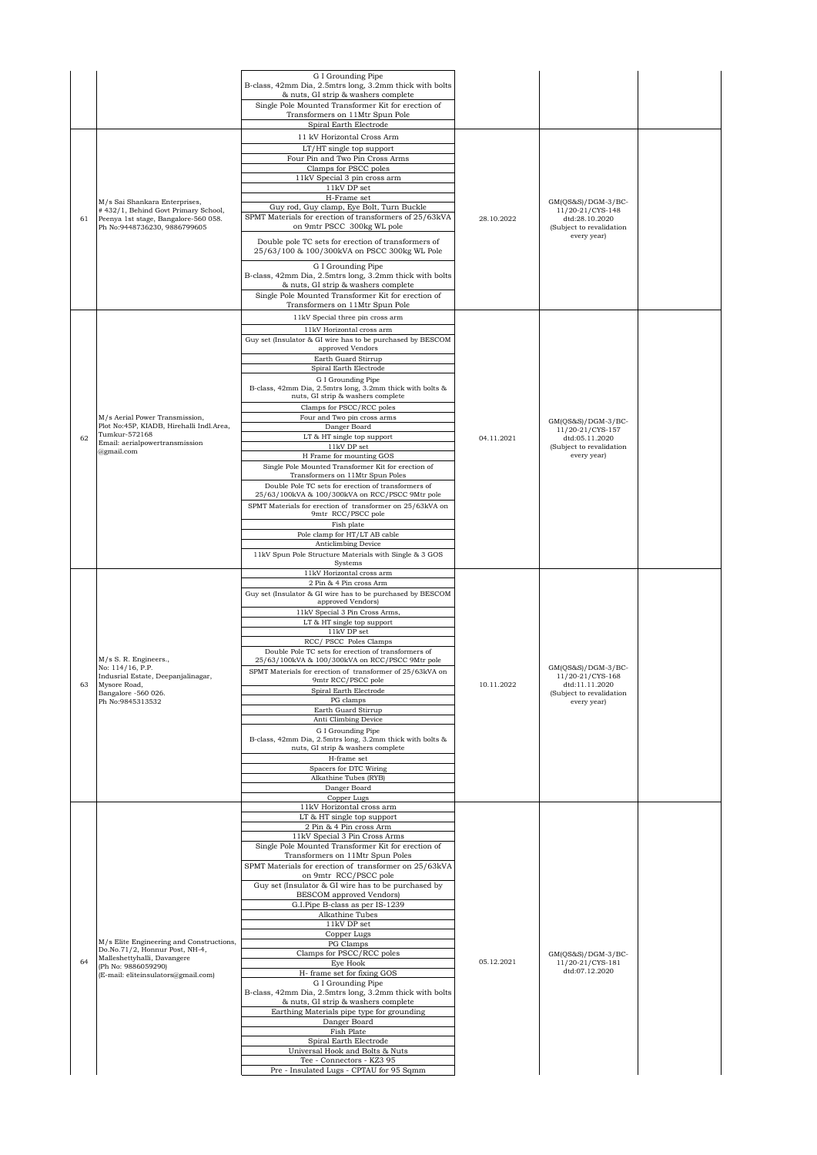|    |                                                                                                                                              | G I Grounding Pipe<br>B-class, 42mm Dia, 2.5mtrs long, 3.2mm thick with bolts<br>& nuts, GI strip & washers complete<br>Single Pole Mounted Transformer Kit for erection of<br>Transformers on 11Mtr Spun Pole<br>Spiral Earth Electrode |            |                                                                                      |  |
|----|----------------------------------------------------------------------------------------------------------------------------------------------|------------------------------------------------------------------------------------------------------------------------------------------------------------------------------------------------------------------------------------------|------------|--------------------------------------------------------------------------------------|--|
|    |                                                                                                                                              | 11 kV Horizontal Cross Arm<br>LT/HT single top support<br>Four Pin and Two Pin Cross Arms                                                                                                                                                |            |                                                                                      |  |
|    |                                                                                                                                              | Clamps for PSCC poles<br>11kV Special 3 pin cross arm<br>$11\mathrm{kV}$ DP set                                                                                                                                                          |            |                                                                                      |  |
| 61 | M/s Sai Shankara Enterprises,<br>#432/1, Behind Govt Primary School,<br>Peenya 1st stage, Bangalore-560 058.<br>Ph No:9448736230, 9886799605 | H-Frame set<br>Guy rod, Guy clamp, Eye Bolt, Turn Buckle<br>SPMT Materials for erection of transformers of 25/63kVA<br>on 9mtr PSCC 300kg WL pole                                                                                        | 28.10.2022 | GM(QS&S)/DGM-3/BC-<br>11/20-21/CYS-148<br>dtd:28.10.2020<br>(Subject to revalidation |  |
|    |                                                                                                                                              | Double pole TC sets for erection of transformers of<br>25/63/100 & 100/300kVA on PSCC 300kg WL Pole                                                                                                                                      |            | every year)                                                                          |  |
|    |                                                                                                                                              | G I Grounding Pipe<br>B-class, 42mm Dia, 2.5mtrs long, 3.2mm thick with bolts<br>& nuts, GI strip & washers complete<br>Single Pole Mounted Transformer Kit for erection of<br>Transformers on 11Mtr Spun Pole                           |            |                                                                                      |  |
|    |                                                                                                                                              | 11kV Special three pin cross arm                                                                                                                                                                                                         |            |                                                                                      |  |
|    |                                                                                                                                              | 11kV Horizontal cross arm<br>Guy set (Insulator & GI wire has to be purchased by BESCOM                                                                                                                                                  |            |                                                                                      |  |
|    |                                                                                                                                              | approved Vendors<br>Earth Guard Stirrup                                                                                                                                                                                                  |            |                                                                                      |  |
|    |                                                                                                                                              | Spiral Earth Electrode                                                                                                                                                                                                                   |            |                                                                                      |  |
|    |                                                                                                                                              | G I Grounding Pipe<br>B-class, 42mm Dia, 2.5mtrs long, 3.2mm thick with bolts &<br>nuts, GI strip & washers complete                                                                                                                     |            |                                                                                      |  |
|    | M/s Aerial Power Transmission,                                                                                                               | Clamps for PSCC/RCC poles<br>Four and Two pin cross arms                                                                                                                                                                                 |            | $GM(QS&S)/DGM-3/BC-$                                                                 |  |
| 62 | Plot No:45P, KIADB, Hirehalli Indl.Area,<br>Tumkur-572168                                                                                    | Danger Board<br>LT & HT single top support                                                                                                                                                                                               | 04.11.2021 | 11/20-21/CYS-157<br>dtd:05.11.2020                                                   |  |
|    | Email: aerialpowertransmission<br>@gmail.com                                                                                                 | 11kV DP set<br>H Frame for mounting GOS                                                                                                                                                                                                  |            | (Subject to revalidation<br>every year)                                              |  |
|    |                                                                                                                                              | Single Pole Mounted Transformer Kit for erection of<br>Transformers on 11Mtr Spun Poles<br>Double Pole TC sets for erection of transformers of<br>25/63/100kVA & 100/300kVA on RCC/PSCC 9Mtr pole                                        |            |                                                                                      |  |
|    |                                                                                                                                              | SPMT Materials for erection of transformer on 25/63kVA on<br>9mtr RCC/PSCC pole                                                                                                                                                          |            |                                                                                      |  |
|    |                                                                                                                                              | Fish plate<br>Pole clamp for HT/LT AB cable                                                                                                                                                                                              |            |                                                                                      |  |
|    |                                                                                                                                              | Anticlimbing Device                                                                                                                                                                                                                      |            |                                                                                      |  |
|    |                                                                                                                                              | 11kV Spun Pole Structure Materials with Single & 3 GOS<br>Systems                                                                                                                                                                        |            |                                                                                      |  |
|    |                                                                                                                                              | 11kV Horizontal cross arm<br>2 Pin & 4 Pin cross Arm                                                                                                                                                                                     |            |                                                                                      |  |
|    |                                                                                                                                              | Guy set (Insulator & GI wire has to be purchased by BESCOM<br>approved Vendors)                                                                                                                                                          |            |                                                                                      |  |
|    |                                                                                                                                              | 11kV Special 3 Pin Cross Arms,<br>LT & HT single top support                                                                                                                                                                             |            |                                                                                      |  |
|    |                                                                                                                                              | 11kV DP set                                                                                                                                                                                                                              |            |                                                                                      |  |
|    |                                                                                                                                              | RCC/ PSCC Poles Clamps<br>Double Pole TC sets for erection of transformers of                                                                                                                                                            |            |                                                                                      |  |
|    | M/s S. R. Engineers.,<br>No: 114/16, P.P.                                                                                                    | 25/63/100kVA & 100/300kVA on RCC/PSCC 9Mtr pole<br>SPMT Materials for erection of transformer of 25/63kVA on                                                                                                                             |            | GM(QS&S)/DGM-3/BC-                                                                   |  |
| 63 | Indusrial Estate, Deepanjalinagar,<br>Mysore Road,                                                                                           | 9mtr RCC/PSCC pole<br>Spiral Earth Electrode                                                                                                                                                                                             | 10.11.2022 | 11/20-21/CYS-168<br>dtd:11.11.2020<br>(Subject to revalidation<br>every year)        |  |
|    | Bangalore -560 026.<br>Ph No: 9845313532                                                                                                     | PG clamps                                                                                                                                                                                                                                |            |                                                                                      |  |
|    |                                                                                                                                              | Earth Guard Stirrup<br>Anti Climbing Device                                                                                                                                                                                              |            |                                                                                      |  |
|    |                                                                                                                                              | G I Grounding Pipe<br>B-class, 42mm Dia, 2.5mtrs long, 3.2mm thick with bolts &<br>nuts, GI strip & washers complete                                                                                                                     |            |                                                                                      |  |
|    |                                                                                                                                              | H-frame set<br>Spacers for DTC Wiring                                                                                                                                                                                                    |            |                                                                                      |  |
|    |                                                                                                                                              | Alkathine Tubes (RYB)                                                                                                                                                                                                                    |            |                                                                                      |  |
|    |                                                                                                                                              | Danger Board<br>Copper Lugs                                                                                                                                                                                                              |            |                                                                                      |  |
|    |                                                                                                                                              | 11kV Horizontal cross arm<br>LT & HT single top support                                                                                                                                                                                  |            |                                                                                      |  |
|    |                                                                                                                                              | 2 Pin & 4 Pin cross Arm<br>11kV Special 3 Pin Cross Arms                                                                                                                                                                                 |            |                                                                                      |  |
|    |                                                                                                                                              | Single Pole Mounted Transformer Kit for erection of                                                                                                                                                                                      |            |                                                                                      |  |
|    |                                                                                                                                              | Transformers on 11Mtr Spun Poles<br>SPMT Materials for erection of transformer on 25/63kVA                                                                                                                                               |            |                                                                                      |  |
|    |                                                                                                                                              | on 9mtr RCC/PSCC pole<br>Guy set (Insulator & GI wire has to be purchased by                                                                                                                                                             |            |                                                                                      |  |
|    |                                                                                                                                              | BESCOM approved Vendors)                                                                                                                                                                                                                 |            |                                                                                      |  |
|    |                                                                                                                                              | G.I.Pipe B-class as per IS-1239<br>Alkathine Tubes                                                                                                                                                                                       |            |                                                                                      |  |
|    |                                                                                                                                              | 11kV DP set<br>Copper Lugs                                                                                                                                                                                                               |            |                                                                                      |  |
|    | M/s Elite Engineering and Constructions,<br>Do.No.71/2, Honnur Post, NH-4,                                                                   | PG Clamps<br>Clamps for PSCC/RCC poles                                                                                                                                                                                                   |            | $GM(QS&S)/DGM-3/BC-$                                                                 |  |
| 64 | Malleshettyhalli, Davangere<br>(Ph No: 9886059290)                                                                                           | Eye Hook<br>H- frame set for fixing GOS                                                                                                                                                                                                  | 05.12.2021 | 11/20-21/CYS-181<br>dtd:07.12.2020                                                   |  |
|    | (E-mail: eliteinsulators@gmail.com)                                                                                                          | G I Grounding Pipe                                                                                                                                                                                                                       |            |                                                                                      |  |
|    |                                                                                                                                              | B-class, 42mm Dia, 2.5mtrs long, 3.2mm thick with bolts<br>& nuts, GI strip & washers complete<br>Earthing Materials pipe type for grounding                                                                                             |            |                                                                                      |  |
|    |                                                                                                                                              | Danger Board<br>Fish Plate                                                                                                                                                                                                               |            |                                                                                      |  |
|    |                                                                                                                                              | Spiral Earth Electrode                                                                                                                                                                                                                   |            |                                                                                      |  |
|    |                                                                                                                                              | Universal Hook and Bolts & Nuts<br>Tee - Connectors - KZ3 95                                                                                                                                                                             |            |                                                                                      |  |
|    |                                                                                                                                              | Pre - Insulated Lugs - CPTAU for 95 Sqmm                                                                                                                                                                                                 |            |                                                                                      |  |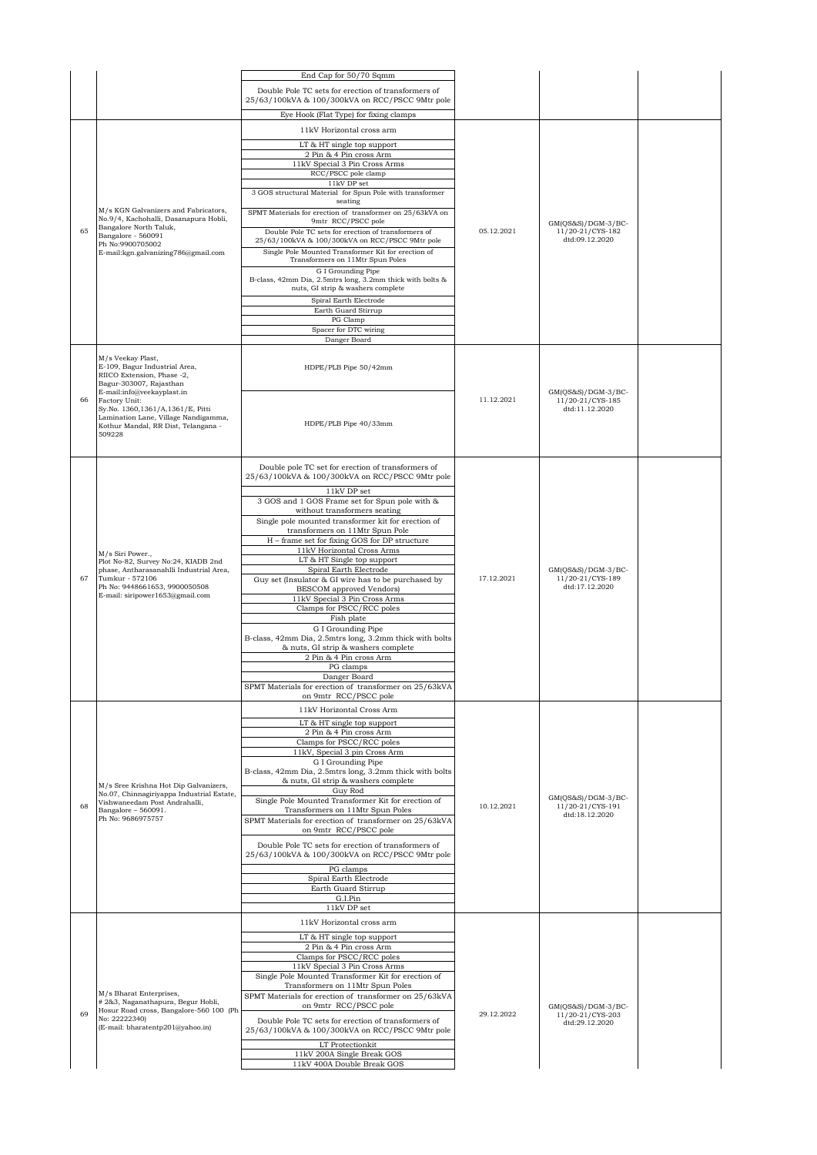|    |                                                                                                                               | End Cap for 50/70 Sqmm                                                                                                                 |            |                                                          |  |
|----|-------------------------------------------------------------------------------------------------------------------------------|----------------------------------------------------------------------------------------------------------------------------------------|------------|----------------------------------------------------------|--|
|    |                                                                                                                               | Double Pole TC sets for erection of transformers of<br>25/63/100kVA & 100/300kVA on RCC/PSCC 9Mtr pole                                 |            |                                                          |  |
|    |                                                                                                                               | Eye Hook (Flat Type) for fixing clamps                                                                                                 |            |                                                          |  |
|    |                                                                                                                               | 11kV Horizontal cross arm                                                                                                              |            |                                                          |  |
|    |                                                                                                                               | LT & HT single top support                                                                                                             |            |                                                          |  |
|    |                                                                                                                               | 2 Pin & 4 Pin cross Arm                                                                                                                |            |                                                          |  |
|    |                                                                                                                               | 11kV Special 3 Pin Cross Arms<br>RCC/PSCC pole clamp                                                                                   |            |                                                          |  |
|    | M/s KGN Galvanizers and Fabricators,<br>No.9/4, Kachohalli, Dasanapura Hobli,<br>Bangalore North Taluk,<br>Bangalore - 560091 | 11kV DP set                                                                                                                            |            |                                                          |  |
|    |                                                                                                                               | 3 GOS structural Material for Spun Pole with transformer<br>seating                                                                    |            |                                                          |  |
| 65 |                                                                                                                               | SPMT Materials for erection of transformer on 25/63kVA on<br>9mtr RCC/PSCC pole<br>Double Pole TC sets for erection of transformers of | 05.12.2021 | GM(QS&S)/DGM-3/BC-<br>11/20-21/CYS-182                   |  |
|    | Ph No:9900705002                                                                                                              | 25/63/100kVA & 100/300kVA on RCC/PSCC 9Mtr pole                                                                                        |            | dtd:09.12.2020                                           |  |
|    | E-mail:kgn.galvanizing786@gmail.com                                                                                           | Single Pole Mounted Transformer Kit for erection of<br>Transformers on 11Mtr Spun Poles                                                |            |                                                          |  |
|    |                                                                                                                               | G I Grounding Pipe                                                                                                                     |            |                                                          |  |
|    |                                                                                                                               | B-class, 42mm Dia, 2.5mtrs long, 3.2mm thick with bolts &<br>nuts, GI strip & washers complete                                         |            |                                                          |  |
|    |                                                                                                                               | Spiral Earth Electrode<br>Earth Guard Stirrup                                                                                          |            |                                                          |  |
|    |                                                                                                                               | PG Clamp                                                                                                                               |            |                                                          |  |
|    |                                                                                                                               | Spacer for DTC wiring                                                                                                                  |            |                                                          |  |
|    |                                                                                                                               | Danger Board                                                                                                                           |            |                                                          |  |
|    | M/s Veekay Plast,<br>E-109, Bagur Industrial Area,<br>RIICO Extension, Phase -2,<br>Bagur-303007, Rajasthan                   | HDPE/PLB Pipe 50/42mm                                                                                                                  |            |                                                          |  |
| 66 | E-mail:info@veekayplast.in<br>Factory Unit:                                                                                   |                                                                                                                                        | 11.12.2021 | $GM(QS&S)/DGM-3/BC-$<br>11/20-21/CYS-185                 |  |
|    | Sy.No. 1360,1361/A,1361/E, Pitti                                                                                              |                                                                                                                                        |            | dtd:11.12.2020                                           |  |
|    | Lamination Lane, Village Nandigamma,<br>Kothur Mandal, RR Dist, Telangana -                                                   | HDPE/PLB Pipe 40/33mm                                                                                                                  |            |                                                          |  |
|    | 509228                                                                                                                        |                                                                                                                                        |            |                                                          |  |
|    |                                                                                                                               |                                                                                                                                        |            |                                                          |  |
|    |                                                                                                                               | Double pole TC set for erection of transformers of<br>25/63/100kVA & 100/300kVA on RCC/PSCC 9Mtr pole                                  |            |                                                          |  |
|    |                                                                                                                               | 11kV DP set                                                                                                                            |            | GM(QS&S)/DGM-3/BC-<br>11/20-21/CYS-189                   |  |
|    |                                                                                                                               | 3 GOS and 1 GOS Frame set for Spun pole with &                                                                                         | 17.12.2021 |                                                          |  |
|    |                                                                                                                               | without transformers seating                                                                                                           |            |                                                          |  |
|    |                                                                                                                               | Single pole mounted transformer kit for erection of<br>transformers on 11Mtr Spun Pole                                                 |            |                                                          |  |
|    |                                                                                                                               | H - frame set for fixing GOS for DP structure                                                                                          |            |                                                          |  |
|    | M/s Siri Power.,                                                                                                              | 11kV Horizontal Cross Arms                                                                                                             |            |                                                          |  |
|    | Plot No-82, Survey No:24, KIADB 2nd<br>phase, Antharasanahlli Industrial Area.<br>Tumkur - 572106                             | LT & HT Single top support<br>Spiral Earth Electrode                                                                                   |            |                                                          |  |
| 67 |                                                                                                                               | Guy set (Insulator & GI wire has to be purchased by                                                                                    |            |                                                          |  |
|    | Ph No: 9448661653, 9900050508<br>E-mail: siripower1653@gmail.com                                                              | BESCOM approved Vendors)                                                                                                               |            | dtd:17.12.2020                                           |  |
|    |                                                                                                                               | 11kV Special 3 Pin Cross Arms<br>Clamps for PSCC/RCC poles                                                                             |            |                                                          |  |
|    |                                                                                                                               | Fish plate                                                                                                                             |            |                                                          |  |
|    |                                                                                                                               | G I Grounding Pipe<br>B-class, 42mm Dia, 2.5mtrs long, 3.2mm thick with bolts                                                          |            |                                                          |  |
|    |                                                                                                                               | & nuts, GI strip & washers complete                                                                                                    |            |                                                          |  |
|    |                                                                                                                               | 2 Pin & 4 Pin cross Arm                                                                                                                |            |                                                          |  |
|    |                                                                                                                               | PG clamps                                                                                                                              |            |                                                          |  |
|    |                                                                                                                               | Danger Board<br>SPMT Materials for erection of transformer on 25/63kVA                                                                 |            |                                                          |  |
|    |                                                                                                                               | on 9mtr RCC/PSCC pole                                                                                                                  |            |                                                          |  |
|    |                                                                                                                               | 11kV Horizontal Cross Arm                                                                                                              |            |                                                          |  |
|    |                                                                                                                               | LT & HT single top support                                                                                                             |            |                                                          |  |
|    |                                                                                                                               | 2 Pin & 4 Pin cross Arm<br>Clamps for PSCC/RCC poles                                                                                   |            |                                                          |  |
|    |                                                                                                                               | 11kV, Special 3 pin Cross Arm                                                                                                          |            |                                                          |  |
|    |                                                                                                                               | G I Grounding Pipe                                                                                                                     |            |                                                          |  |
|    |                                                                                                                               | B-class, 42mm Dia, 2.5mtrs long, 3.2mm thick with bolts<br>& nuts, GI strip & washers complete                                         |            |                                                          |  |
|    | M/s Sree Krishna Hot Dip Galvanizers,<br>No.07, Chinnagiriyappa Industrial Estate,                                            | Guy Rod                                                                                                                                |            |                                                          |  |
| 68 | Vishwaneedam Post Andrahalli,<br>Bangalore - 560091.                                                                          | Single Pole Mounted Transformer Kit for erection of<br>Transformers on 11Mtr Spun Poles                                                | 10.12.2021 | GM(QS&S)/DGM-3/BC-<br>11/20-21/CYS-191<br>dtd:18.12.2020 |  |
|    | Ph No: 9686975757                                                                                                             | SPMT Materials for erection of transformer on 25/63kVA<br>on 9mtr RCC/PSCC pole                                                        |            |                                                          |  |
|    |                                                                                                                               | Double Pole TC sets for erection of transformers of<br>25/63/100kVA & 100/300kVA on RCC/PSCC 9Mtr pole                                 |            |                                                          |  |
|    |                                                                                                                               | PG clamps                                                                                                                              |            |                                                          |  |
|    |                                                                                                                               | Spiral Earth Electrode<br>Earth Guard Stirrup                                                                                          |            |                                                          |  |
|    |                                                                                                                               | G.I.Pin                                                                                                                                |            |                                                          |  |
|    |                                                                                                                               | 11kV DP set                                                                                                                            |            |                                                          |  |
|    |                                                                                                                               | 11kV Horizontal cross arm                                                                                                              |            |                                                          |  |
|    |                                                                                                                               | LT & HT single top support                                                                                                             |            |                                                          |  |
|    |                                                                                                                               | 2 Pin & 4 Pin cross Arm<br>Clamps for PSCC/RCC poles                                                                                   |            |                                                          |  |
|    |                                                                                                                               | 11kV Special 3 Pin Cross Arms                                                                                                          |            |                                                          |  |
|    |                                                                                                                               | Single Pole Mounted Transformer Kit for erection of                                                                                    |            |                                                          |  |
|    | M/s Bharat Enterprises,                                                                                                       | Transformers on 11Mtr Spun Poles<br>SPMT Materials for erection of transformer on 25/63kVA                                             |            |                                                          |  |
|    | # 2&3, Naganathapura, Begur Hobli,<br>Hosur Road cross, Bangalore-560 100 (Ph                                                 | on 9mtr RCC/PSCC pole                                                                                                                  |            | GM(QS&S)/DGM-3/BC-                                       |  |
| 69 | No: 22222340)<br>(E-mail: bharatentp201@yahoo.in)                                                                             | Double Pole TC sets for erection of transformers of<br>25/63/100kVA & 100/300kVA on RCC/PSCC 9Mtr pole                                 | 29.12.2022 | 11/20-21/CYS-203<br>dtd:29.12.2020                       |  |
|    |                                                                                                                               | LT Protectionkit                                                                                                                       |            |                                                          |  |
|    |                                                                                                                               | 11kV 200A Single Break GOS                                                                                                             |            |                                                          |  |
|    |                                                                                                                               | 11kV 400A Double Break GOS                                                                                                             |            |                                                          |  |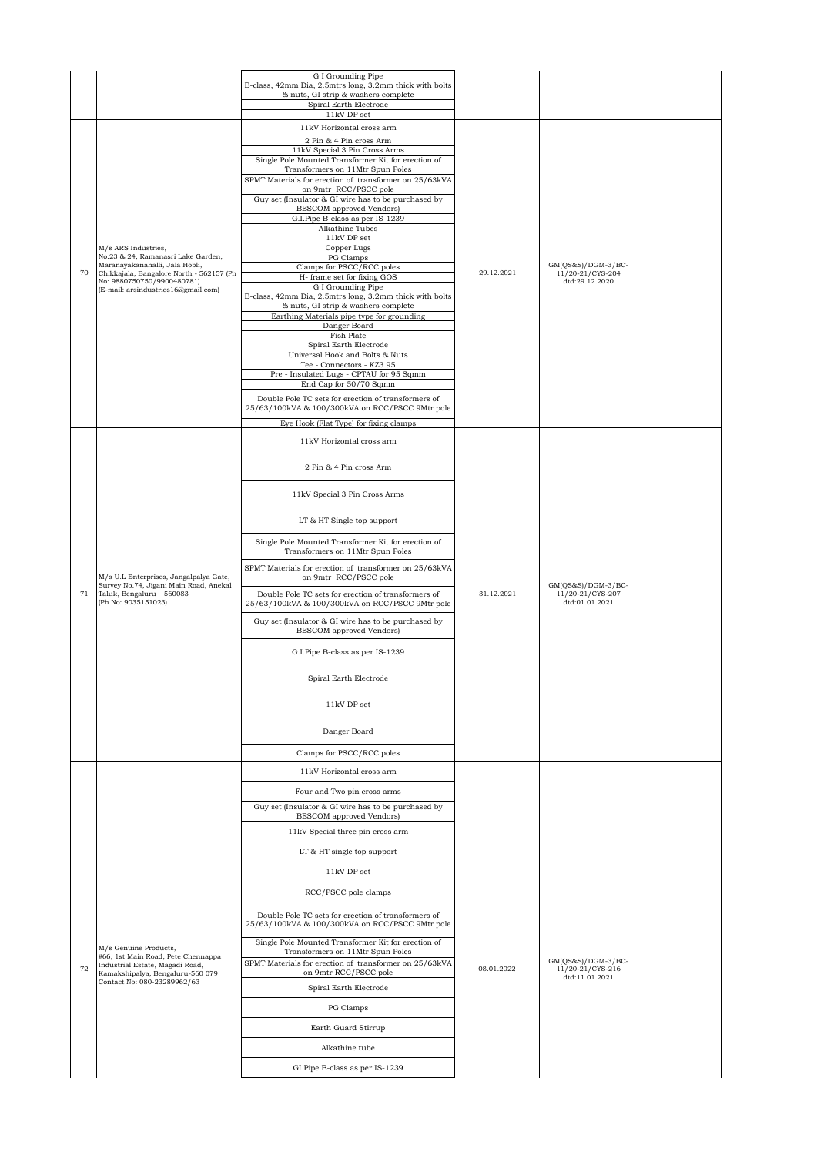|    |                                                                                                               | G I Grounding Pipe                                                                                     |            |                                          |  |
|----|---------------------------------------------------------------------------------------------------------------|--------------------------------------------------------------------------------------------------------|------------|------------------------------------------|--|
|    |                                                                                                               | B-class, 42mm Dia, 2.5mtrs long, 3.2mm thick with bolts<br>& nuts, GI strip & washers complete         |            |                                          |  |
|    |                                                                                                               | Spiral Earth Electrode<br>$11\mathrm{kV}$ DP set                                                       |            |                                          |  |
|    |                                                                                                               | 11kV Horizontal cross arm                                                                              |            |                                          |  |
|    |                                                                                                               | 2 Pin & 4 Pin cross Arm<br>11kV Special 3 Pin Cross Arms                                               |            |                                          |  |
|    |                                                                                                               | Single Pole Mounted Transformer Kit for erection of                                                    |            |                                          |  |
|    |                                                                                                               | Transformers on 11Mtr Spun Poles<br>SPMT Materials for erection of transformer on 25/63kVA             |            |                                          |  |
|    |                                                                                                               | on 9mtr RCC/PSCC pole                                                                                  |            |                                          |  |
|    |                                                                                                               | Guy set (Insulator & GI wire has to be purchased by<br>BESCOM approved Vendors)                        |            |                                          |  |
|    |                                                                                                               | G.I.Pipe B-class as per IS-1239<br>Alkathine Tubes                                                     |            |                                          |  |
|    |                                                                                                               | 11kV DP set                                                                                            |            |                                          |  |
|    | M/s ARS Industries.<br>No.23 & 24, Ramanasri Lake Garden,                                                     | Copper Lugs<br>PG Clamps                                                                               |            |                                          |  |
| 70 | Maranayakanahalli, Jala Hobli,<br>Chikkajala, Bangalore North - 562157 (Ph                                    | Clamps for PSCC/RCC poles                                                                              | 29.12.2021 | $GM(QS&S)/DGM-3/BC-$<br>11/20-21/CYS-204 |  |
|    | No: 9880750750/9900480781)<br>(E-mail: arsindustries16@gmail.com)                                             | H- frame set for fixing GOS<br>G I Grounding Pipe                                                      |            | dtd:29.12.2020                           |  |
|    |                                                                                                               | B-class, 42mm Dia, 2.5mtrs long, 3.2mm thick with bolts<br>& nuts, GI strip & washers complete         |            |                                          |  |
|    |                                                                                                               | Earthing Materials pipe type for grounding                                                             |            |                                          |  |
|    |                                                                                                               | Danger Board<br>Fish Plate                                                                             |            |                                          |  |
|    |                                                                                                               | Spiral Earth Electrode<br>Universal Hook and Bolts & Nuts                                              |            |                                          |  |
|    |                                                                                                               | Tee - Connectors - KZ3 95                                                                              |            |                                          |  |
|    |                                                                                                               | Pre - Insulated Lugs - CPTAU for 95 Sqmm<br>End Cap for 50/70 Sqmm                                     |            |                                          |  |
|    |                                                                                                               | Double Pole TC sets for erection of transformers of                                                    |            |                                          |  |
|    |                                                                                                               | 25/63/100kVA & 100/300kVA on RCC/PSCC 9Mtr pole                                                        |            |                                          |  |
|    |                                                                                                               | Eye Hook (Flat Type) for fixing clamps                                                                 |            |                                          |  |
|    |                                                                                                               | 11kV Horizontal cross arm                                                                              |            |                                          |  |
|    |                                                                                                               | 2 Pin & 4 Pin cross Arm                                                                                |            |                                          |  |
|    |                                                                                                               |                                                                                                        |            |                                          |  |
|    |                                                                                                               | 11kV Special 3 Pin Cross Arms                                                                          |            |                                          |  |
|    |                                                                                                               | LT & HT Single top support                                                                             |            |                                          |  |
|    |                                                                                                               | Single Pole Mounted Transformer Kit for erection of                                                    |            |                                          |  |
|    |                                                                                                               | Transformers on 11Mtr Spun Poles<br>SPMT Materials for erection of transformer on 25/63kVA             |            |                                          |  |
| 71 | M/s U.L Enterprises, Jangalpalya Gate,<br>Survey No.74, Jigani Main Road, Anekal<br>Taluk, Bengaluru - 560083 | on 9mtr RCC/PSCC pole<br>Double Pole TC sets for erection of transformers of                           | 31.12.2021 | $GM(QS&S)/DGM-3/BC-$<br>11/20-21/CYS-207 |  |
|    | (Ph No: 9035151023)                                                                                           | 25/63/100kVA & 100/300kVA on RCC/PSCC 9Mtr pole                                                        |            | dtd:01.01.2021                           |  |
|    |                                                                                                               | Guy set (Insulator & GI wire has to be purchased by<br><b>BESCOM</b> approved Vendors)                 |            |                                          |  |
|    |                                                                                                               | G.I.Pipe B-class as per IS-1239                                                                        |            |                                          |  |
|    |                                                                                                               | Spiral Earth Electrode                                                                                 |            |                                          |  |
|    |                                                                                                               | 11kV DP set                                                                                            |            |                                          |  |
|    |                                                                                                               | Danger Board                                                                                           |            |                                          |  |
|    |                                                                                                               | Clamps for PSCC/RCC poles                                                                              |            |                                          |  |
|    |                                                                                                               | 11kV Horizontal cross arm                                                                              |            |                                          |  |
|    |                                                                                                               | Four and Two pin cross arms                                                                            |            |                                          |  |
|    |                                                                                                               | Guy set (Insulator & GI wire has to be purchased by                                                    |            |                                          |  |
|    |                                                                                                               | <b>BESCOM</b> approved Vendors)                                                                        |            |                                          |  |
|    |                                                                                                               | 11kV Special three pin cross arm                                                                       |            |                                          |  |
|    |                                                                                                               | LT & HT single top support                                                                             |            |                                          |  |
|    |                                                                                                               | 11kV DP set                                                                                            |            |                                          |  |
|    |                                                                                                               | RCC/PSCC pole clamps                                                                                   |            |                                          |  |
|    |                                                                                                               |                                                                                                        |            |                                          |  |
|    |                                                                                                               | Double Pole TC sets for erection of transformers of<br>25/63/100kVA & 100/300kVA on RCC/PSCC 9Mtr pole |            |                                          |  |
|    | M/s Genuine Products,                                                                                         | Single Pole Mounted Transformer Kit for erection of<br>Transformers on 11Mtr Spun Poles                |            |                                          |  |
| 72 | #66, 1st Main Road, Pete Chennappa<br>Industrial Estate, Magadi Road,                                         | SPMT Materials for erection of transformer on 25/63kVA                                                 | 08.01.2022 | $GM(QS&S)/DGM-3/BC-$<br>11/20-21/CYS-216 |  |
|    | Kamakshipalya, Bengaluru-560 079<br>Contact No: 080-23289962/63                                               | on 9mtr RCC/PSCC pole                                                                                  |            | dtd:11.01.2021                           |  |
|    |                                                                                                               | Spiral Earth Electrode                                                                                 |            |                                          |  |
|    |                                                                                                               | PG Clamps                                                                                              |            |                                          |  |
|    |                                                                                                               | Earth Guard Stirrup                                                                                    |            |                                          |  |
|    |                                                                                                               | Alkathine tube                                                                                         |            |                                          |  |
|    |                                                                                                               | GI Pipe B-class as per IS-1239                                                                         |            |                                          |  |
|    |                                                                                                               |                                                                                                        |            |                                          |  |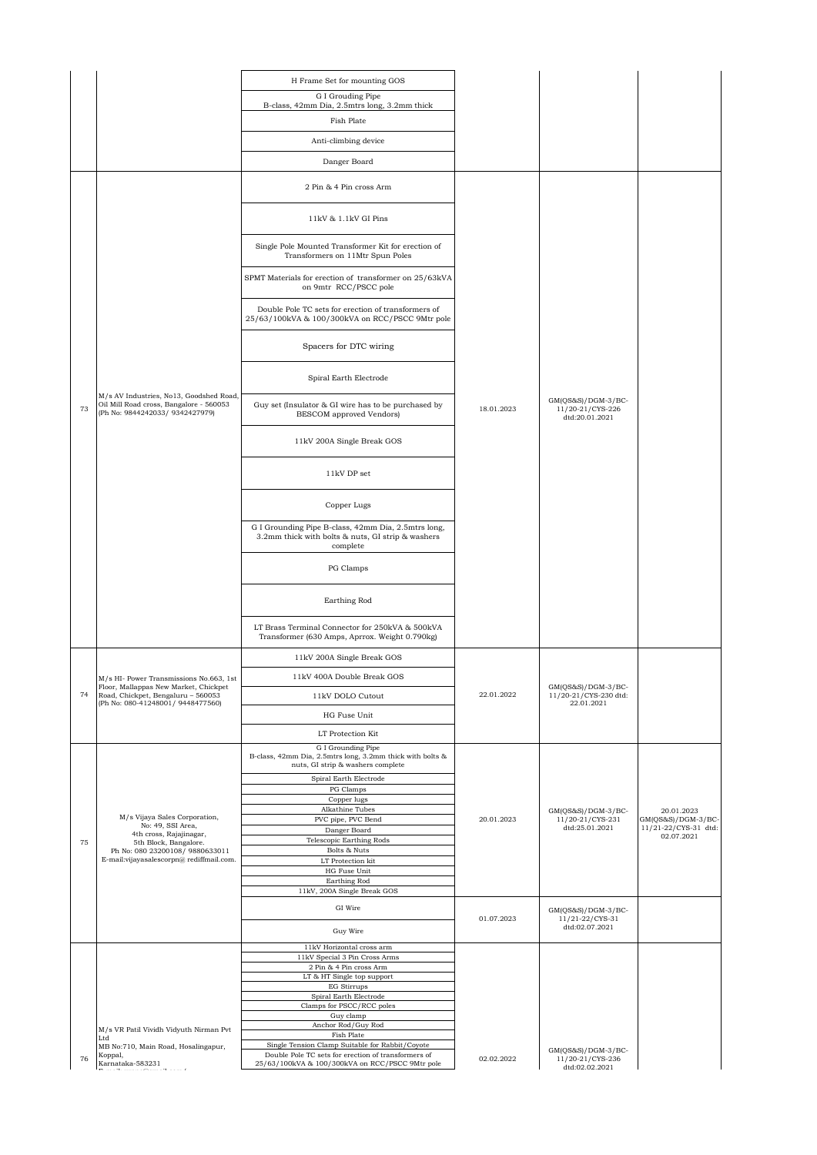|    |                                                                                                                       | H Frame Set for mounting GOS                                                                                         |            |                                                           |                                    |
|----|-----------------------------------------------------------------------------------------------------------------------|----------------------------------------------------------------------------------------------------------------------|------------|-----------------------------------------------------------|------------------------------------|
|    |                                                                                                                       | G I Grouding Pipe<br>B-class, 42mm Dia, 2.5mtrs long, 3.2mm thick                                                    |            |                                                           |                                    |
|    |                                                                                                                       | Fish Plate                                                                                                           |            |                                                           |                                    |
|    |                                                                                                                       | Anti-climbing device                                                                                                 |            |                                                           |                                    |
|    |                                                                                                                       | Danger Board                                                                                                         |            |                                                           |                                    |
|    |                                                                                                                       |                                                                                                                      |            |                                                           |                                    |
|    |                                                                                                                       | 2 Pin & 4 Pin cross Arm                                                                                              |            |                                                           |                                    |
|    |                                                                                                                       | 11kV & 1.1kV GI Pins                                                                                                 |            |                                                           |                                    |
|    |                                                                                                                       | Single Pole Mounted Transformer Kit for erection of<br>Transformers on 11Mtr Spun Poles                              |            |                                                           |                                    |
|    |                                                                                                                       | SPMT Materials for erection of transformer on 25/63kVA<br>on 9mtr RCC/PSCC pole                                      |            |                                                           |                                    |
|    |                                                                                                                       | Double Pole TC sets for erection of transformers of<br>25/63/100kVA & 100/300kVA on RCC/PSCC 9Mtr pole               |            |                                                           |                                    |
|    |                                                                                                                       | Spacers for DTC wiring                                                                                               |            |                                                           |                                    |
|    |                                                                                                                       | Spiral Earth Electrode                                                                                               |            |                                                           |                                    |
| 73 | M/s AV Industries, No13, Goodshed Road,<br>Oil Mill Road cross, Bangalore - 560053<br>(Ph No: 9844242033/ 9342427979) | Guy set (Insulator & GI wire has to be purchased by<br>BESCOM approved Vendors)                                      | 18.01.2023 | GM(QS&S)/DGM-3/BC-<br>11/20-21/CYS-226<br>dtd:20.01.2021  |                                    |
|    |                                                                                                                       | 11kV 200A Single Break GOS                                                                                           |            |                                                           |                                    |
|    |                                                                                                                       | 11kV DP set                                                                                                          |            |                                                           |                                    |
|    |                                                                                                                       | Copper Lugs                                                                                                          |            |                                                           |                                    |
|    |                                                                                                                       | G I Grounding Pipe B-class, 42mm Dia, 2.5mtrs long,<br>3.2mm thick with bolts & nuts, GI strip & washers<br>complete |            |                                                           |                                    |
|    |                                                                                                                       | PG Clamps                                                                                                            |            |                                                           |                                    |
|    |                                                                                                                       | Earthing Rod                                                                                                         |            |                                                           |                                    |
|    |                                                                                                                       | LT Brass Terminal Connector for 250kVA & 500kVA<br>Transformer (630 Amps, Aprrox. Weight 0.790kg)                    |            |                                                           |                                    |
|    |                                                                                                                       | 11kV 200A Single Break GOS                                                                                           |            |                                                           |                                    |
|    | M/s HI- Power Transmissions No.663, 1st                                                                               | 11kV 400A Double Break GOS                                                                                           |            |                                                           |                                    |
| 74 | Floor, Mallappas New Market, Chickpet<br>Road, Chickpet, Bengaluru - 560053                                           | 11kV DOLO Cutout                                                                                                     | 22.01.2022 | GM(QS&S)/DGM-3/BC-<br>11/20-21/CYS-230 dtd:               |                                    |
|    | (Ph No: 080-41248001/ 9448477560)                                                                                     | HG Fuse Unit                                                                                                         |            | 22.01.2021                                                |                                    |
|    |                                                                                                                       | LT Protection Kit                                                                                                    |            |                                                           |                                    |
|    |                                                                                                                       | G I Grounding Pipe<br>B-class, 42mm Dia, 2.5mtrs long, 3.2mm thick with bolts &                                      |            |                                                           |                                    |
|    |                                                                                                                       | nuts, GI strip & washers complete                                                                                    |            |                                                           |                                    |
|    |                                                                                                                       | Spiral Earth Electrode<br>PG Clamps                                                                                  |            |                                                           |                                    |
|    |                                                                                                                       | Copper lugs                                                                                                          |            |                                                           |                                    |
|    | M/s Vijaya Sales Corporation,                                                                                         | Alkathine Tubes<br>PVC pipe, PVC Bend                                                                                | 20.01.2023 | $GM(QS&S)/DGM-3/BC-$<br>11/20-21/CYS-231                  | 20.01.2023<br>$GM(QS&S)/DGM-3/BC-$ |
|    | No: 49, SSI Area,<br>4th cross, Rajajinagar,                                                                          | Danger Board                                                                                                         |            | dtd:25.01.2021                                            | 11/21-22/CYS-31 dtd:<br>02.07.2021 |
| 75 | 5th Block, Bangalore.                                                                                                 | Telescopic Earthing Rods                                                                                             |            |                                                           |                                    |
|    | Ph No: 080 23200108/ 9880633011<br>E-mail:vijayasalescorpn@rediffmail.com.                                            | Bolts & Nuts<br>LT Protection kit                                                                                    |            |                                                           |                                    |
|    |                                                                                                                       | HG Fuse Unit                                                                                                         |            |                                                           |                                    |
|    |                                                                                                                       | Earthing Rod<br>11kV, 200A Single Break GOS                                                                          |            |                                                           |                                    |
|    |                                                                                                                       |                                                                                                                      |            |                                                           |                                    |
|    |                                                                                                                       | GI Wire                                                                                                              | 01.07.2023 | $GM(QS&S)/DGM-3/BC-$<br>11/21-22/CYS-31<br>dtd:02.07.2021 |                                    |
|    |                                                                                                                       | Guy Wire<br>$11\mathrm{kV}$ Horizontal cross arm                                                                     |            |                                                           |                                    |
|    |                                                                                                                       | 11kV Special 3 Pin Cross Arms                                                                                        |            |                                                           |                                    |
|    |                                                                                                                       | 2 Pin & 4 Pin cross Arm                                                                                              |            |                                                           |                                    |
|    |                                                                                                                       | LT & HT Single top support<br>EG Stirrups                                                                            |            |                                                           |                                    |
|    |                                                                                                                       | Spiral Earth Electrode                                                                                               |            |                                                           |                                    |
|    |                                                                                                                       | Clamps for PSCC/RCC poles<br>Guy clamp                                                                               |            |                                                           |                                    |
|    | M/s VR Patil Vividh Vidyuth Nirman Pvt                                                                                | Anchor Rod/Guy Rod                                                                                                   |            |                                                           |                                    |
|    | Ltd                                                                                                                   | Fish Plate                                                                                                           |            |                                                           |                                    |
|    | MB No:710, Main Road, Hosalingapur,<br>Koppal,                                                                        | Single Tension Clamp Suitable for Rabbit/Coyote<br>Double Pole TC sets for erection of transformers of               |            | $GM(QS&S)/DGM-3/BC-$                                      |                                    |
| 76 | Karnataka-583231                                                                                                      | 25/63/100kVA & 100/300kVA on RCC/PSCC 9Mtr pole                                                                      | 02.02.2022 | 11/20-21/CYS-236<br>dtd:02.02.2021                        |                                    |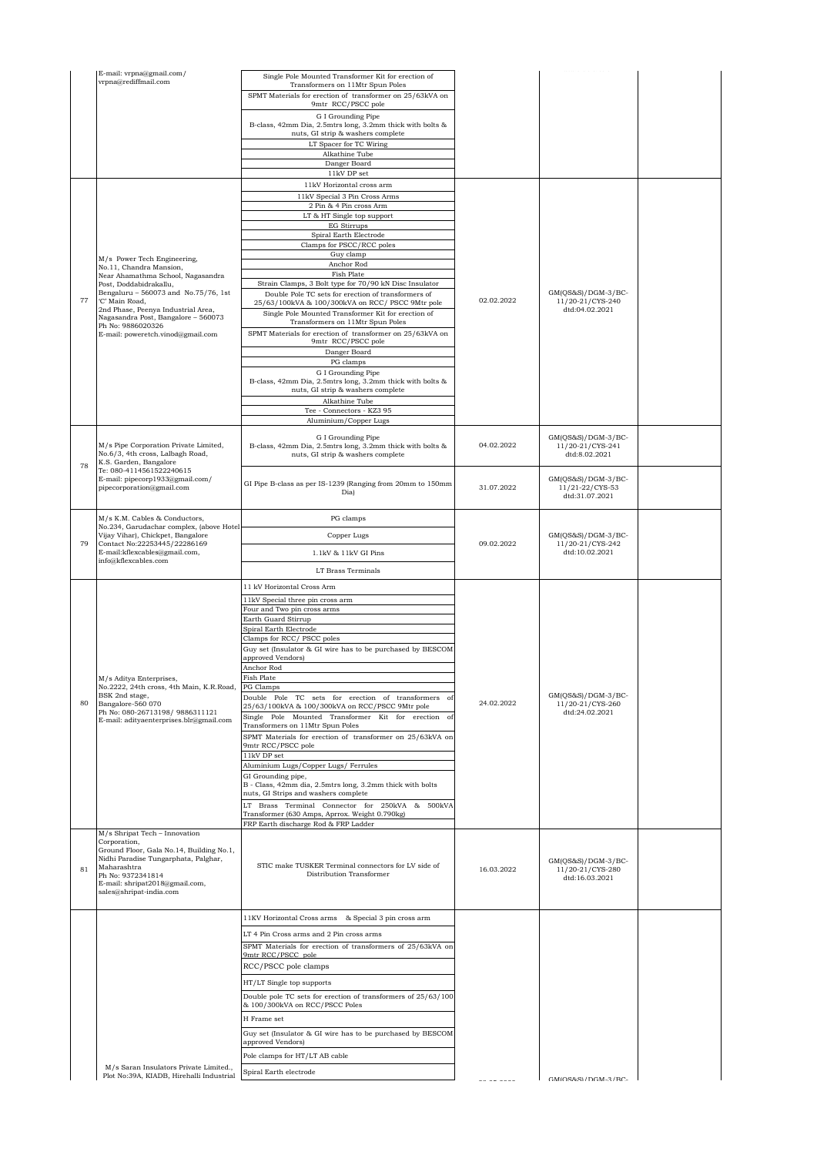|    | E-mail: vrpna@gmail.com/                                                      |                                                                                                        |            | -------------                           |  |
|----|-------------------------------------------------------------------------------|--------------------------------------------------------------------------------------------------------|------------|-----------------------------------------|--|
|    | vrpna@rediffmail.com                                                          | Single Pole Mounted Transformer Kit for erection of<br>Transformers on 11Mtr Spun Poles                |            |                                         |  |
|    |                                                                               | SPMT Materials for erection of transformer on 25/63kVA on                                              |            |                                         |  |
|    |                                                                               | 9mtr RCC/PSCC pole                                                                                     |            |                                         |  |
|    |                                                                               | G I Grounding Pipe                                                                                     |            |                                         |  |
|    |                                                                               | B-class, 42mm Dia, 2.5mtrs long, 3.2mm thick with bolts &<br>nuts, GI strip & washers complete         |            |                                         |  |
|    |                                                                               | LT Spacer for TC Wiring                                                                                |            |                                         |  |
|    |                                                                               | Alkathine Tube                                                                                         |            |                                         |  |
|    |                                                                               | Danger Board                                                                                           |            |                                         |  |
|    |                                                                               | 11kV DP set                                                                                            |            |                                         |  |
|    |                                                                               | 11kV Horizontal cross arm                                                                              |            |                                         |  |
|    |                                                                               | 11kV Special 3 Pin Cross Arms<br>2 Pin & 4 Pin cross Arm                                               |            |                                         |  |
|    |                                                                               | LT & HT Single top support                                                                             |            |                                         |  |
|    |                                                                               | <b>EG Stirrups</b>                                                                                     |            |                                         |  |
|    |                                                                               | Spiral Earth Electrode                                                                                 |            |                                         |  |
|    |                                                                               | Clamps for PSCC/RCC poles                                                                              |            |                                         |  |
|    | M/s Power Tech Engineering,                                                   | Guy clamp<br>Anchor Rod                                                                                |            |                                         |  |
|    | No.11, Chandra Mansion,<br>Near Ahamathma School, Nagasandra                  | Fish Plate                                                                                             |            |                                         |  |
|    | Post, Doddabidrakallu,                                                        | Strain Clamps, 3 Bolt type for 70/90 kN Disc Insulator                                                 |            |                                         |  |
| 77 | Bengaluru - 560073 and No.75/76, 1st<br>'C' Main Road,                        | Double Pole TC sets for erection of transformers of                                                    | 02.02.2022 | GM(QS&S)/DGM-3/BC-<br>11/20-21/CYS-240  |  |
|    | 2nd Phase, Peenya Industrial Area,                                            | 25/63/100kVA & 100/300kVA on RCC/ PSCC 9Mtr pole                                                       |            | dtd:04.02.2021                          |  |
|    | Nagasandra Post, Bangalore - 560073                                           | Single Pole Mounted Transformer Kit for erection of<br>Transformers on 11Mtr Spun Poles                |            |                                         |  |
|    | Ph No: 9886020326<br>E-mail: poweretch.vinod@gmail.com                        | SPMT Materials for erection of transformer on 25/63kVA on                                              |            |                                         |  |
|    |                                                                               | 9mtr RCC/PSCC pole                                                                                     |            |                                         |  |
|    |                                                                               | Danger Board                                                                                           |            |                                         |  |
|    |                                                                               | PG clamps                                                                                              |            |                                         |  |
|    |                                                                               | G I Grounding Pipe<br>B-class, 42mm Dia, 2.5mtrs long, 3.2mm thick with bolts &                        |            |                                         |  |
|    |                                                                               | nuts, GI strip & washers complete                                                                      |            |                                         |  |
|    |                                                                               | Alkathine Tube                                                                                         |            |                                         |  |
|    |                                                                               | Tee - Connectors - KZ3 95                                                                              |            |                                         |  |
|    |                                                                               | Aluminium/Copper Lugs                                                                                  |            |                                         |  |
|    |                                                                               | G I Grounding Pipe                                                                                     |            | GM(QS&S)/DGM-3/BC-                      |  |
|    | M/s Pipe Corporation Private Limited,                                         | B-class, 42mm Dia, 2.5mtrs long, 3.2mm thick with bolts &                                              | 04.02.2022 | 11/20-21/CYS-241                        |  |
|    | No.6/3, 4th cross, Lalbagh Road,<br>K.S. Garden, Bangalore                    | nuts, GI strip & washers complete                                                                      |            | dtd:8.02.2021                           |  |
| 78 | Te: 080-4114561522240615                                                      |                                                                                                        |            |                                         |  |
|    | E-mail: pipecorp1933@gmail.com/<br>pipecorporation@gmail.com                  | GI Pipe B-class as per IS-1239 (Ranging from 20mm to 150mm                                             | 31.07.2022 | $GM(QS&S)/DGM-3/BC-$<br>11/21-22/CYS-53 |  |
|    |                                                                               | Dia)                                                                                                   |            | dtd:31.07.2021                          |  |
|    |                                                                               |                                                                                                        |            |                                         |  |
|    | M/s K.M. Cables & Conductors,                                                 | PG clamps                                                                                              |            |                                         |  |
|    | No.234, Garudachar complex, (above Hotel<br>Vijay Vihar), Chickpet, Bangalore |                                                                                                        |            | GM(QS&S)/DGM-3/BC-                      |  |
| 79 | Contact No:22253445/22286169                                                  | Copper Lugs                                                                                            | 09.02.2022 | 11/20-21/CYS-242                        |  |
|    | E-mail:kflexcables@gmail.com,                                                 | 1.1kV & 11kV GI Pins                                                                                   |            | dtd:10.02.2021                          |  |
|    | info@kflexcables.com                                                          | LT Brass Terminals                                                                                     |            |                                         |  |
|    |                                                                               |                                                                                                        |            |                                         |  |
|    |                                                                               |                                                                                                        |            |                                         |  |
|    |                                                                               | 11 kV Horizontal Cross Arm                                                                             |            |                                         |  |
|    |                                                                               | 11kV Special three pin cross arm                                                                       |            |                                         |  |
|    |                                                                               | Four and Two pin cross arms                                                                            |            |                                         |  |
|    |                                                                               | Earth Guard Stirrup                                                                                    |            |                                         |  |
|    |                                                                               | Spiral Earth Electrode                                                                                 |            |                                         |  |
|    |                                                                               | Clamps for RCC/ PSCC poles<br>Guy set (Insulator & GI wire has to be purchased by BESCOM               |            |                                         |  |
|    |                                                                               | approved Vendors)                                                                                      |            |                                         |  |
|    |                                                                               | Anchor Rod                                                                                             |            |                                         |  |
|    | M/s Aditya Enterprises,                                                       | Fish Plate                                                                                             |            |                                         |  |
|    | No.2222, 24th cross, 4th Main, K.R.Road, PG Clamps<br>BSK 2nd stage,          |                                                                                                        |            | GM(QS&S)/DGM-3/BC-                      |  |
| 80 | Bangalore-560 070                                                             | Double Pole TC sets for erection of transformers of<br>25/63/100kVA & 100/300kVA on RCC/PSCC 9Mtr pole | 24.02.2022 | 11/20-21/CYS-260                        |  |
|    | Ph No: 080-26713198/ 9886311121                                               | Single Pole Mounted Transformer Kit for erection of                                                    |            | dtd:24.02.2021                          |  |
|    | E-mail: adityaenterprises.blr@gmail.com                                       | Transformers on 11Mtr Spun Poles                                                                       |            |                                         |  |
|    |                                                                               | SPMT Materials for erection of transformer on 25/63kVA on                                              |            |                                         |  |
|    |                                                                               | 9mtr RCC/PSCC pole<br>11kV DP set                                                                      |            |                                         |  |
|    |                                                                               | Aluminium Lugs/Copper Lugs/ Ferrules                                                                   |            |                                         |  |
|    |                                                                               | GI Grounding pipe,                                                                                     |            |                                         |  |
|    |                                                                               | B - Class, 42mm dia, 2.5mtrs long, 3.2mm thick with bolts                                              |            |                                         |  |
|    |                                                                               | nuts, GI Strips and washers complete<br>500kVA                                                         |            |                                         |  |
|    |                                                                               | LT Brass Terminal Connector for 250kVA &<br>Transformer (630 Amps, Aprrox. Weight 0.790kg)             |            |                                         |  |
|    |                                                                               | FRP Earth discharge Rod & FRP Ladder                                                                   |            |                                         |  |
|    | M/s Shripat Tech - Innovation                                                 |                                                                                                        |            |                                         |  |
|    | Corporation,<br>Ground Floor, Gala No.14, Building No.1,                      |                                                                                                        |            |                                         |  |
|    | Nidhi Paradise Tungarphata, Palghar,                                          |                                                                                                        |            | GM(QS&S)/DGM-3/BC-                      |  |
| 81 | Maharashtra<br>Ph No: 9372341814                                              | STIC make TUSKER Terminal connectors for LV side of<br>Distribution Transformer                        | 16.03.2022 | 11/20-21/CYS-280                        |  |
|    | E-mail: shripat2018@gmail.com,                                                |                                                                                                        |            | dtd:16.03.2021                          |  |
|    | sales@shripat-india.com                                                       |                                                                                                        |            |                                         |  |
|    |                                                                               |                                                                                                        |            |                                         |  |
|    |                                                                               | 11KV Horizontal Cross arms & Special 3 pin cross arm                                                   |            |                                         |  |
|    |                                                                               | LT 4 Pin Cross arms and 2 Pin cross arms                                                               |            |                                         |  |
|    |                                                                               | SPMT Materials for erection of transformers of 25/63kVA on                                             |            |                                         |  |
|    |                                                                               | 9mtr RCC/PSCC pole                                                                                     |            |                                         |  |
|    |                                                                               | RCC/PSCC pole clamps                                                                                   |            |                                         |  |
|    |                                                                               | HT/LT Single top supports                                                                              |            |                                         |  |
|    |                                                                               |                                                                                                        |            |                                         |  |
|    |                                                                               | Double pole TC sets for erection of transformers of 25/63/100<br>& 100/300kVA on RCC/PSCC Poles        |            |                                         |  |
|    |                                                                               | H Frame set                                                                                            |            |                                         |  |
|    |                                                                               |                                                                                                        |            |                                         |  |
|    |                                                                               | Guy set (Insulator & GI wire has to be purchased by BESCOM<br>approved Vendors)                        |            |                                         |  |
|    |                                                                               |                                                                                                        |            |                                         |  |
|    | M/s Saran Insulators Private Limited.,                                        | Pole clamps for HT/LT AB cable<br>Spiral Earth electrode                                               |            |                                         |  |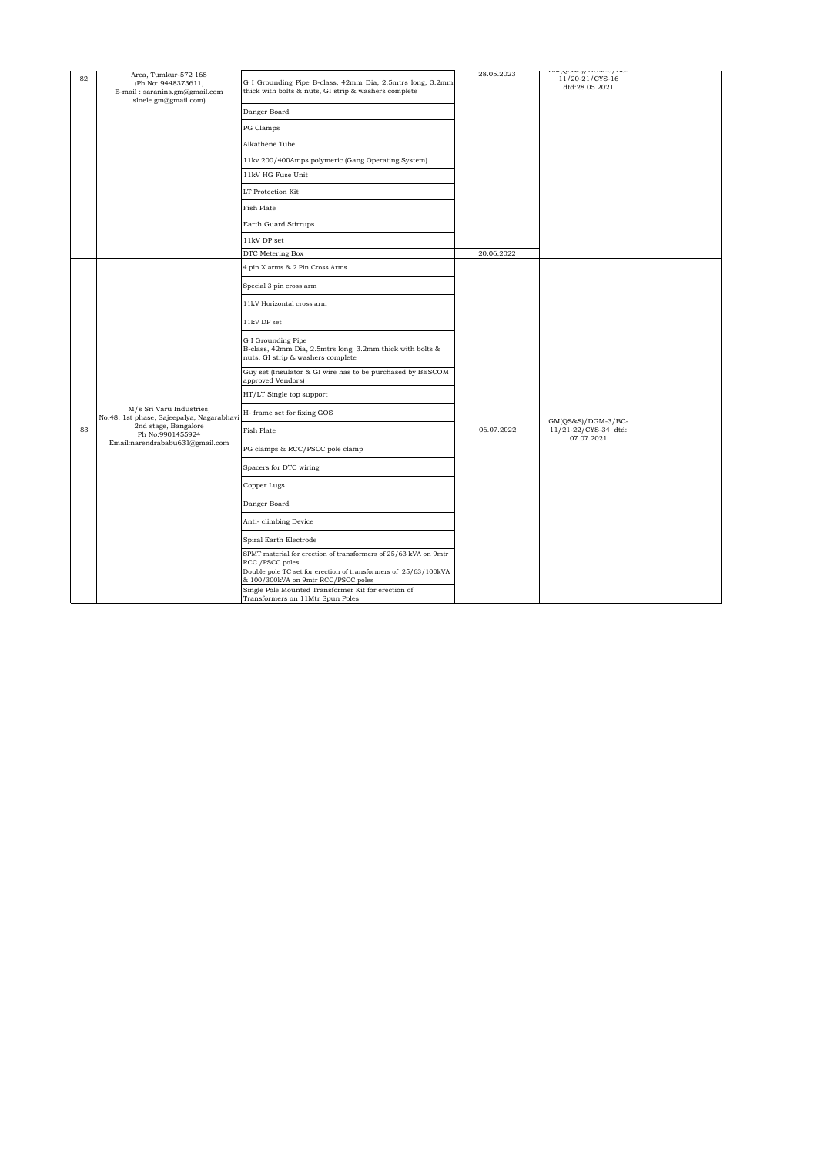| 82 | Area, Tumkur-572 168<br>(Ph No: 9448373611,<br>E-mail: saranins.gm@gmail.com<br>slnele.gm@gmail.com)                                                 | G I Grounding Pipe B-class, 42mm Dia, 2.5mtrs long, 3.2mm<br>thick with bolts & nuts, GI strip & washers complete    | 28.05.2023 | and/compliment/form/him<br>11/20-21/CYS-16<br>dtd:28.05.2021 |  |
|----|------------------------------------------------------------------------------------------------------------------------------------------------------|----------------------------------------------------------------------------------------------------------------------|------------|--------------------------------------------------------------|--|
|    |                                                                                                                                                      | Danger Board                                                                                                         |            |                                                              |  |
|    |                                                                                                                                                      | PG Clamps                                                                                                            |            |                                                              |  |
|    |                                                                                                                                                      | Alkathene Tube                                                                                                       |            |                                                              |  |
|    |                                                                                                                                                      | 11kv 200/400Amps polymeric (Gang Operating System)                                                                   |            |                                                              |  |
|    |                                                                                                                                                      | 11kV HG Fuse Unit                                                                                                    |            |                                                              |  |
|    |                                                                                                                                                      | LT Protection Kit                                                                                                    |            |                                                              |  |
|    |                                                                                                                                                      | Fish Plate                                                                                                           |            |                                                              |  |
|    |                                                                                                                                                      | Earth Guard Stirrups                                                                                                 |            |                                                              |  |
|    |                                                                                                                                                      | 11kV DP set                                                                                                          |            |                                                              |  |
|    |                                                                                                                                                      | DTC Metering Box                                                                                                     | 20.06.2022 |                                                              |  |
|    |                                                                                                                                                      | 4 pin X arms & 2 Pin Cross Arms                                                                                      |            |                                                              |  |
|    |                                                                                                                                                      | Special 3 pin cross arm                                                                                              |            | $GM(QS&S)/DGM-3/BC-$<br>11/21-22/CYS-34 dtd:<br>07.07.2021   |  |
|    | M/s Sri Varu Industries,<br>No.48, 1st phase, Sajeepalya, Nagarabhavi<br>2nd stage, Bangalore<br>Ph No:9901455924<br>Email:narendrababu631@gmail.com | 11kV Horizontal cross arm                                                                                            | 06.07.2022 |                                                              |  |
|    |                                                                                                                                                      | 11kV DP set                                                                                                          |            |                                                              |  |
|    |                                                                                                                                                      | G I Grounding Pipe<br>B-class, 42mm Dia, 2.5mtrs long, 3.2mm thick with bolts &<br>nuts, GI strip & washers complete |            |                                                              |  |
|    |                                                                                                                                                      | Guy set (Insulator & GI wire has to be purchased by BESCOM<br>approved Vendors)                                      |            |                                                              |  |
|    |                                                                                                                                                      | HT/LT Single top support                                                                                             |            |                                                              |  |
|    |                                                                                                                                                      | H- frame set for fixing GOS                                                                                          |            |                                                              |  |
| 83 |                                                                                                                                                      | <b>Fish Plate</b>                                                                                                    |            |                                                              |  |
|    |                                                                                                                                                      | PG clamps & RCC/PSCC pole clamp                                                                                      |            |                                                              |  |
|    |                                                                                                                                                      | Spacers for DTC wiring                                                                                               |            |                                                              |  |
|    |                                                                                                                                                      | Copper Lugs                                                                                                          |            |                                                              |  |
|    |                                                                                                                                                      | Danger Board                                                                                                         |            |                                                              |  |
|    |                                                                                                                                                      | Anti-climbing Device                                                                                                 |            |                                                              |  |
|    |                                                                                                                                                      | Spiral Earth Electrode                                                                                               |            |                                                              |  |
|    |                                                                                                                                                      | SPMT material for erection of transformers of 25/63 kVA on 9mtr<br>RCC / PSCC poles                                  |            |                                                              |  |
|    |                                                                                                                                                      | Double pole TC set for erection of transformers of 25/63/100kVA<br>& 100/300kVA on 9mtr RCC/PSCC poles               |            |                                                              |  |
|    |                                                                                                                                                      | Single Pole Mounted Transformer Kit for erection of<br>Transformers on 11Mtr Spun Poles                              |            |                                                              |  |